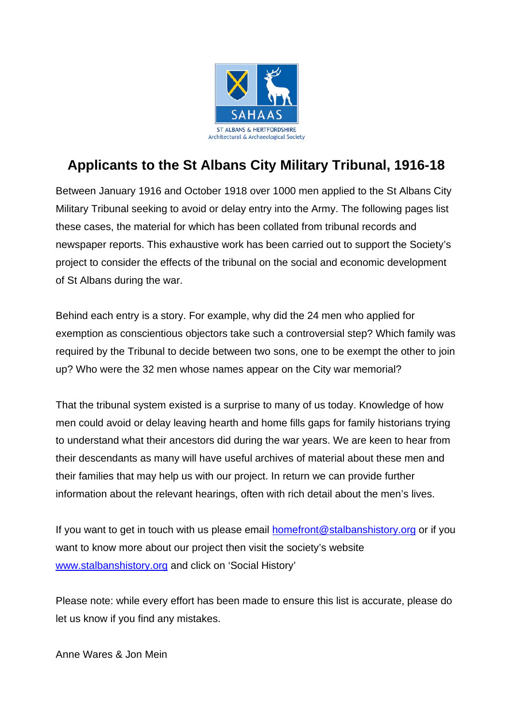

## **Applicants to the St Albans City Military Tribunal, 1916-18**

Between January 1916 and October 1918 over 1000 men applied to the St Albans City Military Tribunal seeking to avoid or delay entry into the Army. The following pages list these cases, the material for which has been collated from tribunal records and newspaper reports. This exhaustive work has been carried out to support the Society's project to consider the effects of the tribunal on the social and economic development of St Albans during the war.

Behind each entry is a story. For example, why did the 24 men who applied for exemption as conscientious objectors take such a controversial step? Which family was required by the Tribunal to decide between two sons, one to be exempt the other to join up? Who were the 32 men whose names appear on the City war memorial?

That the tribunal system existed is a surprise to many of us today. Knowledge of how men could avoid or delay leaving hearth and home fills gaps for family historians trying to understand what their ancestors did during the war years. We are keen to hear from their descendants as many will have useful archives of material about these men and their families that may help us with our project. In return we can provide further information about the relevant hearings, often with rich detail about the men's lives.

If you want to get in touch with us please email [homefront@stalbanshistory.org](mailto:homefront@stalbanshistory.org) or if you want to know more about our project then visit the society's website [www.stalbanshistory.org](http://www.stalbanshistory.org/) and click on 'Social History'

Please note: while every effort has been made to ensure this list is accurate, please do let us know if you find any mistakes.

Anne Wares & Jon Mein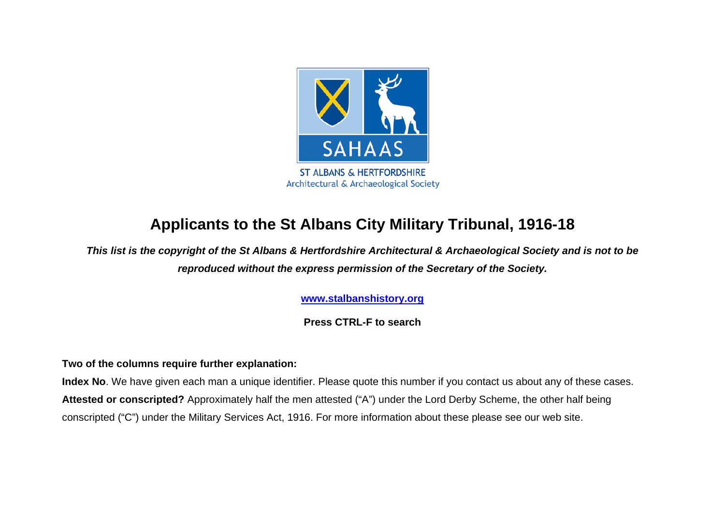

## **Applicants to the St Albans City Military Tribunal, 1916-18**

*This list is the copyright of the St Albans & Hertfordshire Architectural & Archaeological Society and is not to be reproduced without the express permission of the Secretary of the Society.*

**[www.stalbanshistory.org](http://www.stalbanshistory.org/)**

**Press CTRL-F to search**

## **Two of the columns require further explanation:**

**Index No**. We have given each man a unique identifier. Please quote this number if you contact us about any of these cases. **Attested or conscripted?** Approximately half the men attested ("A") under the Lord Derby Scheme, the other half being conscripted ("C") under the Military Services Act, 1916. For more information about these please see our web site.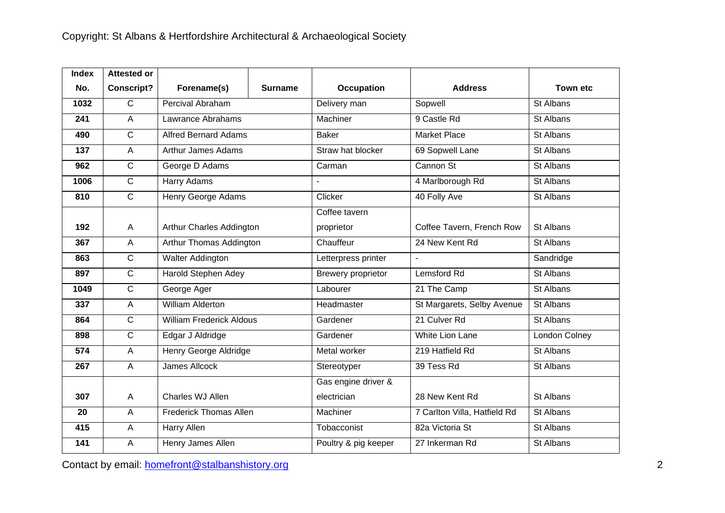| <b>Index</b> | <b>Attested or</b> |                                 |                |                      |                              |                 |
|--------------|--------------------|---------------------------------|----------------|----------------------|------------------------------|-----------------|
| No.          | <b>Conscript?</b>  | Forename(s)                     | <b>Surname</b> | <b>Occupation</b>    | <b>Address</b>               | <b>Town etc</b> |
| 1032         | $\mathsf{C}$       | Percival Abraham                |                | Delivery man         | Sopwell                      | St Albans       |
| 241          | $\overline{A}$     | Lawrance Abrahams               |                | Machiner             | 9 Castle Rd                  | St Albans       |
| 490          | $\mathsf{C}$       | <b>Alfred Bernard Adams</b>     |                | <b>Baker</b>         | <b>Market Place</b>          | St Albans       |
| 137          | $\overline{A}$     | <b>Arthur James Adams</b>       |                | Straw hat blocker    | 69 Sopwell Lane              | St Albans       |
| 962          | $\mathsf C$        | George D Adams                  |                | Carman               | Cannon St                    | St Albans       |
| 1006         | $\mathsf C$        | Harry Adams                     |                |                      | 4 Marlborough Rd             | St Albans       |
| 810          | $\mathsf{C}$       | Henry George Adams              |                | Clicker              | 40 Folly Ave                 | St Albans       |
|              |                    |                                 |                | Coffee tavern        |                              |                 |
| 192          | $\overline{A}$     | Arthur Charles Addington        |                | proprietor           | Coffee Tavern, French Row    | St Albans       |
| 367          | $\overline{A}$     | Arthur Thomas Addington         |                | Chauffeur            | 24 New Kent Rd               | St Albans       |
| 863          | $\mathsf{C}$       | <b>Walter Addington</b>         |                | Letterpress printer  | ÷,                           | Sandridge       |
| 897          | $\mathsf{C}$       | Harold Stephen Adey             |                | Brewery proprietor   | Lemsford Rd                  | St Albans       |
| 1049         | $\mathsf{C}$       | George Ager                     |                | Labourer             | 21 The Camp                  | St Albans       |
| 337          | $\overline{A}$     | <b>William Alderton</b>         |                | Headmaster           | St Margarets, Selby Avenue   | St Albans       |
| 864          | $\mathsf{C}$       | <b>William Frederick Aldous</b> |                | Gardener             | 21 Culver Rd                 | St Albans       |
| 898          | $\overline{C}$     | Edgar J Aldridge                |                | Gardener             | White Lion Lane              | London Colney   |
| 574          | $\overline{A}$     | <b>Henry George Aldridge</b>    |                | Metal worker         | 219 Hatfield Rd              | St Albans       |
| 267          | $\overline{A}$     | <b>James Allcock</b>            |                | Stereotyper          | 39 Tess Rd                   | St Albans       |
|              |                    |                                 |                | Gas engine driver &  |                              |                 |
| 307          | $\overline{A}$     | Charles WJ Allen                |                | electrician          | 28 New Kent Rd               | St Albans       |
| 20           | $\overline{A}$     | <b>Frederick Thomas Allen</b>   |                | Machiner             | 7 Carlton Villa, Hatfield Rd | St Albans       |
| 415          | $\overline{A}$     | Harry Allen                     |                | Tobacconist          | 82a Victoria St              | St Albans       |
| 141          | $\overline{A}$     | Henry James Allen               |                | Poultry & pig keeper | 27 Inkerman Rd               | St Albans       |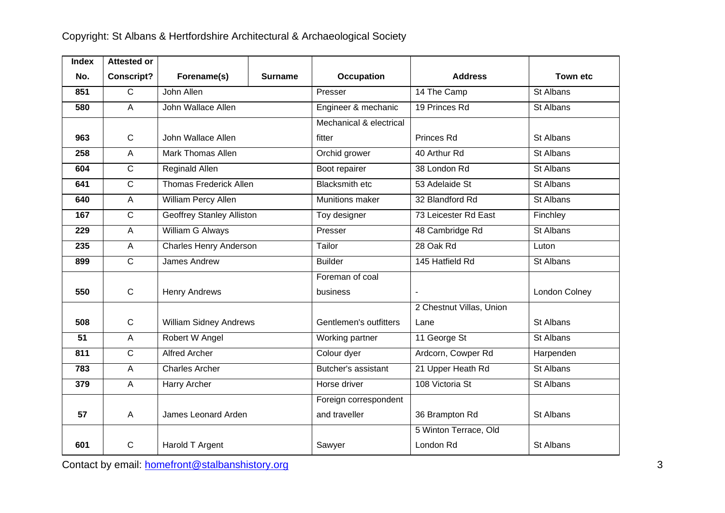| <b>Index</b> | <b>Attested or</b> |                                  |                |                         |                          |                 |
|--------------|--------------------|----------------------------------|----------------|-------------------------|--------------------------|-----------------|
| No.          | <b>Conscript?</b>  | Forename(s)                      | <b>Surname</b> | <b>Occupation</b>       | <b>Address</b>           | <b>Town etc</b> |
| 851          | $\overline{C}$     | John Allen                       |                | Presser                 | 14 The Camp              | St Albans       |
| 580          | A                  | John Wallace Allen               |                | Engineer & mechanic     | 19 Princes Rd            | St Albans       |
|              |                    |                                  |                | Mechanical & electrical |                          |                 |
| 963          | $\mathbf C$        | John Wallace Allen               |                | fitter                  | Princes Rd               | St Albans       |
| 258          | $\overline{A}$     | Mark Thomas Allen                |                | Orchid grower           | 40 Arthur Rd             | St Albans       |
| 604          | $\overline{C}$     | Reginald Allen                   |                | Boot repairer           | 38 London Rd             | St Albans       |
| 641          | $\overline{C}$     | <b>Thomas Frederick Allen</b>    |                | <b>Blacksmith etc</b>   | 53 Adelaide St           | St Albans       |
| 640          | $\overline{A}$     | William Percy Allen              |                | Munitions maker         | 32 Blandford Rd          | St Albans       |
| 167          | $\mathsf{C}$       | <b>Geoffrey Stanley Alliston</b> |                | Toy designer            | 73 Leicester Rd East     | Finchley        |
| 229          | $\overline{A}$     | <b>William G Always</b>          |                | Presser                 | 48 Cambridge Rd          | St Albans       |
| 235          | $\overline{A}$     | <b>Charles Henry Anderson</b>    |                | Tailor                  | 28 Oak Rd                | Luton           |
| 899          | $\mathsf{C}$       | <b>James Andrew</b>              |                | <b>Builder</b>          | 145 Hatfield Rd          | St Albans       |
|              |                    |                                  |                | Foreman of coal         |                          |                 |
| 550          | $\mathsf{C}$       | <b>Henry Andrews</b>             |                | business                | $\overline{a}$           | London Colney   |
|              |                    |                                  |                |                         | 2 Chestnut Villas, Union |                 |
| 508          | $\mathbf C$        | <b>William Sidney Andrews</b>    |                | Gentlemen's outfitters  | Lane                     | St Albans       |
| 51           | $\overline{A}$     | Robert W Angel                   |                | Working partner         | 11 George St             | St Albans       |
| 811          | $\mathsf{C}$       | <b>Alfred Archer</b>             |                | Colour dyer             | Ardcorn, Cowper Rd       | Harpenden       |
| 783          | $\overline{A}$     | <b>Charles Archer</b>            |                | Butcher's assistant     | 21 Upper Heath Rd        | St Albans       |
| 379          | $\mathsf{A}$       | Harry Archer                     |                | Horse driver            | 108 Victoria St          | St Albans       |
|              |                    |                                  |                | Foreign correspondent   |                          |                 |
| 57           | A                  | James Leonard Arden              |                | and traveller           | 36 Brampton Rd           | St Albans       |
|              |                    |                                  |                |                         | 5 Winton Terrace, Old    |                 |
| 601          | $\mathsf{C}$       | Harold T Argent                  |                | Sawyer                  | London Rd                | St Albans       |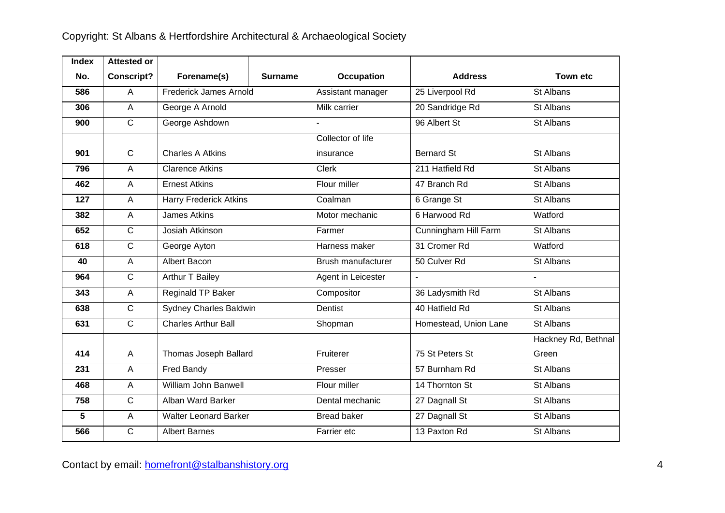| <b>Index</b> | <b>Attested or</b> |                               |                |                    |                       |                     |
|--------------|--------------------|-------------------------------|----------------|--------------------|-----------------------|---------------------|
| No.          | <b>Conscript?</b>  | Forename(s)                   | <b>Surname</b> | <b>Occupation</b>  | <b>Address</b>        | <b>Town etc</b>     |
| 586          | A                  | Frederick James Arnold        |                | Assistant manager  | 25 Liverpool Rd       | St Albans           |
| 306          | $\overline{A}$     | George A Arnold               |                | Milk carrier       | 20 Sandridge Rd       | St Albans           |
| 900          | $\mathsf{C}$       | George Ashdown                |                |                    | 96 Albert St          | St Albans           |
|              |                    |                               |                | Collector of life  |                       |                     |
| 901          | $\mathbf C$        | <b>Charles A Atkins</b>       |                | insurance          | <b>Bernard St</b>     | St Albans           |
| 796          | A                  | <b>Clarence Atkins</b>        |                | Clerk              | 211 Hatfield Rd       | St Albans           |
| 462          | A                  | <b>Ernest Atkins</b>          |                | Flour miller       | 47 Branch Rd          | St Albans           |
| 127          | $\overline{A}$     | <b>Harry Frederick Atkins</b> |                | Coalman            | 6 Grange St           | St Albans           |
| 382          | $\overline{A}$     | <b>James Atkins</b>           |                | Motor mechanic     | 6 Harwood Rd          | Watford             |
| 652          | $\overline{C}$     | Josiah Atkinson               |                | Farmer             | Cunningham Hill Farm  | St Albans           |
| 618          | $\overline{C}$     | George Ayton                  |                | Harness maker      | 31 Cromer Rd          | Watford             |
| 40           | $\overline{A}$     | <b>Albert Bacon</b>           |                | Brush manufacturer | 50 Culver Rd          | St Albans           |
| 964          | $\overline{C}$     | Arthur T Bailey               |                | Agent in Leicester | ÷,                    |                     |
| 343          | $\mathsf A$        | Reginald TP Baker             |                | Compositor         | 36 Ladysmith Rd       | St Albans           |
| 638          | $\mathbf C$        | <b>Sydney Charles Baldwin</b> |                | Dentist            | 40 Hatfield Rd        | St Albans           |
| 631          | $\overline{C}$     | <b>Charles Arthur Ball</b>    |                | Shopman            | Homestead, Union Lane | St Albans           |
|              |                    |                               |                |                    |                       | Hackney Rd, Bethnal |
| 414          | $\overline{A}$     | Thomas Joseph Ballard         |                | Fruiterer          | 75 St Peters St       | Green               |
| 231          | A                  | Fred Bandy                    |                | Presser            | 57 Burnham Rd         | St Albans           |
| 468          | $\overline{A}$     | William John Banwell          |                | Flour miller       | 14 Thornton St        | St Albans           |
| 758          | $\overline{C}$     | Alban Ward Barker             |                | Dental mechanic    | 27 Dagnall St         | St Albans           |
| 5            | $\overline{A}$     | <b>Walter Leonard Barker</b>  |                | <b>Bread baker</b> | 27 Dagnall St         | St Albans           |
| 566          | $\mathsf{C}$       | Albert Barnes                 |                | Farrier etc        | 13 Paxton Rd          | St Albans           |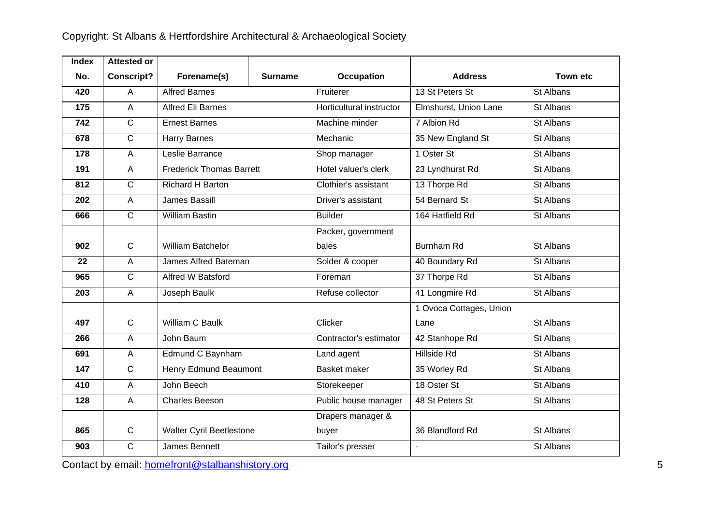| <b>Index</b> | <b>Attested or</b> |                                 |                |                          |                         |                 |
|--------------|--------------------|---------------------------------|----------------|--------------------------|-------------------------|-----------------|
| No.          | <b>Conscript?</b>  | Forename(s)                     | <b>Surname</b> | Occupation               | <b>Address</b>          | <b>Town etc</b> |
| 420          | $\overline{A}$     | <b>Alfred Barnes</b>            |                | Fruiterer                | 13 St Peters St         | St Albans       |
| 175          | $\overline{A}$     | <b>Alfred Eli Barnes</b>        |                | Horticultural instructor | Elmshurst, Union Lane   | St Albans       |
| 742          | $\overline{C}$     | <b>Ernest Barnes</b>            |                | Machine minder           | 7 Albion Rd             | St Albans       |
| 678          | $\mathsf{C}$       | Harry Barnes                    |                | Mechanic                 | 35 New England St       | St Albans       |
| 178          | $\mathsf{A}$       | Leslie Barrance                 |                | Shop manager             | 1 Oster St              | St Albans       |
| 191          | $\overline{A}$     | <b>Frederick Thomas Barrett</b> |                | Hotel valuer's clerk     | 23 Lyndhurst Rd         | St Albans       |
| 812          | $\overline{C}$     | Richard H Barton                |                | Clothier's assistant     | 13 Thorpe Rd            | St Albans       |
| 202          | $\overline{A}$     | <b>James Bassill</b>            |                | Driver's assistant       | 54 Bernard St           | St Albans       |
| 666          | $\overline{C}$     | <b>William Bastin</b>           |                | <b>Builder</b>           | 164 Hatfield Rd         | St Albans       |
|              |                    |                                 |                | Packer, government       |                         |                 |
| 902          | $\mathbf C$        | <b>William Batchelor</b>        |                | bales                    | <b>Burnham Rd</b>       | St Albans       |
| 22           | $\overline{A}$     | James Alfred Bateman            |                | Solder & cooper          | 40 Boundary Rd          | St Albans       |
| 965          | $\overline{C}$     | <b>Alfred W Batsford</b>        |                | Foreman                  | 37 Thorpe Rd            | St Albans       |
| 203          | $\overline{A}$     | Joseph Baulk                    |                | Refuse collector         | 41 Longmire Rd          | St Albans       |
|              |                    |                                 |                |                          | 1 Ovoca Cottages, Union |                 |
| 497          | $\mathsf{C}$       | William C Baulk                 |                | Clicker                  | Lane                    | St Albans       |
| 266          | $\overline{A}$     | John Baum                       |                | Contractor's estimator   | 42 Stanhope Rd          | St Albans       |
| 691          | $\mathsf{A}$       | Edmund C Baynham                |                | Land agent               | <b>Hillside Rd</b>      | St Albans       |
| 147          | $\overline{C}$     | <b>Henry Edmund Beaumont</b>    |                | Basket maker             | 35 Worley Rd            | St Albans       |
| 410          | $\overline{A}$     | John Beech                      |                | Storekeeper              | 18 Oster St             | St Albans       |
| 128          | $\overline{A}$     | <b>Charles Beeson</b>           |                | Public house manager     | 48 St Peters St         | St Albans       |
|              |                    |                                 |                | Drapers manager &        |                         |                 |
| 865          | $\mathsf{C}$       | <b>Walter Cyril Beetlestone</b> |                | buyer                    | 36 Blandford Rd         | St Albans       |
| 903          | $\overline{C}$     | James Bennett                   |                | Tailor's presser         | $\overline{a}$          | St Albans       |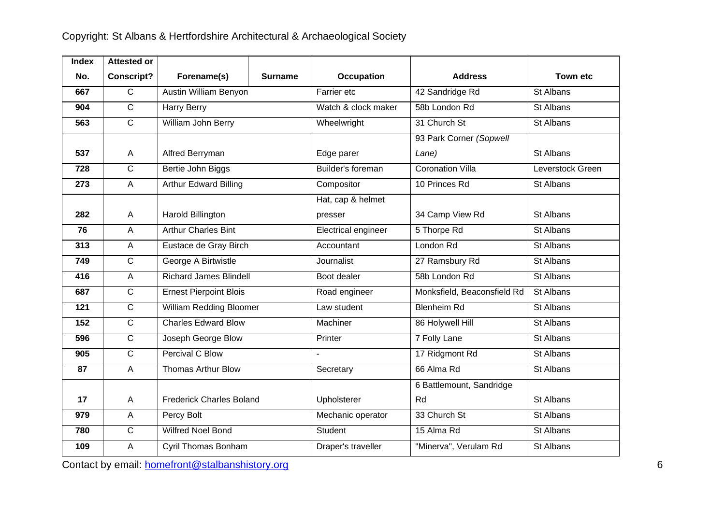| <b>Index</b>     | <b>Attested or</b> |                                 |                |                     |                             |                  |
|------------------|--------------------|---------------------------------|----------------|---------------------|-----------------------------|------------------|
| No.              | <b>Conscript?</b>  | Forename(s)                     | <b>Surname</b> | Occupation          | <b>Address</b>              | <b>Town etc</b>  |
| 667              | $\overline{C}$     | Austin William Benyon           |                | Farrier etc         | 42 Sandridge Rd             | St Albans        |
| 904              | $\overline{C}$     | Harry Berry                     |                | Watch & clock maker | 58b London Rd               | St Albans        |
| 563              | $\overline{C}$     | William John Berry              |                | Wheelwright         | 31 Church St                | St Albans        |
|                  |                    |                                 |                |                     | 93 Park Corner (Sopwell     |                  |
| 537              | A                  | Alfred Berryman                 |                | Edge parer          | Lane)                       | St Albans        |
| 728              | $\overline{C}$     | Bertie John Biggs               |                | Builder's foreman   | <b>Coronation Villa</b>     | Leverstock Green |
| 273              | $\overline{A}$     | <b>Arthur Edward Billing</b>    |                | Compositor          | 10 Princes Rd               | St Albans        |
|                  |                    |                                 |                | Hat, cap & helmet   |                             |                  |
| 282              | A                  | Harold Billington               |                | presser             | 34 Camp View Rd             | St Albans        |
| 76               | A                  | <b>Arthur Charles Bint</b>      |                | Electrical engineer | 5 Thorpe Rd                 | St Albans        |
| 313              | $\overline{A}$     | Eustace de Gray Birch           |                | Accountant          | London Rd                   | St Albans        |
| 749              | $\overline{C}$     | George A Birtwistle             |                | <b>Journalist</b>   | 27 Ramsbury Rd              | St Albans        |
| 416              | $\overline{A}$     | <b>Richard James Blindell</b>   |                | Boot dealer         | 58b London Rd               | St Albans        |
| 687              | $\overline{C}$     | <b>Ernest Pierpoint Blois</b>   |                | Road engineer       | Monksfield, Beaconsfield Rd | St Albans        |
| $\overline{121}$ | $\overline{C}$     | <b>William Redding Bloomer</b>  |                | Law student         | <b>Blenheim Rd</b>          | St Albans        |
| 152              | $\overline{C}$     | <b>Charles Edward Blow</b>      |                | Machiner            | 86 Holywell Hill            | St Albans        |
| 596              | $\overline{C}$     | Joseph George Blow              |                | Printer             | 7 Folly Lane                | St Albans        |
| 905              | $\overline{C}$     | Percival C Blow                 |                |                     | 17 Ridgmont Rd              | St Albans        |
| 87               | $\overline{A}$     | <b>Thomas Arthur Blow</b>       |                | Secretary           | 66 Alma Rd                  | St Albans        |
|                  |                    |                                 |                |                     | 6 Battlemount, Sandridge    |                  |
| 17               | $\overline{A}$     | <b>Frederick Charles Boland</b> |                | Upholsterer         | Rd                          | St Albans        |
| 979              | $\overline{A}$     | Percy Bolt                      |                | Mechanic operator   | 33 Church St                | St Albans        |
| 780              | $\overline{C}$     | <b>Wilfred Noel Bond</b>        |                | Student             | 15 Alma Rd                  | St Albans        |
| 109              | $\overline{A}$     | Cyril Thomas Bonham             |                | Draper's traveller  | "Minerva", Verulam Rd       | St Albans        |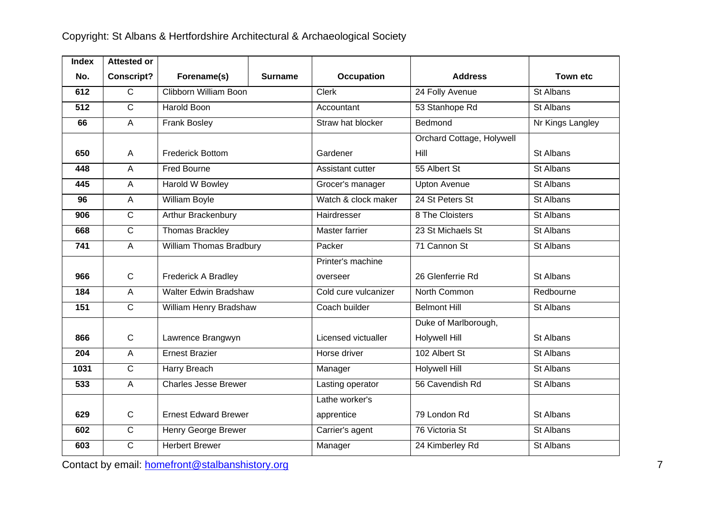| <b>Index</b> | <b>Attested or</b> |                              |         |                      |                           |                  |
|--------------|--------------------|------------------------------|---------|----------------------|---------------------------|------------------|
| No.          | <b>Conscript?</b>  | Forename(s)                  | Surname | <b>Occupation</b>    | <b>Address</b>            | <b>Town etc</b>  |
| 612          | $\overline{C}$     | Clibborn William Boon        |         | <b>Clerk</b>         | 24 Folly Avenue           | St Albans        |
| 512          | $\overline{C}$     | <b>Harold Boon</b>           |         | Accountant           | 53 Stanhope Rd            | St Albans        |
| 66           | $\overline{A}$     | Frank Bosley                 |         | Straw hat blocker    | Bedmond                   | Nr Kings Langley |
|              |                    |                              |         |                      | Orchard Cottage, Holywell |                  |
| 650          | A                  | <b>Frederick Bottom</b>      |         | Gardener             | Hill                      | St Albans        |
| 448          | $\overline{A}$     | <b>Fred Bourne</b>           |         | Assistant cutter     | 55 Albert St              | St Albans        |
| 445          | $\overline{A}$     | <b>Harold W Bowley</b>       |         | Grocer's manager     | <b>Upton Avenue</b>       | St Albans        |
| 96           | $\mathsf{A}$       | <b>William Boyle</b>         |         | Watch & clock maker  | 24 St Peters St           | St Albans        |
| 906          | $\overline{C}$     | Arthur Brackenbury           |         | Hairdresser          | 8 The Cloisters           | St Albans        |
| 668          | $\overline{C}$     | Thomas Brackley              |         | Master farrier       | 23 St Michaels St         | St Albans        |
| 741          | $\overline{A}$     | William Thomas Bradbury      |         | Packer               | 71 Cannon St              | St Albans        |
|              |                    |                              |         | Printer's machine    |                           |                  |
| 966          | $\mathsf{C}$       | <b>Frederick A Bradley</b>   |         | overseer             | 26 Glenferrie Rd          | St Albans        |
| 184          | $\overline{A}$     | <b>Walter Edwin Bradshaw</b> |         | Cold cure vulcanizer | North Common              | Redbourne        |
| 151          | $\overline{C}$     | William Henry Bradshaw       |         | Coach builder        | <b>Belmont Hill</b>       | St Albans        |
|              |                    |                              |         |                      | Duke of Marlborough,      |                  |
| 866          | $\mathbf C$        | Lawrence Brangwyn            |         | Licensed victualler  | <b>Holywell Hill</b>      | St Albans        |
| 204          | $\overline{A}$     | <b>Ernest Brazier</b>        |         | Horse driver         | 102 Albert St             | St Albans        |
| 1031         | $\overline{C}$     | Harry Breach                 |         | Manager              | Holywell Hill             | St Albans        |
| 533          | $\overline{A}$     | <b>Charles Jesse Brewer</b>  |         | Lasting operator     | 56 Cavendish Rd           | St Albans        |
|              |                    |                              |         | Lathe worker's       |                           |                  |
| 629          | $\mathbf C$        | <b>Ernest Edward Brewer</b>  |         | apprentice           | 79 London Rd              | St Albans        |
| 602          | $\overline{C}$     | Henry George Brewer          |         | Carrier's agent      | 76 Victoria St            | St Albans        |
| 603          | $\mathsf{C}$       | <b>Herbert Brewer</b>        |         | Manager              | 24 Kimberley Rd           | St Albans        |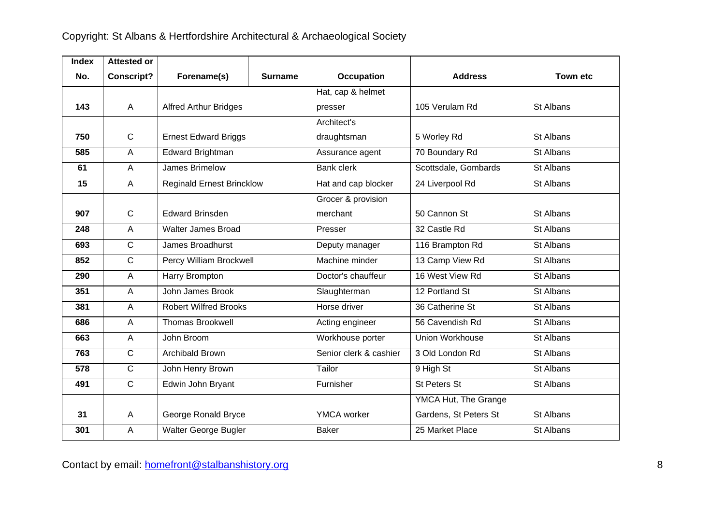| <b>Index</b> | <b>Attested or</b> |                                  |                |                        |                       |                 |
|--------------|--------------------|----------------------------------|----------------|------------------------|-----------------------|-----------------|
| No.          | <b>Conscript?</b>  | Forename(s)                      | <b>Surname</b> | <b>Occupation</b>      | <b>Address</b>        | <b>Town etc</b> |
|              |                    |                                  |                | Hat, cap & helmet      |                       |                 |
| 143          | $\overline{A}$     | <b>Alfred Arthur Bridges</b>     |                | presser                | 105 Verulam Rd        | St Albans       |
|              |                    |                                  |                | Architect's            |                       |                 |
| 750          | $\mathsf C$        | <b>Ernest Edward Briggs</b>      |                | draughtsman            | 5 Worley Rd           | St Albans       |
| 585          | $\overline{A}$     | Edward Brightman                 |                | Assurance agent        | 70 Boundary Rd        | St Albans       |
| 61           | $\overline{A}$     | James Brimelow                   |                | <b>Bank clerk</b>      | Scottsdale, Gombards  | St Albans       |
| 15           | A                  | <b>Reginald Ernest Brincklow</b> |                | Hat and cap blocker    | 24 Liverpool Rd       | St Albans       |
|              |                    |                                  |                | Grocer & provision     |                       |                 |
| 907          | $\mathbf C$        | <b>Edward Brinsden</b>           |                | merchant               | 50 Cannon St          | St Albans       |
| 248          | $\overline{A}$     | <b>Walter James Broad</b>        |                | Presser                | 32 Castle Rd          | St Albans       |
| 693          | $\overline{C}$     | James Broadhurst                 |                | Deputy manager         | 116 Brampton Rd       | St Albans       |
| 852          | $\mathsf{C}$       | Percy William Brockwell          |                | Machine minder         | 13 Camp View Rd       | St Albans       |
| 290          | $\overline{A}$     | Harry Brompton                   |                | Doctor's chauffeur     | 16 West View Rd       | St Albans       |
| 351          | $\overline{A}$     | John James Brook                 |                | Slaughterman           | 12 Portland St        | St Albans       |
| 381          | A                  | <b>Robert Wilfred Brooks</b>     |                | Horse driver           | 36 Catherine St       | St Albans       |
| 686          | $\overline{A}$     | <b>Thomas Brookwell</b>          |                | Acting engineer        | 56 Cavendish Rd       | St Albans       |
| 663          | A                  | John Broom                       |                | Workhouse porter       | Union Workhouse       | St Albans       |
| 763          | $\overline{C}$     | Archibald Brown                  |                | Senior clerk & cashier | 3 Old London Rd       | St Albans       |
| 578          | $\mathsf{C}$       | John Henry Brown                 |                | Tailor                 | 9 High St             | St Albans       |
| 491          | $\overline{C}$     | Edwin John Bryant                |                | Furnisher              | St Peters St          | St Albans       |
|              |                    |                                  |                |                        | YMCA Hut, The Grange  |                 |
| 31           | $\overline{A}$     | George Ronald Bryce              |                | <b>YMCA</b> worker     | Gardens, St Peters St | St Albans       |
| 301          | $\mathsf A$        | Walter George Bugler             |                | <b>Baker</b>           | 25 Market Place       | St Albans       |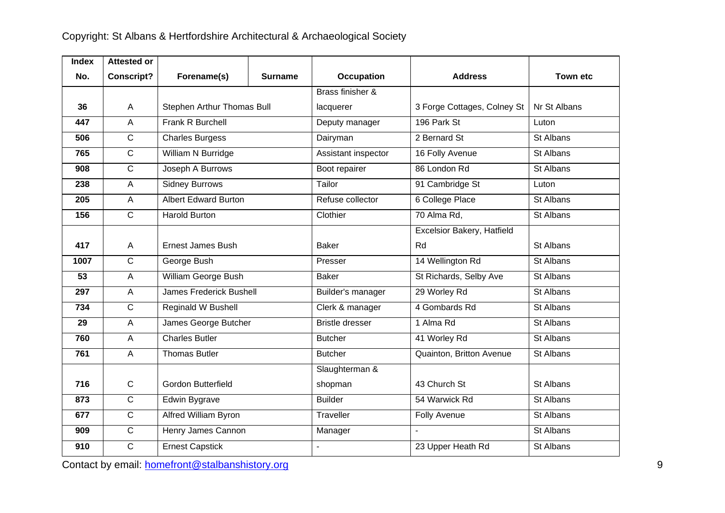| <b>Index</b> | <b>Attested or</b> |                             |                |                        |                             |                 |
|--------------|--------------------|-----------------------------|----------------|------------------------|-----------------------------|-----------------|
| No.          | <b>Conscript?</b>  | Forename(s)                 | <b>Surname</b> | <b>Occupation</b>      | <b>Address</b>              | <b>Town etc</b> |
|              |                    |                             |                | Brass finisher &       |                             |                 |
| 36           | A                  | Stephen Arthur Thomas Bull  |                | lacquerer              | 3 Forge Cottages, Colney St | Nr St Albans    |
| 447          | $\overline{A}$     | Frank R Burchell            |                | Deputy manager         | 196 Park St                 | Luton           |
| 506          | $\mathsf{C}$       | <b>Charles Burgess</b>      |                | Dairyman               | 2 Bernard St                | St Albans       |
| 765          | $\overline{C}$     | William N Burridge          |                | Assistant inspector    | 16 Folly Avenue             | St Albans       |
| 908          | $\overline{C}$     | Joseph A Burrows            |                | Boot repairer          | 86 London Rd                | St Albans       |
| 238          | $\overline{A}$     | <b>Sidney Burrows</b>       |                | Tailor                 | 91 Cambridge St             | Luton           |
| 205          | $\overline{A}$     | <b>Albert Edward Burton</b> |                | Refuse collector       | 6 College Place             | St Albans       |
| 156          | $\mathsf{C}$       | <b>Harold Burton</b>        |                | Clothier               | 70 Alma Rd,                 | St Albans       |
|              |                    |                             |                |                        | Excelsior Bakery, Hatfield  |                 |
| 417          | A                  | <b>Ernest James Bush</b>    |                | <b>Baker</b>           | Rd                          | St Albans       |
| 1007         | $\mathsf{C}$       | George Bush                 |                | Presser                | 14 Wellington Rd            | St Albans       |
| 53           | A                  | William George Bush         |                | <b>Baker</b>           | St Richards, Selby Ave      | St Albans       |
| 297          | $\overline{A}$     | James Frederick Bushell     |                | Builder's manager      | 29 Worley Rd                | St Albans       |
| 734          | $\mathsf{C}$       | Reginald W Bushell          |                | Clerk & manager        | 4 Gombards Rd               | St Albans       |
| 29           | A                  | James George Butcher        |                | <b>Bristle dresser</b> | 1 Alma Rd                   | St Albans       |
| 760          | $\overline{A}$     | <b>Charles Butler</b>       |                | <b>Butcher</b>         | 41 Worley Rd                | St Albans       |
| 761          | $\overline{A}$     | <b>Thomas Butler</b>        |                | <b>Butcher</b>         | Quainton, Britton Avenue    | St Albans       |
|              |                    |                             |                | Slaughterman &         |                             |                 |
| 716          | $\mathsf C$        | <b>Gordon Butterfield</b>   |                | shopman                | 43 Church St                | St Albans       |
| 873          | $\overline{C}$     | Edwin Bygrave               |                | <b>Builder</b>         | 54 Warwick Rd               | St Albans       |
| 677          | $\overline{C}$     | Alfred William Byron        |                | Traveller              | <b>Folly Avenue</b>         | St Albans       |
| 909          | $\mathsf{C}$       | Henry James Cannon          |                | Manager                | $\overline{a}$              | St Albans       |
| 910          | $\mathsf{C}$       | <b>Ernest Capstick</b>      |                | $\mathbf{r}$           | 23 Upper Heath Rd           | St Albans       |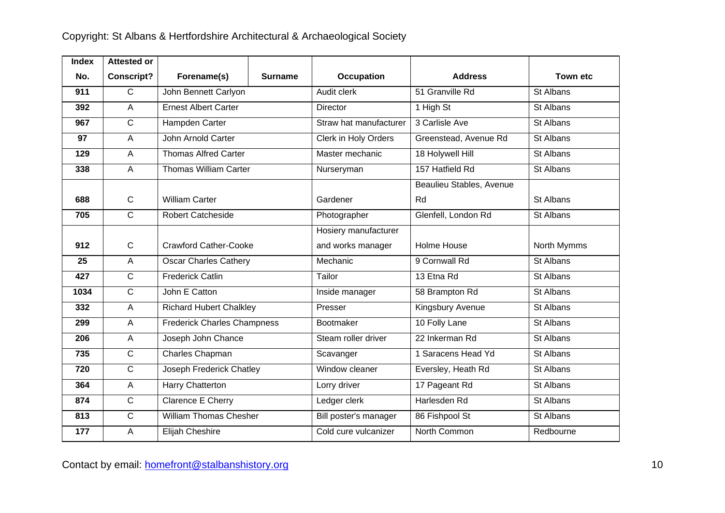| <b>Index</b> | <b>Attested or</b> |                                    |                |                        |                          |             |
|--------------|--------------------|------------------------------------|----------------|------------------------|--------------------------|-------------|
| No.          | <b>Conscript?</b>  | Forename(s)                        | <b>Surname</b> | <b>Occupation</b>      | <b>Address</b>           | Town etc    |
| 911          | $\overline{C}$     | John Bennett Carlyon               |                | Audit clerk            | 51 Granville Rd          | St Albans   |
| 392          | $\overline{A}$     | <b>Ernest Albert Carter</b>        |                | <b>Director</b>        | 1 High St                | St Albans   |
| 967          | $\mathsf{C}$       | Hampden Carter                     |                | Straw hat manufacturer | 3 Carlisle Ave           | St Albans   |
| 97           | $\overline{A}$     | John Arnold Carter                 |                | Clerk in Holy Orders   | Greenstead, Avenue Rd    | St Albans   |
| 129          | $\overline{A}$     | <b>Thomas Alfred Carter</b>        |                | Master mechanic        | 18 Holywell Hill         | St Albans   |
| 338          | $\overline{A}$     | <b>Thomas William Carter</b>       |                | Nurseryman             | 157 Hatfield Rd          | St Albans   |
|              |                    |                                    |                |                        | Beaulieu Stables, Avenue |             |
| 688          | $\mathbf C$        | <b>William Carter</b>              |                | Gardener               | Rd                       | St Albans   |
| 705          | $\overline{C}$     | <b>Robert Catcheside</b>           |                | Photographer           | Glenfell, London Rd      | St Albans   |
|              |                    |                                    |                | Hosiery manufacturer   |                          |             |
| 912          | $\mathbf C$        | <b>Crawford Cather-Cooke</b>       |                | and works manager      | Holme House              | North Mymms |
| 25           | $\overline{A}$     | <b>Oscar Charles Cathery</b>       |                | Mechanic               | 9 Cornwall Rd            | St Albans   |
| 427          | $\mathsf{C}$       | <b>Frederick Catlin</b>            |                | Tailor                 | 13 Etna Rd               | St Albans   |
| 1034         | $\overline{C}$     | John E Catton                      |                | Inside manager         | 58 Brampton Rd           | St Albans   |
| 332          | $\overline{A}$     | <b>Richard Hubert Chalkley</b>     |                | Presser                | Kingsbury Avenue         | St Albans   |
| 299          | $\overline{A}$     | <b>Frederick Charles Champness</b> |                | Bootmaker              | 10 Folly Lane            | St Albans   |
| 206          | $\mathsf{A}$       | Joseph John Chance                 |                | Steam roller driver    | 22 Inkerman Rd           | St Albans   |
| 735          | $\mathsf{C}$       | Charles Chapman                    |                | Scavanger              | 1 Saracens Head Yd       | St Albans   |
| 720          | $\overline{C}$     | Joseph Frederick Chatley           |                | Window cleaner         | Eversley, Heath Rd       | St Albans   |
| 364          | $\overline{A}$     | Harry Chatterton                   |                | Lorry driver           | 17 Pageant Rd            | St Albans   |
| 874          | $\overline{C}$     | Clarence E Cherry                  |                | Ledger clerk           | Harlesden Rd             | St Albans   |
| 813          | $\overline{C}$     | <b>William Thomas Chesher</b>      |                | Bill poster's manager  | 86 Fishpool St           | St Albans   |
| 177          | A                  | Elijah Cheshire                    |                | Cold cure vulcanizer   | North Common             | Redbourne   |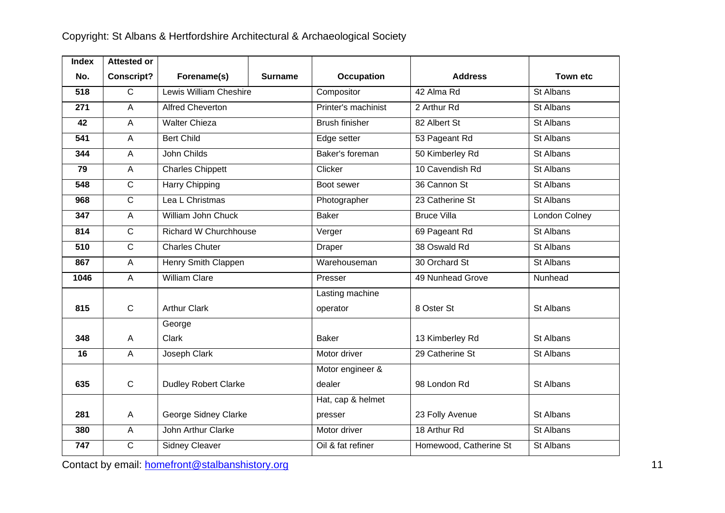| <b>Index</b> | <b>Attested or</b>        |                              |                |                       |                        |                 |
|--------------|---------------------------|------------------------------|----------------|-----------------------|------------------------|-----------------|
| No.          | <b>Conscript?</b>         | Forename(s)                  | <b>Surname</b> | Occupation            | <b>Address</b>         | <b>Town etc</b> |
| 518          | $\overline{C}$            | Lewis William Cheshire       |                | Compositor            | 42 Alma Rd             | St Albans       |
| 271          | A                         | <b>Alfred Cheverton</b>      |                | Printer's machinist   | 2 Arthur Rd            | St Albans       |
| 42           | $\overline{A}$            | <b>Walter Chieza</b>         |                | <b>Brush finisher</b> | 82 Albert St           | St Albans       |
| 541          | $\overline{A}$            | <b>Bert Child</b>            |                | Edge setter           | 53 Pageant Rd          | St Albans       |
| 344          | $\overline{A}$            | John Childs                  |                | Baker's foreman       | 50 Kimberley Rd        | St Albans       |
| 79           | $\overline{A}$            | <b>Charles Chippett</b>      |                | Clicker               | 10 Cavendish Rd        | St Albans       |
| 548          | $\overline{C}$            | Harry Chipping               |                | Boot sewer            | 36 Cannon St           | St Albans       |
| 968          | $\overline{C}$            | Lea L Christmas              |                | Photographer          | 23 Catherine St        | St Albans       |
| 347          | $\overline{A}$            | William John Chuck           |                | <b>Baker</b>          | <b>Bruce Villa</b>     | London Colney   |
| 814          | $\mathsf{C}$              | <b>Richard W Churchhouse</b> |                | Verger                | 69 Pageant Rd          | St Albans       |
| 510          | $\overline{C}$            | <b>Charles Chuter</b>        |                | Draper                | 38 Oswald Rd           | St Albans       |
| 867          | $\mathsf{A}$              | Henry Smith Clappen          |                | Warehouseman          | 30 Orchard St          | St Albans       |
| 1046         | $\mathsf{A}$              | <b>William Clare</b>         |                | Presser               | 49 Nunhead Grove       | Nunhead         |
|              |                           |                              |                | Lasting machine       |                        |                 |
| 815          | $\mathbf C$               | <b>Arthur Clark</b>          |                | operator              | 8 Oster St             | St Albans       |
|              |                           | George                       |                |                       |                        |                 |
| 348          | $\mathsf{A}$              | Clark                        |                | <b>Baker</b>          | 13 Kimberley Rd        | St Albans       |
| 16           | $\overline{A}$            | Joseph Clark                 |                | Motor driver          | 29 Catherine St        | St Albans       |
|              |                           |                              |                | Motor engineer &      |                        |                 |
| 635          | $\mathbf C$               | <b>Dudley Robert Clarke</b>  |                | dealer                | 98 London Rd           | St Albans       |
|              |                           |                              |                | Hat, cap & helmet     |                        |                 |
| 281          | $\boldsymbol{\mathsf{A}}$ | George Sidney Clarke         |                | presser               | 23 Folly Avenue        | St Albans       |
| 380          | $\overline{A}$            | John Arthur Clarke           |                | Motor driver          | 18 Arthur Rd           | St Albans       |
| 747          | $\overline{C}$            | <b>Sidney Cleaver</b>        |                | Oil & fat refiner     | Homewood, Catherine St | St Albans       |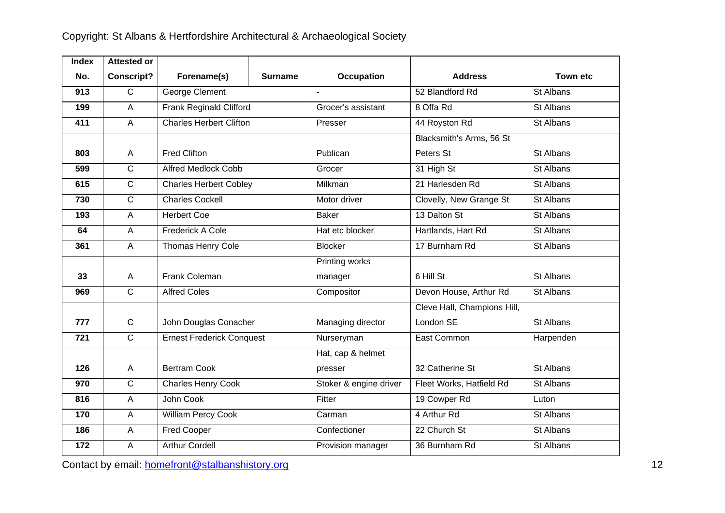| <b>Index</b> | <b>Attested or</b> |                                  |                |                        |                             |                 |
|--------------|--------------------|----------------------------------|----------------|------------------------|-----------------------------|-----------------|
| No.          | <b>Conscript?</b>  | Forename(s)                      | <b>Surname</b> | Occupation             | <b>Address</b>              | <b>Town etc</b> |
| 913          | $\overline{C}$     | <b>George Clement</b>            |                | $\sim$                 | 52 Blandford Rd             | St Albans       |
| 199          | $\overline{A}$     | Frank Reginald Clifford          |                | Grocer's assistant     | 8 Offa Rd                   | St Albans       |
| 411          | $\overline{A}$     | <b>Charles Herbert Clifton</b>   |                | Presser                | 44 Royston Rd               | St Albans       |
|              |                    |                                  |                |                        | Blacksmith's Arms, 56 St    |                 |
| 803          | A                  | <b>Fred Clifton</b>              |                | Publican               | Peters St                   | St Albans       |
| 599          | $\overline{C}$     | <b>Alfred Medlock Cobb</b>       |                | Grocer                 | 31 High St                  | St Albans       |
| 615          | $\overline{C}$     | <b>Charles Herbert Cobley</b>    |                | Milkman                | 21 Harlesden Rd             | St Albans       |
| 730          | $\overline{C}$     | <b>Charles Cockell</b>           |                | Motor driver           | Clovelly, New Grange St     | St Albans       |
| 193          | $\overline{A}$     | <b>Herbert Coe</b>               |                | <b>Baker</b>           | 13 Dalton St                | St Albans       |
| 64           | $\mathsf{A}$       | Frederick A Cole                 |                | Hat etc blocker        | Hartlands, Hart Rd          | St Albans       |
| 361          | $\overline{A}$     | Thomas Henry Cole                |                | <b>Blocker</b>         | 17 Burnham Rd               | St Albans       |
|              |                    |                                  |                | Printing works         |                             |                 |
| 33           | A                  | Frank Coleman                    |                | manager                | 6 Hill St                   | St Albans       |
| 969          | $\overline{C}$     | <b>Alfred Coles</b>              |                | Compositor             | Devon House, Arthur Rd      | St Albans       |
|              |                    |                                  |                |                        | Cleve Hall, Champions Hill, |                 |
| 777          | $\mathsf{C}$       | John Douglas Conacher            |                | Managing director      | London SE                   | St Albans       |
| 721          | $\overline{C}$     | <b>Ernest Frederick Conquest</b> |                | Nurseryman             | East Common                 | Harpenden       |
|              |                    |                                  |                | Hat, cap & helmet      |                             |                 |
| 126          | A                  | <b>Bertram Cook</b>              |                | presser                | 32 Catherine St             | St Albans       |
| 970          | $\overline{C}$     | Charles Henry Cook               |                | Stoker & engine driver | Fleet Works, Hatfield Rd    | St Albans       |
| 816          | $\overline{A}$     | John Cook                        |                | Fitter                 | 19 Cowper Rd                | Luton           |
| 170          | $\overline{A}$     | <b>William Percy Cook</b>        |                | Carman                 | 4 Arthur Rd                 | St Albans       |
| 186          | $\overline{A}$     | <b>Fred Cooper</b>               |                | Confectioner           | 22 Church St                | St Albans       |
| 172          | A                  | <b>Arthur Cordell</b>            |                | Provision manager      | 36 Burnham Rd               | St Albans       |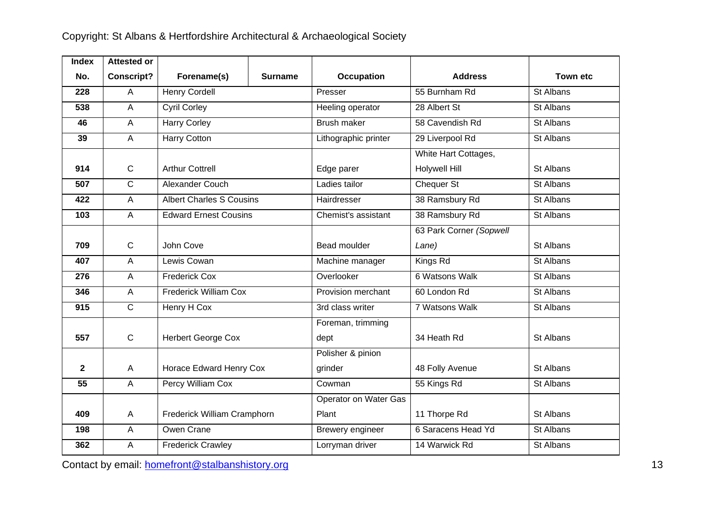| <b>Index</b> | <b>Attested or</b> |                                 |         |                       |                         |           |
|--------------|--------------------|---------------------------------|---------|-----------------------|-------------------------|-----------|
| No.          | <b>Conscript?</b>  | Forename(s)                     | Surname | Occupation            | <b>Address</b>          | Town etc  |
| 228          | A                  | Henry Cordell                   |         | Presser               | 55 Burnham Rd           | St Albans |
| 538          | $\overline{A}$     | <b>Cyril Corley</b>             |         | Heeling operator      | 28 Albert St            | St Albans |
| 46           | $\mathsf{A}$       | <b>Harry Corley</b>             |         | Brush maker           | 58 Cavendish Rd         | St Albans |
| 39           | A                  | Harry Cotton                    |         | Lithographic printer  | 29 Liverpool Rd         | St Albans |
|              |                    |                                 |         |                       | White Hart Cottages,    |           |
| 914          | $\mathsf{C}$       | <b>Arthur Cottrell</b>          |         | Edge parer            | <b>Holywell Hill</b>    | St Albans |
| 507          | $\overline{C}$     | Alexander Couch                 |         | Ladies tailor         | <b>Chequer St</b>       | St Albans |
| 422          | $\overline{A}$     | <b>Albert Charles S Cousins</b> |         | Hairdresser           | 38 Ramsbury Rd          | St Albans |
| 103          | A                  | <b>Edward Ernest Cousins</b>    |         | Chemist's assistant   | 38 Ramsbury Rd          | St Albans |
|              |                    |                                 |         |                       | 63 Park Corner (Sopwell |           |
| 709          | $\mathsf{C}$       | John Cove                       |         | Bead moulder          | Lane)                   | St Albans |
| 407          | $\mathsf{A}$       | Lewis Cowan                     |         | Machine manager       | Kings Rd                | St Albans |
| 276          | $\overline{A}$     | <b>Frederick Cox</b>            |         | Overlooker            | 6 Watsons Walk          | St Albans |
| 346          | $\overline{A}$     | <b>Frederick William Cox</b>    |         | Provision merchant    | 60 London Rd            | St Albans |
| 915          | $\mathsf{C}$       | Henry H Cox                     |         | 3rd class writer      | 7 Watsons Walk          | St Albans |
|              |                    |                                 |         | Foreman, trimming     |                         |           |
| 557          | $\mathbf C$        | <b>Herbert George Cox</b>       |         | dept                  | 34 Heath Rd             | St Albans |
|              |                    |                                 |         | Polisher & pinion     |                         |           |
| $\mathbf{2}$ | A                  | Horace Edward Henry Cox         |         | grinder               | 48 Folly Avenue         | St Albans |
| 55           | A                  | Percy William Cox               |         | Cowman                | 55 Kings Rd             | St Albans |
|              |                    |                                 |         | Operator on Water Gas |                         |           |
| 409          | $\mathsf{A}$       | Frederick William Cramphorn     |         | Plant                 | 11 Thorpe Rd            | St Albans |
| 198          | A                  | Owen Crane                      |         | Brewery engineer      | 6 Saracens Head Yd      | St Albans |
| 362          | A                  | <b>Frederick Crawley</b>        |         | Lorryman driver       | 14 Warwick Rd           | St Albans |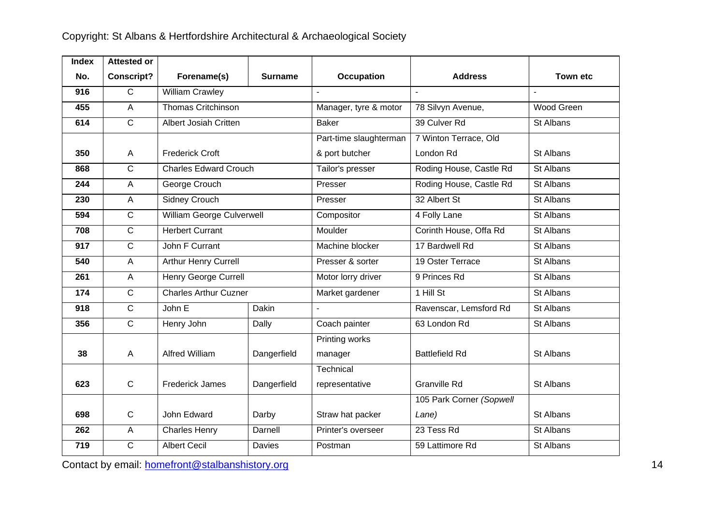| <b>Index</b> | <b>Attested or</b> |                              |                |                        |                          |                |
|--------------|--------------------|------------------------------|----------------|------------------------|--------------------------|----------------|
| No.          | <b>Conscript?</b>  | Forename(s)                  | <b>Surname</b> | <b>Occupation</b>      | <b>Address</b>           | Town etc       |
| 916          | $\mathsf{C}$       | <b>William Crawley</b>       |                |                        |                          | $\overline{a}$ |
| 455          | $\overline{A}$     | <b>Thomas Critchinson</b>    |                | Manager, tyre & motor  | 78 Silvyn Avenue,        | Wood Green     |
| 614          | $\overline{C}$     | Albert Josiah Critten        |                | <b>Baker</b>           | 39 Culver Rd             | St Albans      |
|              |                    |                              |                | Part-time slaughterman | 7 Winton Terrace, Old    |                |
| 350          | A                  | <b>Frederick Croft</b>       |                | & port butcher         | London Rd                | St Albans      |
| 868          | $\overline{C}$     | <b>Charles Edward Crouch</b> |                | Tailor's presser       | Roding House, Castle Rd  | St Albans      |
| 244          | $\overline{A}$     | George Crouch                |                | Presser                | Roding House, Castle Rd  | St Albans      |
| 230          | A                  | <b>Sidney Crouch</b>         |                | Presser                | 32 Albert St             | St Albans      |
| 594          | $\mathsf{C}$       | William George Culverwell    |                | Compositor             | 4 Folly Lane             | St Albans      |
| 708          | $\overline{C}$     | <b>Herbert Currant</b>       |                | Moulder                | Corinth House, Offa Rd   | St Albans      |
| 917          | $\mathsf{C}$       | John F Currant               |                | Machine blocker        | 17 Bardwell Rd           | St Albans      |
| 540          | $\mathsf{A}$       | Arthur Henry Currell         |                | Presser & sorter       | 19 Oster Terrace         | St Albans      |
| 261          | A                  | Henry George Currell         |                | Motor lorry driver     | 9 Princes Rd             | St Albans      |
| 174          | $\overline{C}$     | <b>Charles Arthur Cuzner</b> |                | Market gardener        | 1 Hill St                | St Albans      |
| 918          | $\overline{C}$     | John E                       | Dakin          |                        | Ravenscar, Lemsford Rd   | St Albans      |
| 356          | $\overline{C}$     | Henry John                   | Dally          | Coach painter          | 63 London Rd             | St Albans      |
|              |                    |                              |                | Printing works         |                          |                |
| 38           | $\mathsf{A}$       | Alfred William               | Dangerfield    | manager                | <b>Battlefield Rd</b>    | St Albans      |
|              |                    |                              |                | Technical              |                          |                |
| 623          | $\mathsf{C}$       | <b>Frederick James</b>       | Dangerfield    | representative         | <b>Granville Rd</b>      | St Albans      |
|              |                    |                              |                |                        | 105 Park Corner (Sopwell |                |
| 698          | $\mathsf{C}$       | John Edward                  | Darby          | Straw hat packer       | Lane)                    | St Albans      |
| 262          | A                  | <b>Charles Henry</b>         | Darnell        | Printer's overseer     | 23 Tess Rd               | St Albans      |
| 719          | $\mathsf{C}$       | <b>Albert Cecil</b>          | Davies         | Postman                | 59 Lattimore Rd          | St Albans      |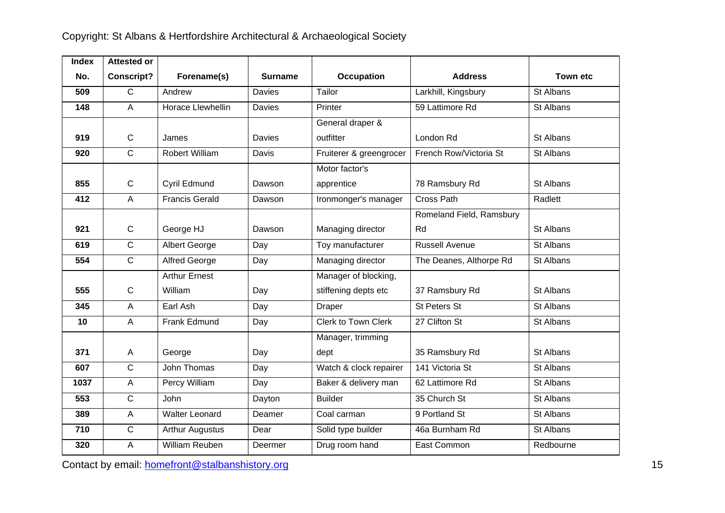| <b>Index</b> | <b>Attested or</b> |                          |                |                            |                          |                 |
|--------------|--------------------|--------------------------|----------------|----------------------------|--------------------------|-----------------|
| No.          | <b>Conscript?</b>  | Forename(s)              | <b>Surname</b> | <b>Occupation</b>          | <b>Address</b>           | <b>Town etc</b> |
| 509          | $\overline{C}$     | Andrew                   | <b>Davies</b>  | Tailor                     | Larkhill, Kingsbury      | St Albans       |
| 148          | A                  | <b>Horace Llewhellin</b> | Davies         | Printer                    | 59 Lattimore Rd          | St Albans       |
|              |                    |                          |                | General draper &           |                          |                 |
| 919          | $\mathbf C$        | James                    | Davies         | outfitter                  | London Rd                | St Albans       |
| 920          | C                  | <b>Robert William</b>    | Davis          | Fruiterer & greengrocer    | French Row/Victoria St   | St Albans       |
|              |                    |                          |                | Motor factor's             |                          |                 |
| 855          | $\mathbf C$        | Cyril Edmund             | Dawson         | apprentice                 | 78 Ramsbury Rd           | St Albans       |
| 412          | A                  | <b>Francis Gerald</b>    | Dawson         | Ironmonger's manager       | <b>Cross Path</b>        | Radlett         |
|              |                    |                          |                |                            | Romeland Field, Ramsbury |                 |
| 921          | $\mathsf{C}$       | George HJ                | Dawson         | Managing director          | Rd                       | St Albans       |
| 619          | $\overline{C}$     | Albert George            | Day            | Toy manufacturer           | <b>Russell Avenue</b>    | St Albans       |
| 554          | $\overline{C}$     | <b>Alfred George</b>     | Day            | Managing director          | The Deanes, Althorpe Rd  | St Albans       |
|              |                    | <b>Arthur Ernest</b>     |                | Manager of blocking,       |                          |                 |
| 555          | $\mathbf C$        | William                  | Day            | stiffening depts etc       | 37 Ramsbury Rd           | St Albans       |
| 345          | A                  | Earl Ash                 | Day            | Draper                     | <b>St Peters St</b>      | St Albans       |
| 10           | A                  | Frank Edmund             | Day            | <b>Clerk to Town Clerk</b> | 27 Clifton St            | St Albans       |
|              |                    |                          |                | Manager, trimming          |                          |                 |
| 371          | A                  | George                   | Day            | dept                       | 35 Ramsbury Rd           | St Albans       |
| 607          | $\mathsf{C}$       | John Thomas              | Day            | Watch & clock repairer     | 141 Victoria St          | St Albans       |
| 1037         | A                  | Percy William            | Day            | Baker & delivery man       | 62 Lattimore Rd          | St Albans       |
| 553          | $\overline{C}$     | John                     | Dayton         | <b>Builder</b>             | 35 Church St             | St Albans       |
| 389          | A                  | <b>Walter Leonard</b>    | Deamer         | Coal carman                | 9 Portland St            | St Albans       |
| 710          | $\mathsf{C}$       | <b>Arthur Augustus</b>   | Dear           | Solid type builder         | 46a Burnham Rd           | St Albans       |
| 320          | A                  | William Reuben           | Deermer        | Drug room hand             | East Common              | Redbourne       |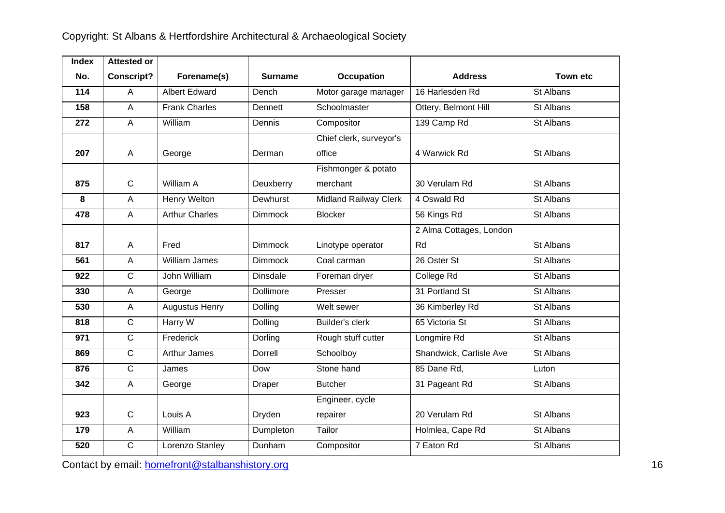| <b>Index</b>    | <b>Attested or</b> |                       |                 |                              |                         |                 |
|-----------------|--------------------|-----------------------|-----------------|------------------------------|-------------------------|-----------------|
| No.             | <b>Conscript?</b>  | Forename(s)           | <b>Surname</b>  | Occupation                   | <b>Address</b>          | <b>Town etc</b> |
| $\frac{1}{114}$ | $\overline{A}$     | <b>Albert Edward</b>  | Dench           | Motor garage manager         | 16 Harlesden Rd         | St Albans       |
| 158             | $\overline{A}$     | <b>Frank Charles</b>  | Dennett         | Schoolmaster                 | Ottery, Belmont Hill    | St Albans       |
| 272             | $\mathsf{A}$       | William               | Dennis          | Compositor                   | 139 Camp Rd             | St Albans       |
|                 |                    |                       |                 | Chief clerk, surveyor's      |                         |                 |
| 207             | $\mathsf{A}$       | George                | Derman          | office                       | 4 Warwick Rd            | St Albans       |
|                 |                    |                       |                 | Fishmonger & potato          |                         |                 |
| 875             | $\mathbf C$        | William A             | Deuxberry       | merchant                     | 30 Verulam Rd           | St Albans       |
| 8               | $\overline{A}$     | Henry Welton          | Dewhurst        | <b>Midland Railway Clerk</b> | 4 Oswald Rd             | St Albans       |
| 478             | A                  | <b>Arthur Charles</b> | <b>Dimmock</b>  | <b>Blocker</b>               | 56 Kings Rd             | St Albans       |
|                 |                    |                       |                 |                              | 2 Alma Cottages, London |                 |
| 817             | A                  | Fred                  | <b>Dimmock</b>  | Linotype operator            | Rd                      | St Albans       |
| 561             | $\overline{A}$     | <b>William James</b>  | <b>Dimmock</b>  | Coal carman                  | 26 Oster St             | St Albans       |
| 922             | $\overline{C}$     | John William          | <b>Dinsdale</b> | Foreman dryer                | College Rd              | St Albans       |
| 330             | $\overline{A}$     | George                | Dollimore       | Presser                      | 31 Portland St          | St Albans       |
| 530             | $\overline{A}$     | <b>Augustus Henry</b> | Dolling         | Welt sewer                   | 36 Kimberley Rd         | St Albans       |
| 818             | $\mathsf{C}$       | Harry W               | Dolling         | <b>Builder's clerk</b>       | 65 Victoria St          | St Albans       |
| 971             | $\overline{C}$     | Frederick             | Dorling         | Rough stuff cutter           | Longmire Rd             | St Albans       |
| 869             | $\overline{C}$     | Arthur James          | Dorrell         | Schoolboy                    | Shandwick, Carlisle Ave | St Albans       |
| 876             | $\overline{C}$     | James                 | Dow             | Stone hand                   | 85 Dane Rd,             | Luton           |
| 342             | $\mathsf{A}$       | George                | Draper          | <b>Butcher</b>               | 31 Pageant Rd           | St Albans       |
|                 |                    |                       |                 | Engineer, cycle              |                         |                 |
| 923             | $\mathsf{C}$       | Louis A               | Dryden          | repairer                     | 20 Verulam Rd           | St Albans       |
| 179             | $\mathsf{A}$       | William               | Dumpleton       | Tailor                       | Holmlea, Cape Rd        | St Albans       |
| 520             | $\mathsf{C}$       | Lorenzo Stanley       | Dunham          | Compositor                   | 7 Eaton Rd              | St Albans       |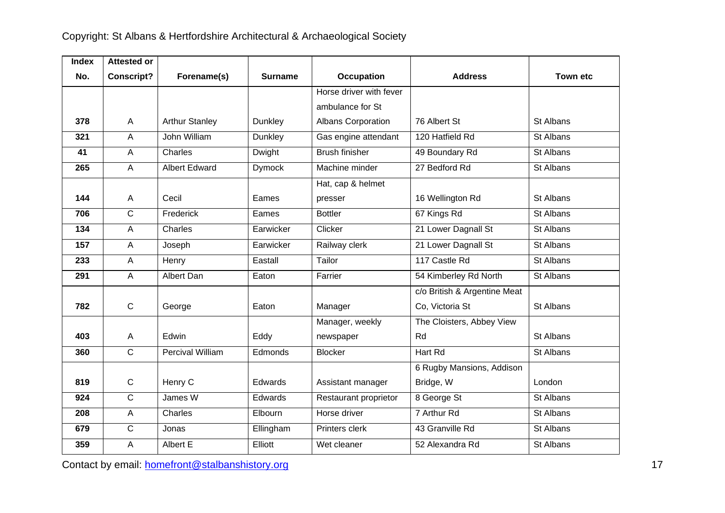| <b>Index</b> | <b>Attested or</b> |                         |                |                         |                              |                 |
|--------------|--------------------|-------------------------|----------------|-------------------------|------------------------------|-----------------|
| No.          | <b>Conscript?</b>  | Forename(s)             | <b>Surname</b> | <b>Occupation</b>       | <b>Address</b>               | <b>Town etc</b> |
|              |                    |                         |                | Horse driver with fever |                              |                 |
|              |                    |                         |                | ambulance for St        |                              |                 |
| 378          | A                  | <b>Arthur Stanley</b>   | Dunkley        | Albans Corporation      | 76 Albert St                 | St Albans       |
| 321          | A                  | John William            | Dunkley        | Gas engine attendant    | 120 Hatfield Rd              | St Albans       |
| 41           | A                  | Charles                 | Dwight         | <b>Brush finisher</b>   | 49 Boundary Rd               | St Albans       |
| 265          | $\overline{A}$     | <b>Albert Edward</b>    | <b>Dymock</b>  | Machine minder          | 27 Bedford Rd                | St Albans       |
|              |                    |                         |                | Hat, cap & helmet       |                              |                 |
| 144          | A                  | Cecil                   | Eames          | presser                 | 16 Wellington Rd             | St Albans       |
| 706          | $\overline{C}$     | Frederick               | Eames          | <b>Bottler</b>          | 67 Kings Rd                  | St Albans       |
| 134          | $\overline{A}$     | Charles                 | Earwicker      | Clicker                 | 21 Lower Dagnall St          | St Albans       |
| 157          | A                  | Joseph                  | Earwicker      | Railway clerk           | 21 Lower Dagnall St          | St Albans       |
| 233          | A                  | Henry                   | Eastall        | Tailor                  | 117 Castle Rd                | St Albans       |
| 291          | A                  | Albert Dan              | Eaton          | Farrier                 | 54 Kimberley Rd North        | St Albans       |
|              |                    |                         |                |                         | c/o British & Argentine Meat |                 |
| 782          | $\mathbf C$        | George                  | Eaton          | Manager                 | Co, Victoria St              | St Albans       |
|              |                    |                         |                | Manager, weekly         | The Cloisters, Abbey View    |                 |
| 403          | A                  | Edwin                   | Eddy           | newspaper               | Rd                           | St Albans       |
| 360          | $\overline{C}$     | <b>Percival William</b> | Edmonds        | <b>Blocker</b>          | Hart Rd                      | St Albans       |
|              |                    |                         |                |                         | 6 Rugby Mansions, Addison    |                 |
| 819          | $\mathsf{C}$       | Henry C                 | Edwards        | Assistant manager       | Bridge, W                    | London          |
| 924          | $\overline{C}$     | James W                 | Edwards        | Restaurant proprietor   | 8 George St                  | St Albans       |
| 208          | $\overline{A}$     | Charles                 | Elbourn        | Horse driver            | 7 Arthur Rd                  | St Albans       |
| 679          | $\overline{C}$     | Jonas                   | Ellingham      | Printers clerk          | 43 Granville Rd              | St Albans       |
| 359          | $\overline{A}$     | Albert E                | Elliott        | Wet cleaner             | 52 Alexandra Rd              | St Albans       |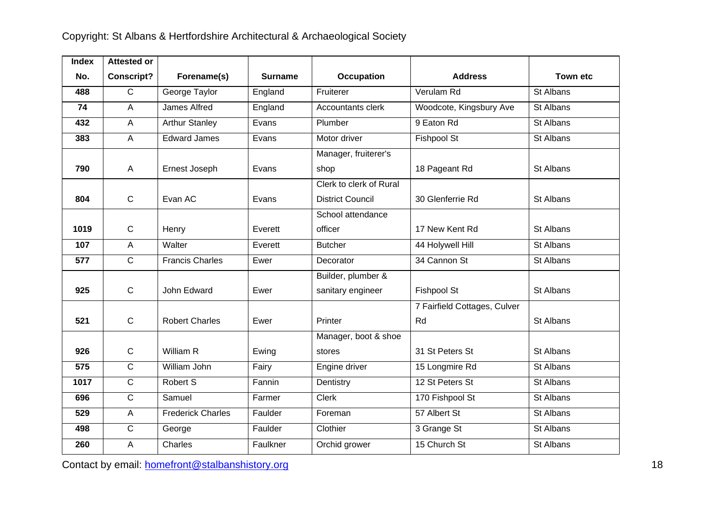| <b>Index</b> | <b>Attested or</b> |                          |                |                         |                              |                 |
|--------------|--------------------|--------------------------|----------------|-------------------------|------------------------------|-----------------|
| No.          | <b>Conscript?</b>  | Forename(s)              | <b>Surname</b> | <b>Occupation</b>       | <b>Address</b>               | <b>Town etc</b> |
| 488          | $\overline{C}$     | George Taylor            | England        | Fruiterer               | Verulam Rd                   | St Albans       |
| 74           | $\overline{A}$     | James Alfred             | England        | Accountants clerk       | Woodcote, Kingsbury Ave      | St Albans       |
| 432          | A                  | <b>Arthur Stanley</b>    | Evans          | Plumber                 | 9 Eaton Rd                   | St Albans       |
| 383          | $\overline{A}$     | <b>Edward James</b>      | Evans          | Motor driver            | Fishpool St                  | St Albans       |
|              |                    |                          |                | Manager, fruiterer's    |                              |                 |
| 790          | A                  | Ernest Joseph            | Evans          | shop                    | 18 Pageant Rd                | St Albans       |
|              |                    |                          |                | Clerk to clerk of Rural |                              |                 |
| 804          | $\mathbf C$        | Evan AC                  | Evans          | <b>District Council</b> | 30 Glenferrie Rd             | St Albans       |
|              |                    |                          |                | School attendance       |                              |                 |
| 1019         | $\mathbf C$        | Henry                    | Everett        | officer                 | 17 New Kent Rd               | St Albans       |
| 107          | A                  | Walter                   | Everett        | <b>Butcher</b>          | 44 Holywell Hill             | St Albans       |
| 577          | $\mathsf{C}$       | <b>Francis Charles</b>   | Ewer           | Decorator               | 34 Cannon St                 | St Albans       |
|              |                    |                          |                | Builder, plumber &      |                              |                 |
| 925          | $\mathbf C$        | John Edward              | Ewer           | sanitary engineer       | <b>Fishpool St</b>           | St Albans       |
|              |                    |                          |                |                         | 7 Fairfield Cottages, Culver |                 |
| 521          | $\mathbf C$        | <b>Robert Charles</b>    | Ewer           | Printer                 | Rd                           | St Albans       |
|              |                    |                          |                | Manager, boot & shoe    |                              |                 |
| 926          | $\mathsf{C}$       | William R                | Ewing          | stores                  | 31 St Peters St              | St Albans       |
| 575          | $\overline{C}$     | William John             | Fairy          | Engine driver           | 15 Longmire Rd               | St Albans       |
| 1017         | C                  | Robert S                 | Fannin         | Dentistry               | 12 St Peters St              | St Albans       |
| 696          | $\overline{C}$     | Samuel                   | Farmer         | <b>Clerk</b>            | 170 Fishpool St              | St Albans       |
| 529          | $\mathsf{A}$       | <b>Frederick Charles</b> | Faulder        | Foreman                 | 57 Albert St                 | St Albans       |
| 498          | $\overline{C}$     | George                   | Faulder        | Clothier                | 3 Grange St                  | St Albans       |
| 260          | A                  | Charles                  | Faulkner       | Orchid grower           | 15 Church St                 | St Albans       |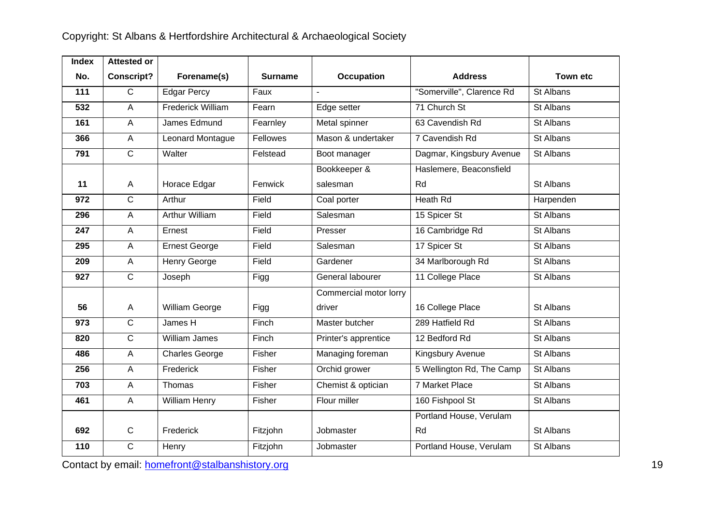| <b>Index</b> | <b>Attested or</b> |                          |          |                        |                           |                 |
|--------------|--------------------|--------------------------|----------|------------------------|---------------------------|-----------------|
| No.          | <b>Conscript?</b>  | Forename(s)              | Surname  | <b>Occupation</b>      | <b>Address</b>            | <b>Town etc</b> |
| 111          | $\overline{C}$     | <b>Edgar Percy</b>       | Faux     |                        | "Somerville", Clarence Rd | St Albans       |
| 532          | $\overline{A}$     | <b>Frederick William</b> | Fearn    | Edge setter            | 71 Church St              | St Albans       |
| 161          | $\overline{A}$     | James Edmund             | Fearnley | Metal spinner          | 63 Cavendish Rd           | St Albans       |
| 366          | $\mathsf{A}$       | Leonard Montague         | Fellowes | Mason & undertaker     | 7 Cavendish Rd            | St Albans       |
| 791          | $\overline{C}$     | Walter                   | Felstead | Boot manager           | Dagmar, Kingsbury Avenue  | St Albans       |
|              |                    |                          |          | Bookkeeper &           | Haslemere, Beaconsfield   |                 |
| 11           | $\mathsf{A}$       | Horace Edgar             | Fenwick  | salesman               | Rd                        | St Albans       |
| 972          | $\overline{C}$     | Arthur                   | Field    | Coal porter            | Heath Rd                  | Harpenden       |
| 296          | $\overline{A}$     | <b>Arthur William</b>    | Field    | Salesman               | 15 Spicer St              | St Albans       |
| 247          | $\overline{A}$     | Ernest                   | Field    | Presser                | 16 Cambridge Rd           | St Albans       |
| 295          | $\overline{A}$     | <b>Ernest George</b>     | Field    | Salesman               | 17 Spicer St              | St Albans       |
| 209          | $\mathsf{A}$       | Henry George             | Field    | Gardener               | 34 Marlborough Rd         | St Albans       |
| 927          | $\overline{C}$     | Joseph                   | Figg     | General labourer       | 11 College Place          | St Albans       |
|              |                    |                          |          | Commercial motor lorry |                           |                 |
| 56           | $\mathsf{A}$       | William George           | Figg     | driver                 | 16 College Place          | St Albans       |
| 973          | $\overline{C}$     | James H                  | Finch    | Master butcher         | 289 Hatfield Rd           | St Albans       |
| 820          | $\overline{C}$     | William James            | Finch    | Printer's apprentice   | 12 Bedford Rd             | St Albans       |
| 486          | $\overline{A}$     | Charles George           | Fisher   | Managing foreman       | Kingsbury Avenue          | St Albans       |
| 256          | $\overline{A}$     | Frederick                | Fisher   | Orchid grower          | 5 Wellington Rd, The Camp | St Albans       |
| 703          | $\overline{A}$     | Thomas                   | Fisher   | Chemist & optician     | 7 Market Place            | St Albans       |
| 461          | $\overline{A}$     | <b>William Henry</b>     | Fisher   | Flour miller           | 160 Fishpool St           | St Albans       |
|              |                    |                          |          |                        | Portland House, Verulam   |                 |
| 692          | $\mathsf{C}$       | Frederick                | Fitzjohn | Jobmaster              | Rd                        | St Albans       |
| 110          | $\overline{C}$     | Henry                    | Fitzjohn | Jobmaster              | Portland House, Verulam   | St Albans       |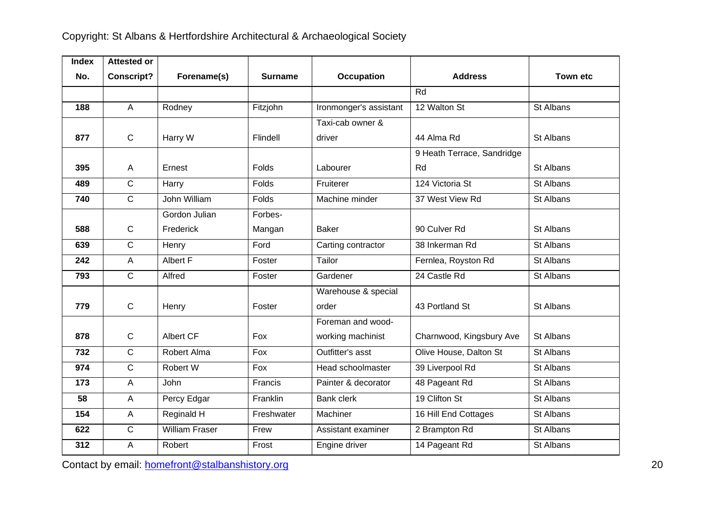| <b>Index</b> | <b>Attested or</b> |                       |                |                        |                            |                 |
|--------------|--------------------|-----------------------|----------------|------------------------|----------------------------|-----------------|
| No.          | <b>Conscript?</b>  | Forename(s)           | <b>Surname</b> | <b>Occupation</b>      | <b>Address</b>             | <b>Town etc</b> |
|              |                    |                       |                |                        | Rd                         |                 |
| 188          | $\overline{A}$     | Rodney                | Fitzjohn       | Ironmonger's assistant | 12 Walton St               | St Albans       |
|              |                    |                       |                | Taxi-cab owner &       |                            |                 |
| 877          | $\mathbf C$        | Harry W               | Flindell       | driver                 | 44 Alma Rd                 | St Albans       |
|              |                    |                       |                |                        | 9 Heath Terrace, Sandridge |                 |
| 395          | A                  | Ernest                | <b>Folds</b>   | Labourer               | Rd                         | St Albans       |
| 489          | $\overline{C}$     | Harry                 | Folds          | Fruiterer              | 124 Victoria St            | St Albans       |
| 740          | $\overline{C}$     | John William          | Folds          | Machine minder         | 37 West View Rd            | St Albans       |
|              |                    | Gordon Julian         | Forbes-        |                        |                            |                 |
| 588          | $\mathsf{C}$       | Frederick             | Mangan         | <b>Baker</b>           | 90 Culver Rd               | St Albans       |
| 639          | $\overline{C}$     | Henry                 | Ford           | Carting contractor     | 38 Inkerman Rd             | St Albans       |
| 242          | A                  | Albert F              | Foster         | Tailor                 | Fernlea, Royston Rd        | St Albans       |
| 793          | C                  | Alfred                | Foster         | Gardener               | 24 Castle Rd               | St Albans       |
|              |                    |                       |                | Warehouse & special    |                            |                 |
| 779          | $\mathbf C$        | Henry                 | Foster         | order                  | 43 Portland St             | St Albans       |
|              |                    |                       |                | Foreman and wood-      |                            |                 |
| 878          | $\mathsf{C}$       | <b>Albert CF</b>      | Fox            | working machinist      | Charnwood, Kingsbury Ave   | St Albans       |
| 732          | $\mathsf{C}$       | Robert Alma           | Fox            | Outfitter's asst       | Olive House, Dalton St     | St Albans       |
| 974          | $\mathsf{C}$       | Robert W              | <b>Fox</b>     | Head schoolmaster      | 39 Liverpool Rd            | St Albans       |
| 173          | A                  | John                  | Francis        | Painter & decorator    | 48 Pageant Rd              | St Albans       |
| 58           | A                  | Percy Edgar           | Franklin       | <b>Bank clerk</b>      | 19 Clifton St              | St Albans       |
| 154          | A                  | Reginald H            | Freshwater     | Machiner               | 16 Hill End Cottages       | St Albans       |
| 622          | $\overline{C}$     | <b>William Fraser</b> | Frew           | Assistant examiner     | 2 Brampton Rd              | St Albans       |
| 312          | A                  | Robert                | Frost          | Engine driver          | 14 Pageant Rd              | St Albans       |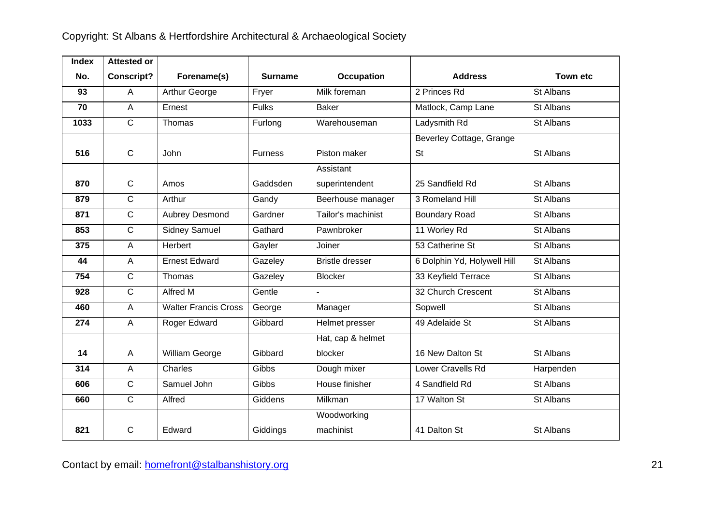| <b>Index</b> | <b>Attested or</b> |                             |                |                        |                             |                 |
|--------------|--------------------|-----------------------------|----------------|------------------------|-----------------------------|-----------------|
| No.          | <b>Conscript?</b>  | Forename(s)                 | <b>Surname</b> | <b>Occupation</b>      | <b>Address</b>              | <b>Town etc</b> |
| 93           | A                  | Arthur George               | Fryer          | Milk foreman           | 2 Princes Rd                | St Albans       |
| 70           | $\overline{A}$     | Ernest                      | <b>Fulks</b>   | <b>Baker</b>           | Matlock, Camp Lane          | St Albans       |
| 1033         | $\mathsf{C}$       | Thomas                      | Furlong        | Warehouseman           | Ladysmith Rd                | St Albans       |
|              |                    |                             |                |                        | Beverley Cottage, Grange    |                 |
| 516          | $\mathsf{C}$       | John                        | <b>Furness</b> | Piston maker           | <b>St</b>                   | St Albans       |
|              |                    |                             |                | Assistant              |                             |                 |
| 870          | $\mathbf C$        | Amos                        | Gaddsden       | superintendent         | 25 Sandfield Rd             | St Albans       |
| 879          | $\mathsf{C}$       | Arthur                      | Gandy          | Beerhouse manager      | 3 Romeland Hill             | St Albans       |
| 871          | $\overline{C}$     | <b>Aubrey Desmond</b>       | Gardner        | Tailor's machinist     | <b>Boundary Road</b>        | St Albans       |
| 853          | $\mathsf{C}$       | <b>Sidney Samuel</b>        | Gathard        | Pawnbroker             | 11 Worley Rd                | St Albans       |
| 375          | $\overline{A}$     | Herbert                     | Gayler         | Joiner                 | 53 Catherine St             | St Albans       |
| 44           | $\overline{A}$     | <b>Ernest Edward</b>        | Gazeley        | <b>Bristle dresser</b> | 6 Dolphin Yd, Holywell Hill | St Albans       |
| 754          | $\overline{C}$     | Thomas                      | Gazeley        | <b>Blocker</b>         | 33 Keyfield Terrace         | St Albans       |
| 928          | $\overline{C}$     | Alfred M                    | Gentle         | $\blacksquare$         | 32 Church Crescent          | St Albans       |
| 460          | $\mathsf A$        | <b>Walter Francis Cross</b> | George         | Manager                | Sopwell                     | St Albans       |
| 274          | A                  | Roger Edward                | Gibbard        | Helmet presser         | 49 Adelaide St              | St Albans       |
|              |                    |                             |                | Hat, cap & helmet      |                             |                 |
| 14           | $\overline{A}$     | William George              | Gibbard        | blocker                | 16 New Dalton St            | St Albans       |
| 314          | A                  | Charles                     | Gibbs          | Dough mixer            | <b>Lower Cravells Rd</b>    | Harpenden       |
| 606          | $\overline{C}$     | Samuel John                 | Gibbs          | House finisher         | 4 Sandfield Rd              | St Albans       |
| 660          | $\mathsf{C}$       | Alfred                      | Giddens        | Milkman                | 17 Walton St                | St Albans       |
|              |                    |                             |                | Woodworking            |                             |                 |
| 821          | $\mathsf{C}$       | Edward                      | Giddings       | machinist              | 41 Dalton St                | St Albans       |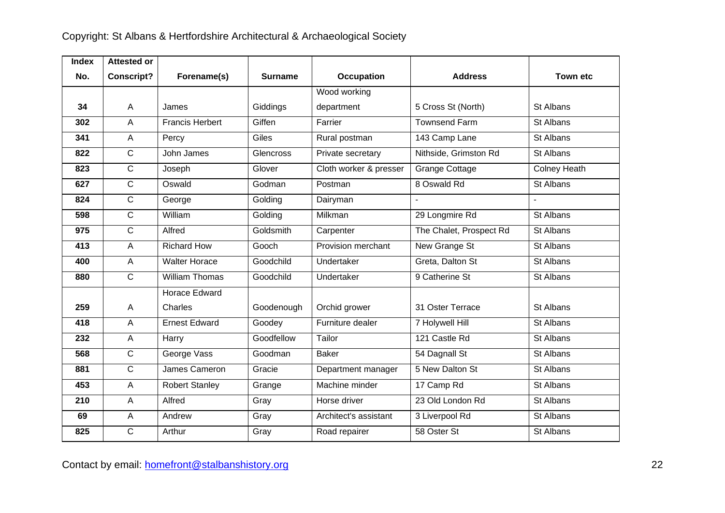| <b>Index</b> | <b>Attested or</b> |                        |                |                        |                         |                     |
|--------------|--------------------|------------------------|----------------|------------------------|-------------------------|---------------------|
| No.          | <b>Conscript?</b>  | Forename(s)            | <b>Surname</b> | <b>Occupation</b>      | <b>Address</b>          | <b>Town etc</b>     |
|              |                    |                        |                | Wood working           |                         |                     |
| 34           | $\mathsf{A}$       | James                  | Giddings       | department             | 5 Cross St (North)      | St Albans           |
| 302          | $\overline{A}$     | <b>Francis Herbert</b> | Giffen         | Farrier                | <b>Townsend Farm</b>    | St Albans           |
| 341          | $\overline{A}$     | Percy                  | Giles          | Rural postman          | 143 Camp Lane           | St Albans           |
| 822          | $\overline{C}$     | John James             | Glencross      | Private secretary      | Nithside, Grimston Rd   | St Albans           |
| 823          | $\overline{C}$     | Joseph                 | Glover         | Cloth worker & presser | <b>Grange Cottage</b>   | <b>Colney Heath</b> |
| 627          | $\overline{C}$     | Oswald                 | Godman         | Postman                | 8 Oswald Rd             | St Albans           |
| 824          | $\overline{C}$     | George                 | Golding        | Dairyman               |                         |                     |
| 598          | $\overline{C}$     | William                | Golding        | Milkman                | 29 Longmire Rd          | St Albans           |
| 975          | $\overline{C}$     | Alfred                 | Goldsmith      | Carpenter              | The Chalet, Prospect Rd | St Albans           |
| 413          | A                  | <b>Richard How</b>     | Gooch          | Provision merchant     | <b>New Grange St</b>    | St Albans           |
| 400          | $\overline{A}$     | <b>Walter Horace</b>   | Goodchild      | Undertaker             | Greta, Dalton St        | St Albans           |
| 880          | $\overline{C}$     | <b>William Thomas</b>  | Goodchild      | Undertaker             | 9 Catherine St          | St Albans           |
|              |                    | Horace Edward          |                |                        |                         |                     |
| 259          | $\mathsf{A}$       | Charles                | Goodenough     | Orchid grower          | 31 Oster Terrace        | St Albans           |
| 418          | A                  | <b>Ernest Edward</b>   | Goodey         | Furniture dealer       | 7 Holywell Hill         | St Albans           |
| 232          | $\mathsf{A}$       | Harry                  | Goodfellow     | Tailor                 | 121 Castle Rd           | St Albans           |
| 568          | $\mathsf{C}$       | George Vass            | Goodman        | <b>Baker</b>           | 54 Dagnall St           | St Albans           |
| 881          | $\overline{C}$     | James Cameron          | Gracie         | Department manager     | 5 New Dalton St         | St Albans           |
| 453          | $\overline{A}$     | <b>Robert Stanley</b>  | Grange         | Machine minder         | 17 Camp Rd              | St Albans           |
| 210          | A                  | Alfred                 | Gray           | Horse driver           | 23 Old London Rd        | St Albans           |
| 69           | $\mathsf{A}$       | Andrew                 | Gray           | Architect's assistant  | 3 Liverpool Rd          | St Albans           |
| 825          | $\mathsf{C}$       | Arthur                 | Gray           | Road repairer          | 58 Oster St             | St Albans           |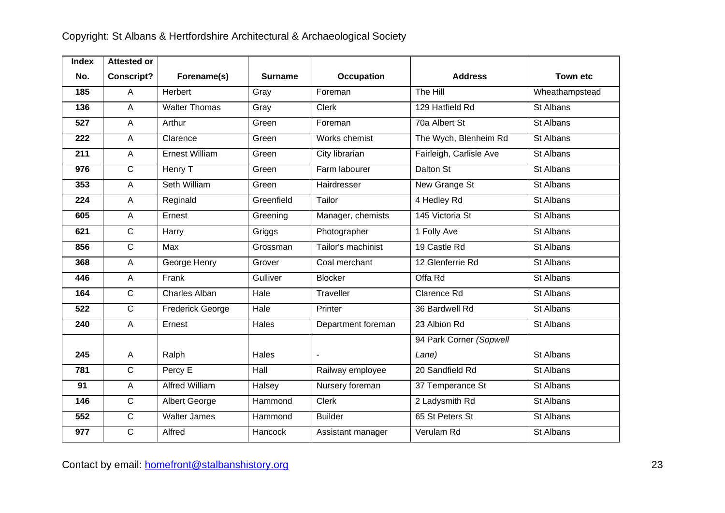| <b>Index</b> | <b>Attested or</b> |                         |                |                    |                         |                 |
|--------------|--------------------|-------------------------|----------------|--------------------|-------------------------|-----------------|
| No.          | <b>Conscript?</b>  | Forename(s)             | <b>Surname</b> | Occupation         | <b>Address</b>          | <b>Town etc</b> |
| 185          | A                  | Herbert                 | Gray           | Foreman            | The Hill                | Wheathampstead  |
| 136          | $\overline{A}$     | <b>Walter Thomas</b>    | Gray           | <b>Clerk</b>       | 129 Hatfield Rd         | St Albans       |
| 527          | A                  | Arthur                  | Green          | Foreman            | 70a Albert St           | St Albans       |
| 222          | $\overline{A}$     | Clarence                | Green          | Works chemist      | The Wych, Blenheim Rd   | St Albans       |
| 211          | $\overline{A}$     | <b>Ernest William</b>   | Green          | City librarian     | Fairleigh, Carlisle Ave | St Albans       |
| 976          | $\overline{C}$     | Henry T                 | Green          | Farm labourer      | Dalton St               | St Albans       |
| 353          | A                  | Seth William            | Green          | Hairdresser        | <b>New Grange St</b>    | St Albans       |
| 224          | $\overline{A}$     | Reginald                | Greenfield     | Tailor             | 4 Hedley Rd             | St Albans       |
| 605          | A                  | Ernest                  | Greening       | Manager, chemists  | 145 Victoria St         | St Albans       |
| 621          | $\overline{C}$     | Harry                   | Griggs         | Photographer       | 1 Folly Ave             | St Albans       |
| 856          | $\overline{C}$     | Max                     | Grossman       | Tailor's machinist | 19 Castle Rd            | St Albans       |
| 368          | $\mathsf A$        | George Henry            | Grover         | Coal merchant      | 12 Glenferrie Rd        | St Albans       |
| 446          | $\mathsf A$        | Frank                   | Gulliver       | <b>Blocker</b>     | Offa Rd                 | St Albans       |
| 164          | $\mathsf{C}$       | <b>Charles Alban</b>    | Hale           | Traveller          | <b>Clarence Rd</b>      | St Albans       |
| 522          | $\overline{C}$     | <b>Frederick George</b> | Hale           | Printer            | 36 Bardwell Rd          | St Albans       |
| 240          | $\overline{A}$     | Ernest                  | Hales          | Department foreman | 23 Albion Rd            | St Albans       |
|              |                    |                         |                |                    | 94 Park Corner (Sopwell |                 |
| 245          | $\overline{A}$     | Ralph                   | Hales          |                    | Lane)                   | St Albans       |
| 781          | $\overline{C}$     | Percy E                 | Hall           | Railway employee   | 20 Sandfield Rd         | St Albans       |
| 91           | $\overline{A}$     | <b>Alfred William</b>   | Halsey         | Nursery foreman    | 37 Temperance St        | St Albans       |
| 146          | $\overline{C}$     | Albert George           | Hammond        | Clerk              | 2 Ladysmith Rd          | St Albans       |
| 552          | $\overline{C}$     | <b>Walter James</b>     | Hammond        | <b>Builder</b>     | 65 St Peters St         | St Albans       |
| 977          | $\overline{C}$     | Alfred                  | Hancock        | Assistant manager  | Verulam Rd              | St Albans       |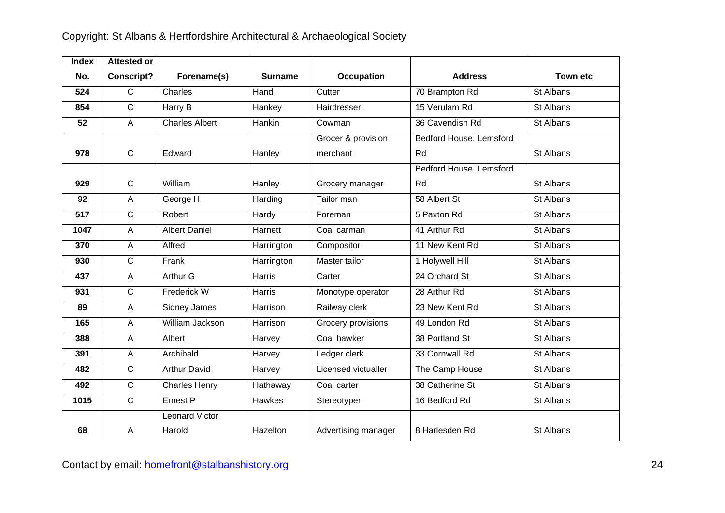| <b>Index</b> | <b>Attested or</b> |                       |                |                     |                         |                 |
|--------------|--------------------|-----------------------|----------------|---------------------|-------------------------|-----------------|
| No.          | <b>Conscript?</b>  | Forename(s)           | <b>Surname</b> | <b>Occupation</b>   | <b>Address</b>          | <b>Town etc</b> |
| 524          | $\mathsf{C}$       | Charles               | Hand           | Cutter              | 70 Brampton Rd          | St Albans       |
| 854          | $\overline{C}$     | Harry B               | Hankey         | Hairdresser         | 15 Verulam Rd           | St Albans       |
| 52           | A                  | <b>Charles Albert</b> | Hankin         | Cowman              | 36 Cavendish Rd         | St Albans       |
|              |                    |                       |                | Grocer & provision  | Bedford House, Lemsford |                 |
| 978          | $\mathsf{C}$       | Edward                | Hanley         | merchant            | Rd                      | St Albans       |
|              |                    |                       |                |                     | Bedford House, Lemsford |                 |
| 929          | $\mathsf C$        | William               | Hanley         | Grocery manager     | Rd                      | St Albans       |
| 92           | $\overline{A}$     | George H              | Harding        | Tailor man          | 58 Albert St            | St Albans       |
| 517          | $\mathsf{C}$       | Robert                | Hardy          | Foreman             | 5 Paxton Rd             | St Albans       |
| 1047         | $\overline{A}$     | <b>Albert Daniel</b>  | Harnett        | Coal carman         | 41 Arthur Rd            | St Albans       |
| 370          | $\mathsf A$        | Alfred                | Harrington     | Compositor          | 11 New Kent Rd          | St Albans       |
| 930          | $\overline{C}$     | Frank                 | Harrington     | Master tailor       | 1 Holywell Hill         | St Albans       |
| 437          | $\overline{A}$     | Arthur G              | Harris         | Carter              | 24 Orchard St           | St Albans       |
| 931          | $\overline{C}$     | Frederick W           | Harris         | Monotype operator   | 28 Arthur Rd            | St Albans       |
| 89           | $\mathsf A$        | Sidney James          | Harrison       | Railway clerk       | 23 New Kent Rd          | St Albans       |
| 165          | $\overline{A}$     | William Jackson       | Harrison       | Grocery provisions  | 49 London Rd            | St Albans       |
| 388          | $\mathsf A$        | Albert                | Harvey         | Coal hawker         | 38 Portland St          | St Albans       |
| 391          | A                  | Archibald             | Harvey         | Ledger clerk        | 33 Cornwall Rd          | St Albans       |
| 482          | $\overline{C}$     | <b>Arthur David</b>   | Harvey         | Licensed victualler | The Camp House          | St Albans       |
| 492          | $\mathsf{C}$       | <b>Charles Henry</b>  | Hathaway       | Coal carter         | 38 Catherine St         | St Albans       |
| 1015         | $\mathsf{C}$       | Ernest P              | <b>Hawkes</b>  | Stereotyper         | 16 Bedford Rd           | St Albans       |
|              |                    | <b>Leonard Victor</b> |                |                     |                         |                 |
| 68           | A                  | Harold                | Hazelton       | Advertising manager | 8 Harlesden Rd          | St Albans       |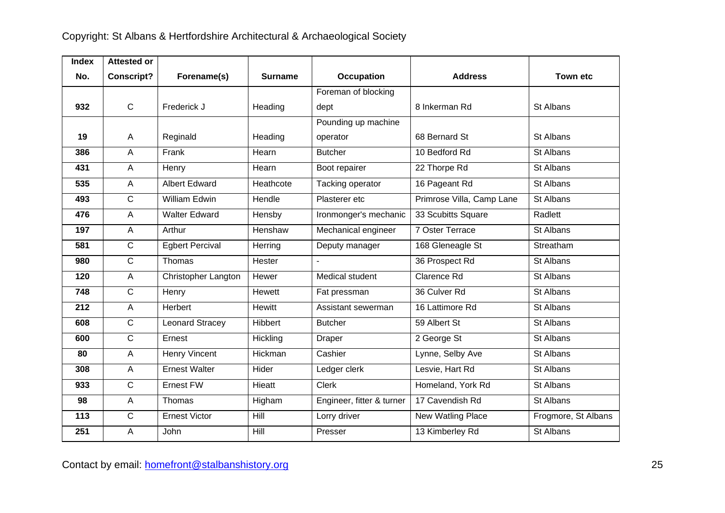| <b>Index</b> | <b>Attested or</b> |                            |                |                           |                           |                     |
|--------------|--------------------|----------------------------|----------------|---------------------------|---------------------------|---------------------|
| No.          | <b>Conscript?</b>  | Forename(s)                | <b>Surname</b> | Occupation                | <b>Address</b>            | <b>Town etc</b>     |
|              |                    |                            |                | Foreman of blocking       |                           |                     |
| 932          | $\mathbf C$        | Frederick J                | Heading        | dept                      | 8 Inkerman Rd             | St Albans           |
|              |                    |                            |                | Pounding up machine       |                           |                     |
| 19           | A                  | Reginald                   | Heading        | operator                  | 68 Bernard St             | St Albans           |
| 386          | $\overline{A}$     | Frank                      | Hearn          | <b>Butcher</b>            | 10 Bedford Rd             | St Albans           |
| 431          | A                  | Henry                      | Hearn          | Boot repairer             | 22 Thorpe Rd              | St Albans           |
| 535          | A                  | <b>Albert Edward</b>       | Heathcote      | Tacking operator          | 16 Pageant Rd             | St Albans           |
| 493          | $\mathsf{C}$       | William Edwin              | Hendle         | Plasterer etc             | Primrose Villa, Camp Lane | St Albans           |
| 476          | $\overline{A}$     | <b>Walter Edward</b>       | Hensby         | Ironmonger's mechanic     | 33 Scubitts Square        | Radlett             |
| 197          | A                  | Arthur                     | Henshaw        | Mechanical engineer       | 7 Oster Terrace           | St Albans           |
| 581          | $\mathsf{C}$       | <b>Egbert Percival</b>     | Herring        | Deputy manager            | 168 Gleneagle St          | Streatham           |
| 980          | $\overline{C}$     | Thomas                     | Hester         |                           | 36 Prospect Rd            | St Albans           |
| 120          | $\overline{A}$     | <b>Christopher Langton</b> | Hewer          | Medical student           | <b>Clarence Rd</b>        | St Albans           |
| 748          | $\mathsf{C}$       | Henry                      | Hewett         | Fat pressman              | 36 Culver Rd              | St Albans           |
| 212          | A                  | Herbert                    | Hewitt         | Assistant sewerman        | 16 Lattimore Rd           | St Albans           |
| 608          | $\overline{C}$     | Leonard Stracey            | Hibbert        | <b>Butcher</b>            | 59 Albert St              | St Albans           |
| 600          | $\overline{C}$     | Ernest                     | Hickling       | <b>Draper</b>             | 2 George St               | St Albans           |
| 80           | A                  | <b>Henry Vincent</b>       | Hickman        | Cashier                   | Lynne, Selby Ave          | St Albans           |
| 308          | A                  | <b>Ernest Walter</b>       | Hider          | Ledger clerk              | Lesvie, Hart Rd           | St Albans           |
| 933          | $\overline{C}$     | <b>Ernest FW</b>           | Hieatt         | <b>Clerk</b>              | Homeland, York Rd         | St Albans           |
| 98           | $\overline{A}$     | Thomas                     | Higham         | Engineer, fitter & turner | 17 Cavendish Rd           | St Albans           |
| 113          | $\mathsf{C}$       | <b>Ernest Victor</b>       | Hill           | Lorry driver              | New Watling Place         | Frogmore, St Albans |
| 251          | A                  | John                       | Hill           | Presser                   | 13 Kimberley Rd           | St Albans           |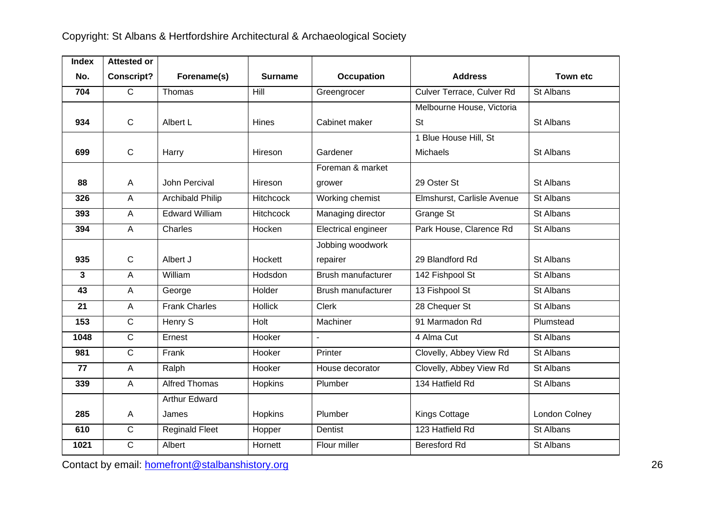| <b>Index</b> | <b>Attested or</b> |                         |                  |                     |                            |                 |
|--------------|--------------------|-------------------------|------------------|---------------------|----------------------------|-----------------|
| No.          | <b>Conscript?</b>  | Forename(s)             | <b>Surname</b>   | <b>Occupation</b>   | <b>Address</b>             | <b>Town etc</b> |
| 704          | $\mathsf{C}$       | Thomas                  | Hill             | Greengrocer         | Culver Terrace, Culver Rd  | St Albans       |
|              |                    |                         |                  |                     | Melbourne House, Victoria  |                 |
| 934          | $\mathsf{C}$       | Albert L                | <b>Hines</b>     | Cabinet maker       | <b>St</b>                  | St Albans       |
|              |                    |                         |                  |                     | 1 Blue House Hill, St      |                 |
| 699          | $\mathsf C$        | Harry                   | Hireson          | Gardener            | Michaels                   | St Albans       |
|              |                    |                         |                  | Foreman & market    |                            |                 |
| 88           | $\overline{A}$     | John Percival           | Hireson          | grower              | 29 Oster St                | St Albans       |
| 326          | $\overline{A}$     | <b>Archibald Philip</b> | <b>Hitchcock</b> | Working chemist     | Elmshurst, Carlisle Avenue | St Albans       |
| 393          | $\mathsf A$        | <b>Edward William</b>   | <b>Hitchcock</b> | Managing director   | Grange St                  | St Albans       |
| 394          | $\overline{A}$     | Charles                 | Hocken           | Electrical engineer | Park House, Clarence Rd    | St Albans       |
|              |                    |                         |                  | Jobbing woodwork    |                            |                 |
| 935          | $\mathsf{C}$       | Albert J                | Hockett          | repairer            | 29 Blandford Rd            | St Albans       |
| 3            | A                  | William                 | Hodsdon          | Brush manufacturer  | 142 Fishpool St            | St Albans       |
| 43           | $\overline{A}$     | George                  | Holder           | Brush manufacturer  | 13 Fishpool St             | St Albans       |
| 21           | $\overline{A}$     | <b>Frank Charles</b>    | Hollick          | <b>Clerk</b>        | 28 Chequer St              | St Albans       |
| 153          | $\mathsf{C}$       | Henry S                 | Holt             | Machiner            | 91 Marmadon Rd             | Plumstead       |
| 1048         | $\overline{C}$     | Ernest                  | Hooker           | $\mathbf{r}$        | 4 Alma Cut                 | St Albans       |
| 981          | $\mathsf{C}$       | Frank                   | Hooker           | Printer             | Clovelly, Abbey View Rd    | St Albans       |
| 77           | $\overline{A}$     | Ralph                   | Hooker           | House decorator     | Clovelly, Abbey View Rd    | St Albans       |
| 339          | $\overline{A}$     | <b>Alfred Thomas</b>    | Hopkins          | Plumber             | 134 Hatfield Rd            | St Albans       |
|              |                    | <b>Arthur Edward</b>    |                  |                     |                            |                 |
| 285          | $\overline{A}$     | James                   | Hopkins          | Plumber             | Kings Cottage              | London Colney   |
| 610          | $\overline{C}$     | <b>Reginald Fleet</b>   | Hopper           | Dentist             | 123 Hatfield Rd            | St Albans       |
| 1021         | $\overline{C}$     | Albert                  | Hornett          | Flour miller        | <b>Beresford Rd</b>        | St Albans       |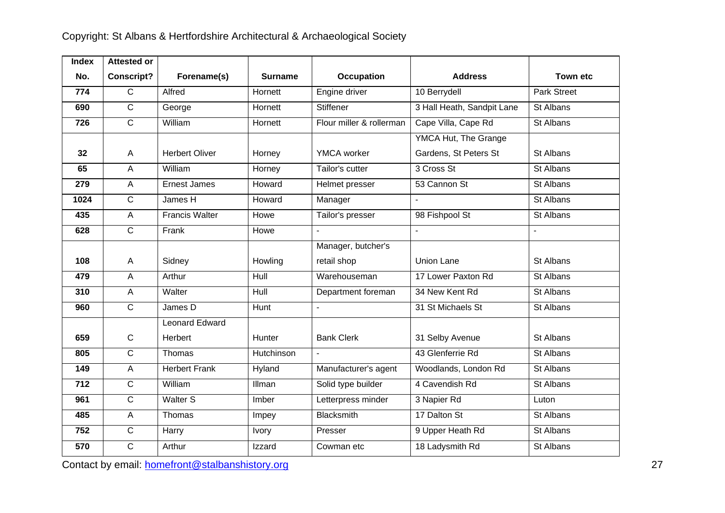| <b>Index</b> | <b>Attested or</b> |                       |                |                          |                            |                    |
|--------------|--------------------|-----------------------|----------------|--------------------------|----------------------------|--------------------|
| No.          | <b>Conscript?</b>  | Forename(s)           | <b>Surname</b> | Occupation               | <b>Address</b>             | <b>Town etc</b>    |
| 774          | $\overline{C}$     | Alfred                | Hornett        | Engine driver            | 10 Berrydell               | <b>Park Street</b> |
| 690          | $\overline{C}$     | George                | Hornett        | <b>Stiffener</b>         | 3 Hall Heath, Sandpit Lane | St Albans          |
| 726          | $\overline{C}$     | William               | Hornett        | Flour miller & rollerman | Cape Villa, Cape Rd        | St Albans          |
|              |                    |                       |                |                          | YMCA Hut, The Grange       |                    |
| 32           | A                  | <b>Herbert Oliver</b> | Horney         | YMCA worker              | Gardens, St Peters St      | St Albans          |
| 65           | $\mathsf{A}$       | William               | Horney         | Tailor's cutter          | 3 Cross St                 | St Albans          |
| 279          | $\overline{A}$     | <b>Ernest James</b>   | Howard         | Helmet presser           | 53 Cannon St               | St Albans          |
| 1024         | $\mathsf{C}$       | James H               | Howard         | Manager                  |                            | St Albans          |
| 435          | $\overline{A}$     | <b>Francis Walter</b> | Howe           | Tailor's presser         | 98 Fishpool St             | St Albans          |
| 628          | $\mathsf{C}$       | Frank                 | Howe           | $\blacksquare$           | ÷,                         | $\blacksquare$     |
|              |                    |                       |                | Manager, butcher's       |                            |                    |
| 108          | A                  | Sidney                | Howling        | retail shop              | <b>Union Lane</b>          | St Albans          |
| 479          | $\overline{A}$     | Arthur                | Hull           | Warehouseman             | 17 Lower Paxton Rd         | St Albans          |
| 310          | $\overline{A}$     | Walter                | <b>Hull</b>    | Department foreman       | 34 New Kent Rd             | St Albans          |
| 960          | $\overline{C}$     | James D               | Hunt           |                          | 31 St Michaels St          | St Albans          |
|              |                    | <b>Leonard Edward</b> |                |                          |                            |                    |
| 659          | $\mathsf{C}$       | Herbert               | Hunter         | <b>Bank Clerk</b>        | 31 Selby Avenue            | St Albans          |
| 805          | $\overline{C}$     | Thomas                | Hutchinson     |                          | 43 Glenferrie Rd           | St Albans          |
| 149          | $\overline{A}$     | <b>Herbert Frank</b>  | Hyland         | Manufacturer's agent     | Woodlands, London Rd       | St Albans          |
| 712          | $\overline{C}$     | William               | Illman         | Solid type builder       | 4 Cavendish Rd             | St Albans          |
| 961          | $\overline{C}$     | <b>Walter S</b>       | Imber          | Letterpress minder       | 3 Napier Rd                | Luton              |
| 485          | $\overline{A}$     | Thomas                | Impey          | <b>Blacksmith</b>        | 17 Dalton St               | St Albans          |
| 752          | $\mathsf{C}$       | Harry                 | <b>Ivory</b>   | Presser                  | 9 Upper Heath Rd           | St Albans          |
| 570          | $\overline{C}$     | Arthur                | Izzard         | Cowman etc               | 18 Ladysmith Rd            | St Albans          |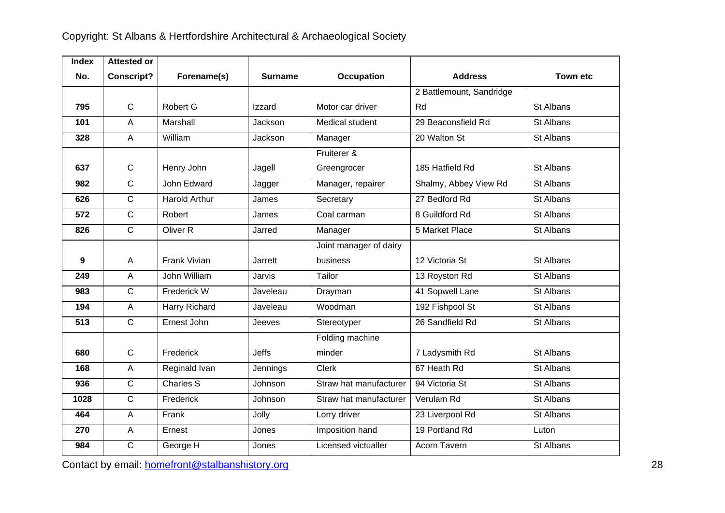| <b>Index</b> | <b>Attested or</b> |                      |                |                        |                          |                 |
|--------------|--------------------|----------------------|----------------|------------------------|--------------------------|-----------------|
| No.          | <b>Conscript?</b>  | Forename(s)          | <b>Surname</b> | <b>Occupation</b>      | <b>Address</b>           | <b>Town etc</b> |
|              |                    |                      |                |                        | 2 Battlemount, Sandridge |                 |
| 795          | $\mathsf{C}$       | Robert G             | Izzard         | Motor car driver       | Rd                       | St Albans       |
| 101          | A                  | Marshall             | Jackson        | Medical student        | 29 Beaconsfield Rd       | St Albans       |
| 328          | $\overline{A}$     | William              | Jackson        | Manager                | 20 Walton St             | St Albans       |
|              |                    |                      |                | Fruiterer &            |                          |                 |
| 637          | $\mathsf C$        | Henry John           | Jagell         | Greengrocer            | 185 Hatfield Rd          | St Albans       |
| 982          | $\mathsf{C}$       | John Edward          | Jagger         | Manager, repairer      | Shalmy, Abbey View Rd    | St Albans       |
| 626          | $\overline{C}$     | <b>Harold Arthur</b> | James          | Secretary              | 27 Bedford Rd            | St Albans       |
| 572          | $\overline{C}$     | Robert               | James          | Coal carman            | 8 Guildford Rd           | St Albans       |
| 826          | $\overline{C}$     | Oliver <sub>R</sub>  | Jarred         | Manager                | 5 Market Place           | St Albans       |
|              |                    |                      |                | Joint manager of dairy |                          |                 |
| 9            | A                  | <b>Frank Vivian</b>  | Jarrett        | business               | 12 Victoria St           | St Albans       |
| 249          | $\overline{A}$     | John William         | Jarvis         | Tailor                 | 13 Royston Rd            | St Albans       |
| 983          | $\overline{C}$     | Frederick W          | Javeleau       | Drayman                | 41 Sopwell Lane          | St Albans       |
| 194          | A                  | Harry Richard        | Javeleau       | Woodman                | 192 Fishpool St          | St Albans       |
| 513          | $\overline{C}$     | Ernest John          | Jeeves         | Stereotyper            | 26 Sandfield Rd          | St Albans       |
|              |                    |                      |                | Folding machine        |                          |                 |
| 680          | $\mathsf{C}$       | Frederick            | <b>Jeffs</b>   | minder                 | 7 Ladysmith Rd           | St Albans       |
| 168          | A                  | Reginald Ivan        | Jennings       | <b>Clerk</b>           | 67 Heath Rd              | St Albans       |
| 936          | C                  | <b>Charles S</b>     | Johnson        | Straw hat manufacturer | 94 Victoria St           | St Albans       |
| 1028         | $\overline{C}$     | Frederick            | Johnson        | Straw hat manufacturer | Verulam Rd               | St Albans       |
| 464          | $\overline{A}$     | Frank                | Jolly          | Lorry driver           | 23 Liverpool Rd          | St Albans       |
| 270          | A                  | Ernest               | Jones          | Imposition hand        | 19 Portland Rd           | Luton           |
| 984          | C                  | George H             | Jones          | Licensed victualler    | Acorn Tavern             | St Albans       |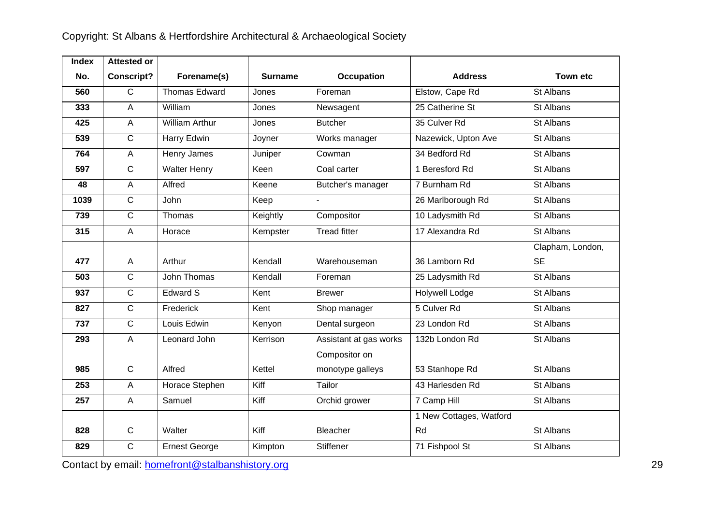| <b>Index</b> | <b>Attested or</b> |                       |          |                        |                         |                  |
|--------------|--------------------|-----------------------|----------|------------------------|-------------------------|------------------|
| No.          | <b>Conscript?</b>  | Forename(s)           | Surname  | Occupation             | <b>Address</b>          | <b>Town etc</b>  |
| 560          | $\overline{C}$     | Thomas Edward         | Jones    | Foreman                | Elstow, Cape Rd         | St Albans        |
| 333          | $\overline{A}$     | William               | Jones    | Newsagent              | 25 Catherine St         | St Albans        |
| 425          | $\overline{A}$     | <b>William Arthur</b> | Jones    | <b>Butcher</b>         | 35 Culver Rd            | St Albans        |
| 539          | $\mathsf{C}$       | Harry Edwin           | Joyner   | Works manager          | Nazewick, Upton Ave     | St Albans        |
| 764          | $\overline{A}$     | Henry James           | Juniper  | Cowman                 | 34 Bedford Rd           | St Albans        |
| 597          | $\mathsf{C}$       | <b>Walter Henry</b>   | Keen     | Coal carter            | 1 Beresford Rd          | St Albans        |
| 48           | $\overline{A}$     | Alfred                | Keene    | Butcher's manager      | 7 Burnham Rd            | St Albans        |
| 1039         | $\mathsf{C}$       | John                  | Keep     |                        | 26 Marlborough Rd       | St Albans        |
| 739          | $\overline{C}$     | Thomas                | Keightly | Compositor             | 10 Ladysmith Rd         | St Albans        |
| 315          | $\overline{A}$     | Horace                | Kempster | <b>Tread fitter</b>    | 17 Alexandra Rd         | St Albans        |
|              |                    |                       |          |                        |                         | Clapham, London, |
| 477          | A                  | Arthur                | Kendall  | Warehouseman           | 36 Lamborn Rd           | <b>SE</b>        |
| 503          | $\mathsf{C}$       | John Thomas           | Kendall  | Foreman                | 25 Ladysmith Rd         | St Albans        |
| 937          | $\mathbf C$        | Edward S              | Kent     | <b>Brewer</b>          | Holywell Lodge          | St Albans        |
| 827          | $\overline{C}$     | Frederick             | Kent     | Shop manager           | 5 Culver Rd             | St Albans        |
| 737          | $\overline{C}$     | Louis Edwin           | Kenyon   | Dental surgeon         | 23 London Rd            | St Albans        |
| 293          | $\overline{A}$     | Leonard John          | Kerrison | Assistant at gas works | 132b London Rd          | St Albans        |
|              |                    |                       |          | Compositor on          |                         |                  |
| 985          | $\mathbf C$        | Alfred                | Kettel   | monotype galleys       | 53 Stanhope Rd          | St Albans        |
| 253          | $\overline{A}$     | Horace Stephen        | Kiff     | Tailor                 | 43 Harlesden Rd         | St Albans        |
| 257          | $\overline{A}$     | Samuel                | Kiff     | Orchid grower          | 7 Camp Hill             | St Albans        |
|              |                    |                       |          |                        | 1 New Cottages, Watford |                  |
| 828          | $\mathsf{C}$       | Walter                | Kiff     | <b>Bleacher</b>        | Rd                      | St Albans        |
| 829          | $\overline{C}$     | <b>Ernest George</b>  | Kimpton  | <b>Stiffener</b>       | 71 Fishpool St          | St Albans        |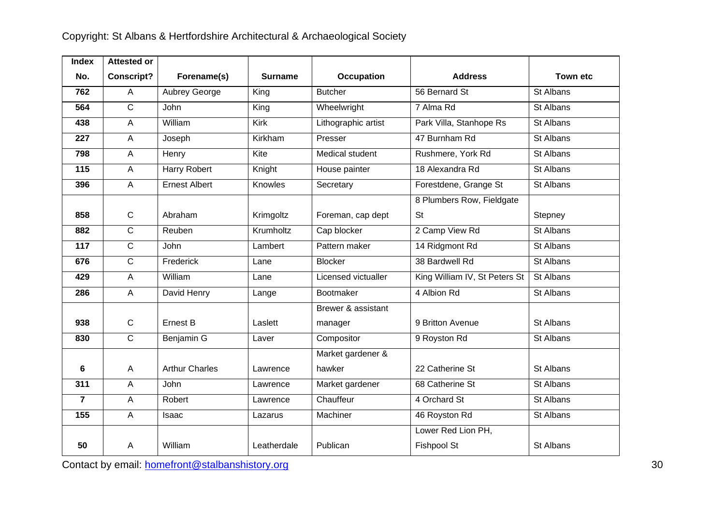| <b>Index</b>   | <b>Attested or</b> |                       |                |                     |                               |                 |
|----------------|--------------------|-----------------------|----------------|---------------------|-------------------------------|-----------------|
| No.            | <b>Conscript?</b>  | Forename(s)           | <b>Surname</b> | Occupation          | <b>Address</b>                | <b>Town etc</b> |
| 762            | $\overline{A}$     | Aubrey George         | King           | <b>Butcher</b>      | 56 Bernard St                 | St Albans       |
| 564            | $\overline{C}$     | John                  | King           | Wheelwright         | 7 Alma Rd                     | St Albans       |
| 438            | $\mathsf A$        | William               | Kirk           | Lithographic artist | Park Villa, Stanhope Rs       | St Albans       |
| 227            | A                  | Joseph                | Kirkham        | Presser             | 47 Burnham Rd                 | St Albans       |
| 798            | A                  | Henry                 | Kite           | Medical student     | Rushmere, York Rd             | St Albans       |
| 115            | A                  | Harry Robert          | Knight         | House painter       | 18 Alexandra Rd               | St Albans       |
| 396            | $\overline{A}$     | <b>Ernest Albert</b>  | Knowles        | Secretary           | Forestdene, Grange St         | St Albans       |
|                |                    |                       |                |                     | 8 Plumbers Row, Fieldgate     |                 |
| 858            | $\mathbf C$        | Abraham               | Krimgoltz      | Foreman, cap dept   | <b>St</b>                     | Stepney         |
| 882            | $\overline{C}$     | Reuben                | Krumholtz      | Cap blocker         | 2 Camp View Rd                | St Albans       |
| 117            | $\overline{C}$     | John                  | Lambert        | Pattern maker       | 14 Ridgmont Rd                | St Albans       |
| 676            | $\overline{C}$     | Frederick             | Lane           | <b>Blocker</b>      | 38 Bardwell Rd                | St Albans       |
| 429            | $\overline{A}$     | William               | Lane           | Licensed victualler | King William IV, St Peters St | St Albans       |
| 286            | $\overline{A}$     | David Henry           | Lange          | Bootmaker           | 4 Albion Rd                   | St Albans       |
|                |                    |                       |                | Brewer & assistant  |                               |                 |
| 938            | $\mathbf C$        | Ernest B              | Laslett        | manager             | 9 Britton Avenue              | St Albans       |
| 830            | $\overline{C}$     | Benjamin G            | Laver          | Compositor          | 9 Royston Rd                  | St Albans       |
|                |                    |                       |                | Market gardener &   |                               |                 |
| 6              | A                  | <b>Arthur Charles</b> | Lawrence       | hawker              | 22 Catherine St               | St Albans       |
| 311            | $\overline{A}$     | <b>John</b>           | Lawrence       | Market gardener     | 68 Catherine St               | St Albans       |
| $\overline{7}$ | A                  | Robert                | Lawrence       | Chauffeur           | 4 Orchard St                  | St Albans       |
| 155            | $\overline{A}$     | Isaac                 | Lazarus        | Machiner            | 46 Royston Rd                 | St Albans       |
|                |                    |                       |                |                     | Lower Red Lion PH,            |                 |
| 50             | A                  | William               | Leatherdale    | Publican            | Fishpool St                   | St Albans       |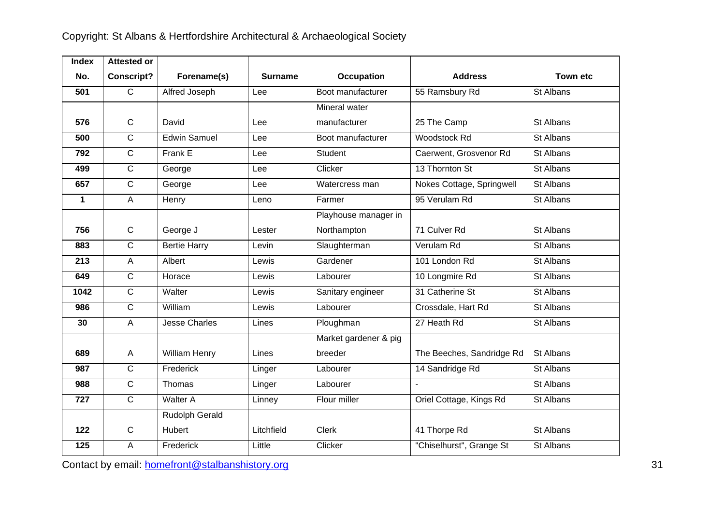| <b>Index</b> | <b>Attested or</b> |                       |                |                       |                           |           |
|--------------|--------------------|-----------------------|----------------|-----------------------|---------------------------|-----------|
| No.          | <b>Conscript?</b>  | Forename(s)           | <b>Surname</b> | <b>Occupation</b>     | <b>Address</b>            | Town etc  |
| 501          | $\overline{C}$     | Alfred Joseph         | Lee            | Boot manufacturer     | 55 Ramsbury Rd            | St Albans |
|              |                    |                       |                | Mineral water         |                           |           |
| 576          | $\mathbf C$        | David                 | Lee            | manufacturer          | 25 The Camp               | St Albans |
| 500          | $\mathsf{C}$       | <b>Edwin Samuel</b>   | Lee            | Boot manufacturer     | Woodstock Rd              | St Albans |
| 792          | $\mathsf{C}$       | Frank E               | Lee            | <b>Student</b>        | Caerwent, Grosvenor Rd    | St Albans |
| 499          | $\overline{C}$     | George                | Lee            | Clicker               | 13 Thornton St            | St Albans |
| 657          | $\overline{C}$     | George                | Lee            | Watercress man        | Nokes Cottage, Springwell | St Albans |
| $\mathbf{1}$ | $\overline{A}$     | Henry                 | Leno           | Farmer                | 95 Verulam Rd             | St Albans |
|              |                    |                       |                | Playhouse manager in  |                           |           |
| 756          | $\mathsf{C}$       | George J              | Lester         | Northampton           | 71 Culver Rd              | St Albans |
| 883          | $\overline{C}$     | <b>Bertie Harry</b>   | Levin          | Slaughterman          | Verulam Rd                | St Albans |
| 213          | $\mathsf{A}$       | Albert                | Lewis          | Gardener              | 101 London Rd             | St Albans |
| 649          | $\overline{C}$     | Horace                | Lewis          | Labourer              | 10 Longmire Rd            | St Albans |
| 1042         | $\overline{C}$     | Walter                | Lewis          | Sanitary engineer     | 31 Catherine St           | St Albans |
| 986          | $\mathsf{C}$       | William               | Lewis          | Labourer              | Crossdale, Hart Rd        | St Albans |
| 30           | $\overline{A}$     | <b>Jesse Charles</b>  | Lines          | Ploughman             | 27 Heath Rd               | St Albans |
|              |                    |                       |                | Market gardener & pig |                           |           |
| 689          | $\mathsf{A}$       | <b>William Henry</b>  | Lines          | breeder               | The Beeches, Sandridge Rd | St Albans |
| 987          | $\mathsf{C}$       | Frederick             | Linger         | Labourer              | 14 Sandridge Rd           | St Albans |
| 988          | $\overline{C}$     | Thomas                | Linger         | Labourer              |                           | St Albans |
| 727          | $\overline{C}$     | Walter A              | Linney         | Flour miller          | Oriel Cottage, Kings Rd   | St Albans |
|              |                    | <b>Rudolph Gerald</b> |                |                       |                           |           |
| 122          | $\mathsf{C}$       | Hubert                | Litchfield     | Clerk                 | 41 Thorpe Rd              | St Albans |
| 125          | A                  | Frederick             | Little         | Clicker               | "Chiselhurst", Grange St  | St Albans |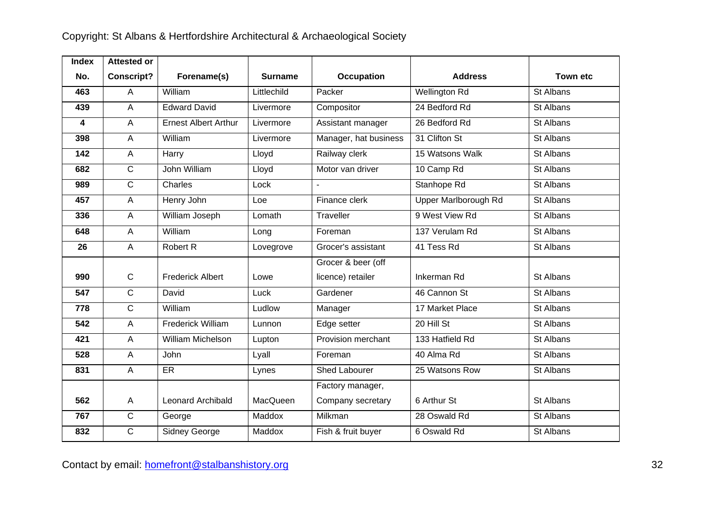| <b>Index</b> | <b>Attested or</b> |                             |                |                       |                      |                 |
|--------------|--------------------|-----------------------------|----------------|-----------------------|----------------------|-----------------|
| No.          | <b>Conscript?</b>  | Forename(s)                 | <b>Surname</b> | <b>Occupation</b>     | <b>Address</b>       | <b>Town etc</b> |
| 463          | $\overline{A}$     | William                     | Littlechild    | Packer                | <b>Wellington Rd</b> | St Albans       |
| 439          | $\overline{A}$     | <b>Edward David</b>         | Livermore      | Compositor            | 24 Bedford Rd        | St Albans       |
| 4            | $\overline{A}$     | <b>Ernest Albert Arthur</b> | Livermore      | Assistant manager     | 26 Bedford Rd        | St Albans       |
| 398          | $\overline{A}$     | William                     | Livermore      | Manager, hat business | 31 Clifton St        | St Albans       |
| 142          | $\overline{A}$     | Harry                       | Lloyd          | Railway clerk         | 15 Watsons Walk      | St Albans       |
| 682          | $\overline{C}$     | John William                | Lloyd          | Motor van driver      | 10 Camp Rd           | St Albans       |
| 989          | $\overline{C}$     | Charles                     | Lock           |                       | Stanhope Rd          | St Albans       |
| 457          | $\overline{A}$     | Henry John                  | Loe            | Finance clerk         | Upper Marlborough Rd | St Albans       |
| 336          | $\overline{A}$     | William Joseph              | Lomath         | Traveller             | 9 West View Rd       | St Albans       |
| 648          | $\mathsf{A}$       | William                     | Long           | Foreman               | 137 Verulam Rd       | St Albans       |
| 26           | $\overline{A}$     | Robert R                    | Lovegrove      | Grocer's assistant    | 41 Tess Rd           | St Albans       |
|              |                    |                             |                | Grocer & beer (off    |                      |                 |
| 990          | $\mathbf C$        | <b>Frederick Albert</b>     | Lowe           | licence) retailer     | Inkerman Rd          | St Albans       |
| 547          | $\overline{C}$     | David                       | Luck           | Gardener              | 46 Cannon St         | St Albans       |
| 778          | $\overline{C}$     | William                     | Ludlow         | Manager               | 17 Market Place      | St Albans       |
| 542          | $\overline{A}$     | <b>Frederick William</b>    | Lunnon         | Edge setter           | 20 Hill St           | St Albans       |
| 421          | $\overline{A}$     | William Michelson           | Lupton         | Provision merchant    | 133 Hatfield Rd      | St Albans       |
| 528          | $\overline{A}$     | John                        | Lyall          | Foreman               | 40 Alma Rd           | St Albans       |
| 831          | $\overline{A}$     | ER                          | Lynes          | <b>Shed Labourer</b>  | 25 Watsons Row       | St Albans       |
|              |                    |                             |                | Factory manager,      |                      |                 |
| 562          | $\overline{A}$     | Leonard Archibald           | MacQueen       | Company secretary     | 6 Arthur St          | St Albans       |
| 767          | $\overline{C}$     | George                      | Maddox         | Milkman               | 28 Oswald Rd         | St Albans       |
| 832          | $\overline{C}$     | Sidney George               | Maddox         | Fish & fruit buyer    | 6 Oswald Rd          | St Albans       |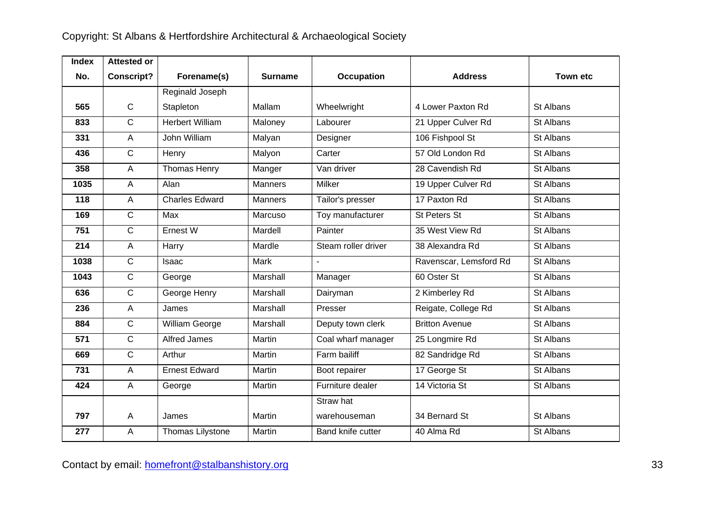| <b>Index</b> | <b>Attested or</b> |                        |                |                     |                        |                 |
|--------------|--------------------|------------------------|----------------|---------------------|------------------------|-----------------|
| No.          | <b>Conscript?</b>  | Forename(s)            | <b>Surname</b> | Occupation          | <b>Address</b>         | <b>Town etc</b> |
|              |                    | Reginald Joseph        |                |                     |                        |                 |
| 565          | $\mathsf C$        | Stapleton              | Mallam         | Wheelwright         | 4 Lower Paxton Rd      | St Albans       |
| 833          | $\overline{C}$     | <b>Herbert William</b> | Maloney        | Labourer            | 21 Upper Culver Rd     | St Albans       |
| 331          | $\overline{A}$     | John William           | Malyan         | Designer            | 106 Fishpool St        | St Albans       |
| 436          | $\overline{C}$     | Henry                  | Malyon         | Carter              | 57 Old London Rd       | St Albans       |
| 358          | $\overline{A}$     | Thomas Henry           | Manger         | Van driver          | 28 Cavendish Rd        | St Albans       |
| 1035         | A                  | Alan                   | <b>Manners</b> | <b>Milker</b>       | 19 Upper Culver Rd     | St Albans       |
| 118          | $\overline{A}$     | <b>Charles Edward</b>  | <b>Manners</b> | Tailor's presser    | 17 Paxton Rd           | St Albans       |
| 169          | $\overline{C}$     | Max                    | Marcuso        | Toy manufacturer    | St Peters St           | St Albans       |
| 751          | $\overline{C}$     | Ernest W               | Mardell        | Painter             | 35 West View Rd        | St Albans       |
| 214          | A                  | Harry                  | Mardle         | Steam roller driver | 38 Alexandra Rd        | St Albans       |
| 1038         | $\overline{C}$     | Isaac                  | Mark           | $\blacksquare$      | Ravenscar, Lemsford Rd | St Albans       |
| 1043         | $\overline{C}$     | George                 | Marshall       | Manager             | 60 Oster St            | St Albans       |
| 636          | $\overline{C}$     | George Henry           | Marshall       | Dairyman            | 2 Kimberley Rd         | St Albans       |
| 236          | $\overline{A}$     | James                  | Marshall       | Presser             | Reigate, College Rd    | St Albans       |
| 884          | $\overline{C}$     | William George         | Marshall       | Deputy town clerk   | <b>Britton Avenue</b>  | St Albans       |
| 571          | $\overline{C}$     | <b>Alfred James</b>    | Martin         | Coal wharf manager  | 25 Longmire Rd         | St Albans       |
| 669          | $\overline{C}$     | Arthur                 | Martin         | Farm bailiff        | 82 Sandridge Rd        | St Albans       |
| 731          | $\overline{A}$     | <b>Ernest Edward</b>   | Martin         | Boot repairer       | 17 George St           | St Albans       |
| 424          | $\overline{A}$     | George                 | Martin         | Furniture dealer    | 14 Victoria St         | St Albans       |
|              |                    |                        |                | Straw hat           |                        |                 |
| 797          | $\overline{A}$     | James                  | Martin         | warehouseman        | 34 Bernard St          | St Albans       |
| 277          | A                  | Thomas Lilystone       | Martin         | Band knife cutter   | 40 Alma Rd             | St Albans       |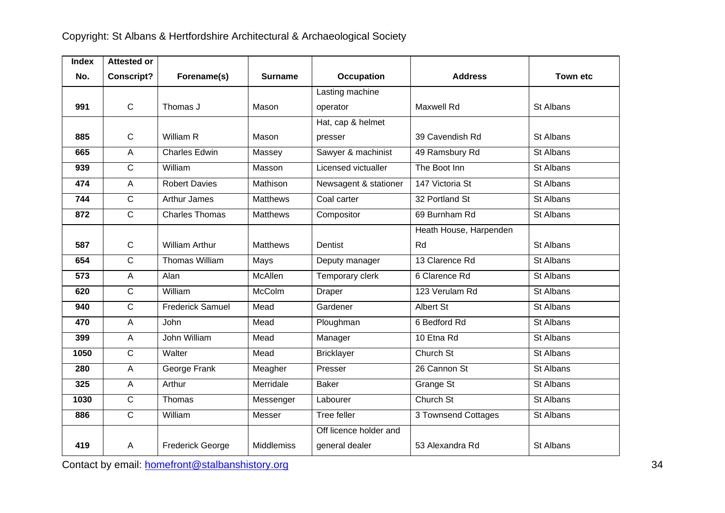| <b>Index</b> | <b>Attested or</b> |                         |                 |                        |                        |                 |
|--------------|--------------------|-------------------------|-----------------|------------------------|------------------------|-----------------|
| No.          | <b>Conscript?</b>  | Forename(s)             | <b>Surname</b>  | <b>Occupation</b>      | <b>Address</b>         | <b>Town etc</b> |
|              |                    |                         |                 | Lasting machine        |                        |                 |
| 991          | $\mathsf{C}$       | Thomas J                | Mason           | operator               | Maxwell Rd             | St Albans       |
|              |                    |                         |                 | Hat, cap & helmet      |                        |                 |
| 885          | $\mathsf{C}$       | William R               | Mason           | presser                | 39 Cavendish Rd        | St Albans       |
| 665          | A                  | <b>Charles Edwin</b>    | Massey          | Sawyer & machinist     | 49 Ramsbury Rd         | St Albans       |
| 939          | $\mathsf{C}$       | William                 | Masson          | Licensed victualler    | The Boot Inn           | St Albans       |
| 474          | $\overline{A}$     | <b>Robert Davies</b>    | Mathison        | Newsagent & stationer  | 147 Victoria St        | St Albans       |
| 744          | $\overline{C}$     | <b>Arthur James</b>     | <b>Matthews</b> | Coal carter            | 32 Portland St         | St Albans       |
| 872          | $\overline{C}$     | <b>Charles Thomas</b>   | <b>Matthews</b> | Compositor             | 69 Burnham Rd          | St Albans       |
|              |                    |                         |                 |                        | Heath House, Harpenden |                 |
| 587          | $\mathsf{C}$       | <b>William Arthur</b>   | <b>Matthews</b> | Dentist                | Rd                     | St Albans       |
| 654          | $\overline{C}$     | Thomas William          | Mays            | Deputy manager         | 13 Clarence Rd         | St Albans       |
| 573          | $\overline{A}$     | Alan                    | McAllen         | Temporary clerk        | 6 Clarence Rd          | St Albans       |
| 620          | $\mathsf{C}$       | William                 | McColm          | Draper                 | 123 Verulam Rd         | St Albans       |
| 940          | $\mathsf{C}$       | <b>Frederick Samuel</b> | Mead            | Gardener               | Albert St              | St Albans       |
| 470          | A                  | John                    | Mead            | Ploughman              | 6 Bedford Rd           | St Albans       |
| 399          | $\overline{A}$     | John William            | Mead            | Manager                | 10 Etna Rd             | St Albans       |
| 1050         | $\overline{C}$     | Walter                  | Mead            | <b>Bricklayer</b>      | Church St              | St Albans       |
| 280          | $\mathsf{A}$       | George Frank            | Meagher         | Presser                | 26 Cannon St           | St Albans       |
| 325          | A                  | Arthur                  | Merridale       | <b>Baker</b>           | Grange St              | St Albans       |
| 1030         | $\overline{C}$     | Thomas                  | Messenger       | Labourer               | Church St              | St Albans       |
| 886          | $\overline{C}$     | William                 | Messer          | <b>Tree feller</b>     | 3 Townsend Cottages    | St Albans       |
|              |                    |                         |                 | Off licence holder and |                        |                 |
| 419          | $\overline{A}$     | <b>Frederick George</b> | Middlemiss      | general dealer         | 53 Alexandra Rd        | St Albans       |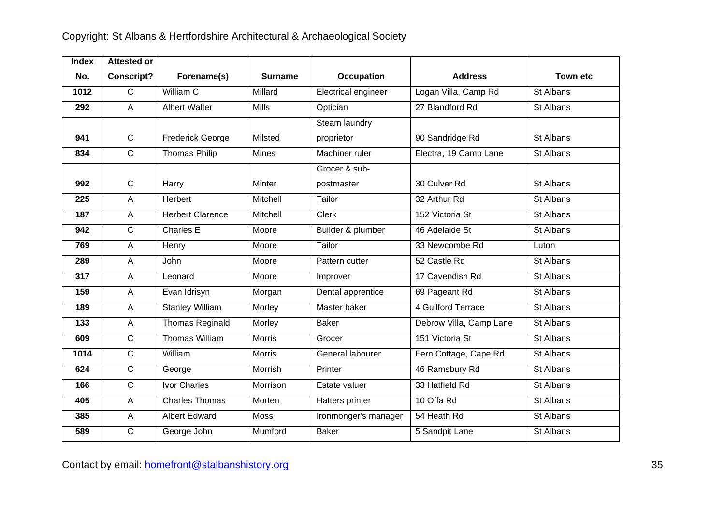| <b>Index</b> | <b>Attested or</b> |                         |                |                      |                         |                 |
|--------------|--------------------|-------------------------|----------------|----------------------|-------------------------|-----------------|
| No.          | <b>Conscript?</b>  | Forename(s)             | <b>Surname</b> | <b>Occupation</b>    | <b>Address</b>          | <b>Town etc</b> |
| 1012         | $\overline{C}$     | William C               | Millard        | Electrical engineer  | Logan Villa, Camp Rd    | St Albans       |
| 292          | $\overline{A}$     | <b>Albert Walter</b>    | <b>Mills</b>   | Optician             | 27 Blandford Rd         | St Albans       |
|              |                    |                         |                | <b>Steam laundry</b> |                         |                 |
| 941          | $\mathsf{C}$       | <b>Frederick George</b> | Milsted        | proprietor           | 90 Sandridge Rd         | St Albans       |
| 834          | $\overline{C}$     | Thomas Philip           | Mines          | Machiner ruler       | Electra, 19 Camp Lane   | St Albans       |
|              |                    |                         |                | Grocer & sub-        |                         |                 |
| 992          | $\mathsf{C}$       | Harry                   | <b>Minter</b>  | postmaster           | 30 Culver Rd            | St Albans       |
| 225          | A                  | Herbert                 | Mitchell       | Tailor               | 32 Arthur Rd            | St Albans       |
| 187          | A                  | <b>Herbert Clarence</b> | Mitchell       | Clerk                | 152 Victoria St         | St Albans       |
| 942          | $\overline{C}$     | Charles E               | Moore          | Builder & plumber    | 46 Adelaide St          | St Albans       |
| 769          | A                  | Henry                   | Moore          | Tailor               | 33 Newcombe Rd          | Luton           |
| 289          | $\overline{A}$     | John                    | Moore          | Pattern cutter       | 52 Castle Rd            | St Albans       |
| 317          | $\overline{A}$     | Leonard                 | Moore          | Improver             | 17 Cavendish Rd         | St Albans       |
| 159          | $\overline{A}$     | Evan Idrisyn            | Morgan         | Dental apprentice    | 69 Pageant Rd           | St Albans       |
| 189          | A                  | <b>Stanley William</b>  | Morley         | Master baker         | 4 Guilford Terrace      | St Albans       |
| 133          | $\overline{A}$     | <b>Thomas Reginald</b>  | Morley         | <b>Baker</b>         | Debrow Villa, Camp Lane | St Albans       |
| 609          | $\overline{C}$     | <b>Thomas William</b>   | Morris         | Grocer               | 151 Victoria St         | St Albans       |
| 1014         | $\overline{C}$     | William                 | <b>Morris</b>  | General labourer     | Fern Cottage, Cape Rd   | St Albans       |
| 624          | $\overline{C}$     | George                  | Morrish        | Printer              | 46 Ramsbury Rd          | St Albans       |
| 166          | $\overline{C}$     | Ivor Charles            | Morrison       | Estate valuer        | 33 Hatfield Rd          | St Albans       |
| 405          | $\overline{A}$     | <b>Charles Thomas</b>   | Morten         | Hatters printer      | 10 Offa Rd              | St Albans       |
| 385          | $\mathsf{A}$       | <b>Albert Edward</b>    | <b>Moss</b>    | Ironmonger's manager | 54 Heath Rd             | St Albans       |
| 589          | $\mathsf{C}$       | George John             | Mumford        | <b>Baker</b>         | 5 Sandpit Lane          | St Albans       |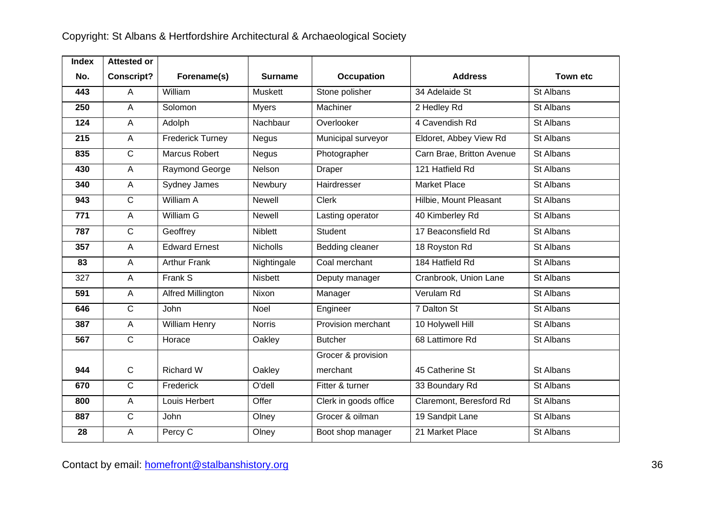| <b>Index</b> | <b>Attested or</b> |                          |                |                       |                           |                 |
|--------------|--------------------|--------------------------|----------------|-----------------------|---------------------------|-----------------|
| No.          | <b>Conscript?</b>  | Forename(s)              | <b>Surname</b> | <b>Occupation</b>     | <b>Address</b>            | <b>Town etc</b> |
| 443          | A                  | William                  | Muskett        | Stone polisher        | 34 Adelaide St            | St Albans       |
| 250          | $\mathsf A$        | Solomon                  | <b>Myers</b>   | Machiner              | 2 Hedley Rd               | St Albans       |
| 124          | A                  | Adolph                   | Nachbaur       | Overlooker            | 4 Cavendish Rd            | St Albans       |
| 215          | A                  | <b>Frederick Turney</b>  | Negus          | Municipal surveyor    | Eldoret, Abbey View Rd    | St Albans       |
| 835          | $\mathsf{C}$       | Marcus Robert            | <b>Negus</b>   | Photographer          | Carn Brae, Britton Avenue | St Albans       |
| 430          | A                  | Raymond George           | Nelson         | Draper                | 121 Hatfield Rd           | St Albans       |
| 340          | A                  | Sydney James             | Newbury        | Hairdresser           | <b>Market Place</b>       | St Albans       |
| 943          | $\mathsf{C}$       | William A                | Newell         | Clerk                 | Hilbie, Mount Pleasant    | St Albans       |
| 771          | $\mathsf A$        | William G                | Newell         | Lasting operator      | 40 Kimberley Rd           | St Albans       |
| 787          | $\mathbf C$        | Geoffrey                 | <b>Niblett</b> | Student               | 17 Beaconsfield Rd        | St Albans       |
| 357          | $\mathsf A$        | <b>Edward Ernest</b>     | Nicholls       | Bedding cleaner       | 18 Royston Rd             | St Albans       |
| 83           | A                  | <b>Arthur Frank</b>      | Nightingale    | Coal merchant         | 184 Hatfield Rd           | St Albans       |
| 327          | A                  | Frank S                  | <b>Nisbett</b> | Deputy manager        | Cranbrook, Union Lane     | St Albans       |
| 591          | A                  | <b>Alfred Millington</b> | Nixon          | Manager               | Verulam Rd                | St Albans       |
| 646          | $\mathbf C$        | John                     | Noel           | Engineer              | 7 Dalton St               | St Albans       |
| 387          | $\overline{A}$     | William Henry            | <b>Norris</b>  | Provision merchant    | 10 Holywell Hill          | St Albans       |
| 567          | $\mathsf{C}$       | Horace                   | Oakley         | <b>Butcher</b>        | 68 Lattimore Rd           | St Albans       |
|              |                    |                          |                | Grocer & provision    |                           |                 |
| 944          | $\mathsf{C}$       | <b>Richard W</b>         | Oakley         | merchant              | 45 Catherine St           | St Albans       |
| 670          | $\overline{C}$     | Frederick                | O'dell         | Fitter & turner       | 33 Boundary Rd            | St Albans       |
| 800          | $\mathsf A$        | Louis Herbert            | Offer          | Clerk in goods office | Claremont, Beresford Rd   | St Albans       |
| 887          | $\overline{C}$     | John                     | Olney          | Grocer & oilman       | 19 Sandpit Lane           | St Albans       |
| 28           | $\mathsf A$        | Percy C                  | Olney          | Boot shop manager     | 21 Market Place           | St Albans       |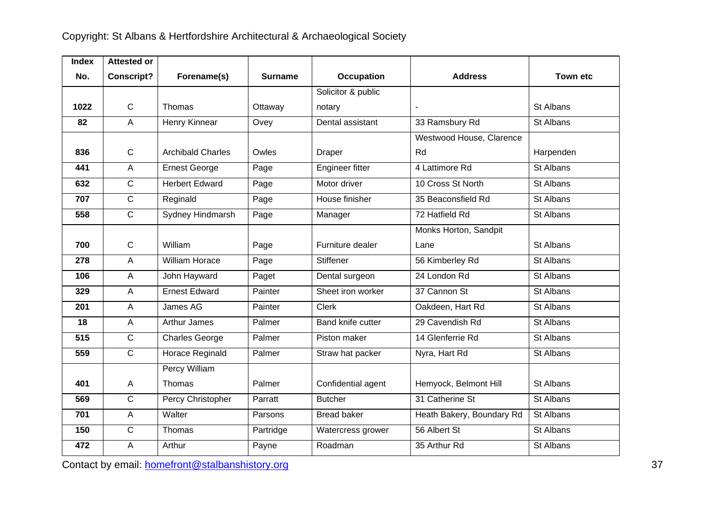| <b>Index</b> | <b>Attested or</b> |                          |                |                          |                           |                 |
|--------------|--------------------|--------------------------|----------------|--------------------------|---------------------------|-----------------|
| No.          | <b>Conscript?</b>  | Forename(s)              | <b>Surname</b> | Occupation               | <b>Address</b>            | <b>Town etc</b> |
|              |                    |                          |                | Solicitor & public       |                           |                 |
| 1022         | $\mathsf{C}$       | Thomas                   | Ottaway        | notary                   |                           | St Albans       |
| 82           | A                  | Henry Kinnear            | Ovey           | Dental assistant         | 33 Ramsbury Rd            | St Albans       |
|              |                    |                          |                |                          | Westwood House, Clarence  |                 |
| 836          | $\mathsf{C}$       | <b>Archibald Charles</b> | Owles          | Draper                   | Rd                        | Harpenden       |
| 441          | $\overline{A}$     | <b>Ernest George</b>     | Page           | Engineer fitter          | 4 Lattimore Rd            | St Albans       |
| 632          | $\mathsf{C}$       | <b>Herbert Edward</b>    | Page           | Motor driver             | 10 Cross St North         | St Albans       |
| 707          | $\mathsf{C}$       | Reginald                 | Page           | House finisher           | 35 Beaconsfield Rd        | St Albans       |
| 558          | $\mathsf{C}$       | Sydney Hindmarsh         | Page           | Manager                  | 72 Hatfield Rd            | St Albans       |
|              |                    |                          |                |                          | Monks Horton, Sandpit     |                 |
| 700          | $\mathsf{C}$       | William                  | Page           | Furniture dealer         | Lane                      | St Albans       |
| 278          | $\overline{A}$     | William Horace           | Page           | <b>Stiffener</b>         | 56 Kimberley Rd           | St Albans       |
| 106          | $\overline{A}$     | John Hayward             | Paget          | Dental surgeon           | 24 London Rd              | St Albans       |
| 329          | $\overline{A}$     | <b>Ernest Edward</b>     | Painter        | Sheet iron worker        | 37 Cannon St              | St Albans       |
| 201          | $\overline{A}$     | James AG                 | Painter        | <b>Clerk</b>             | Oakdeen, Hart Rd          | St Albans       |
| 18           | $\overline{A}$     | Arthur James             | Palmer         | <b>Band knife cutter</b> | 29 Cavendish Rd           | St Albans       |
| 515          | $\mathsf{C}$       | <b>Charles George</b>    | Palmer         | Piston maker             | 14 Glenferrie Rd          | St Albans       |
| 559          | $\mathsf{C}$       | Horace Reginald          | Palmer         | Straw hat packer         | Nyra, Hart Rd             | St Albans       |
|              |                    | Percy William            |                |                          |                           |                 |
| 401          | $\overline{A}$     | Thomas                   | Palmer         | Confidential agent       | Hemyock, Belmont Hill     | St Albans       |
| 569          | $\overline{C}$     | Percy Christopher        | Parratt        | <b>Butcher</b>           | 31 Catherine St           | St Albans       |
| 701          | $\overline{A}$     | Walter                   | Parsons        | <b>Bread baker</b>       | Heath Bakery, Boundary Rd | St Albans       |
| 150          | $\mathsf{C}$       | Thomas                   | Partridge      | Watercress grower        | 56 Albert St              | St Albans       |
| 472          | $\overline{A}$     | Arthur                   | Payne          | Roadman                  | 35 Arthur Rd              | St Albans       |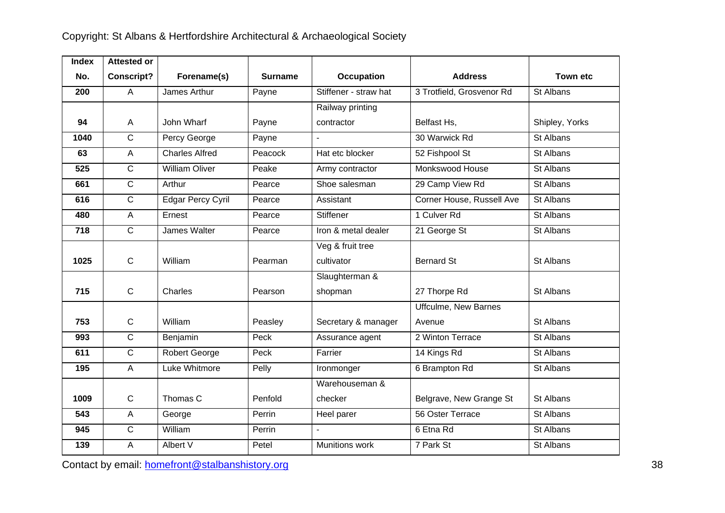| <b>Index</b> | <b>Attested or</b> |                          |                |                       |                             |                 |
|--------------|--------------------|--------------------------|----------------|-----------------------|-----------------------------|-----------------|
| No.          | <b>Conscript?</b>  | Forename(s)              | <b>Surname</b> | <b>Occupation</b>     | <b>Address</b>              | <b>Town etc</b> |
| 200          | $\overline{A}$     | James Arthur             | Payne          | Stiffener - straw hat | 3 Trotfield, Grosvenor Rd   | St Albans       |
|              |                    |                          |                | Railway printing      |                             |                 |
| 94           | A                  | John Wharf               | Payne          | contractor            | Belfast Hs,                 | Shipley, Yorks  |
| 1040         | $\mathsf{C}$       | Percy George             | Payne          |                       | 30 Warwick Rd               | St Albans       |
| 63           | $\overline{A}$     | <b>Charles Alfred</b>    | Peacock        | Hat etc blocker       | 52 Fishpool St              | St Albans       |
| 525          | $\mathsf{C}$       | <b>William Oliver</b>    | Peake          | Army contractor       | Monkswood House             | St Albans       |
| 661          | $\overline{C}$     | Arthur                   | Pearce         | Shoe salesman         | 29 Camp View Rd             | St Albans       |
| 616          | $\overline{C}$     | <b>Edgar Percy Cyril</b> | Pearce         | Assistant             | Corner House, Russell Ave   | St Albans       |
| 480          | $\overline{A}$     | Ernest                   | Pearce         | <b>Stiffener</b>      | 1 Culver Rd                 | St Albans       |
| 718          | $\overline{C}$     | James Walter             | Pearce         | Iron & metal dealer   | 21 George St                | St Albans       |
|              |                    |                          |                | Veg & fruit tree      |                             |                 |
| 1025         | $\mathsf{C}$       | William                  | Pearman        | cultivator            | <b>Bernard St</b>           | St Albans       |
|              |                    |                          |                | Slaughterman &        |                             |                 |
| 715          | $\mathbf C$        | Charles                  | Pearson        | shopman               | 27 Thorpe Rd                | St Albans       |
|              |                    |                          |                |                       | <b>Uffculme, New Barnes</b> |                 |
| 753          | $\mathsf{C}$       | William                  | Peasley        | Secretary & manager   | Avenue                      | St Albans       |
| 993          | $\overline{C}$     | Benjamin                 | Peck           | Assurance agent       | 2 Winton Terrace            | St Albans       |
| 611          | $\mathsf{C}$       | Robert George            | Peck           | Farrier               | 14 Kings Rd                 | St Albans       |
| 195          | $\overline{A}$     | Luke Whitmore            | Pelly          | Ironmonger            | 6 Brampton Rd               | St Albans       |
|              |                    |                          |                | Warehouseman &        |                             |                 |
| 1009         | $\mathbf C$        | Thomas C                 | Penfold        | checker               | Belgrave, New Grange St     | St Albans       |
| 543          | $\overline{A}$     | George                   | Perrin         | Heel parer            | 56 Oster Terrace            | St Albans       |
| 945          | $\mathsf{C}$       | William                  | Perrin         |                       | 6 Etna Rd                   | St Albans       |
| 139          | A                  | Albert V                 | Petel          | Munitions work        | 7 Park St                   | St Albans       |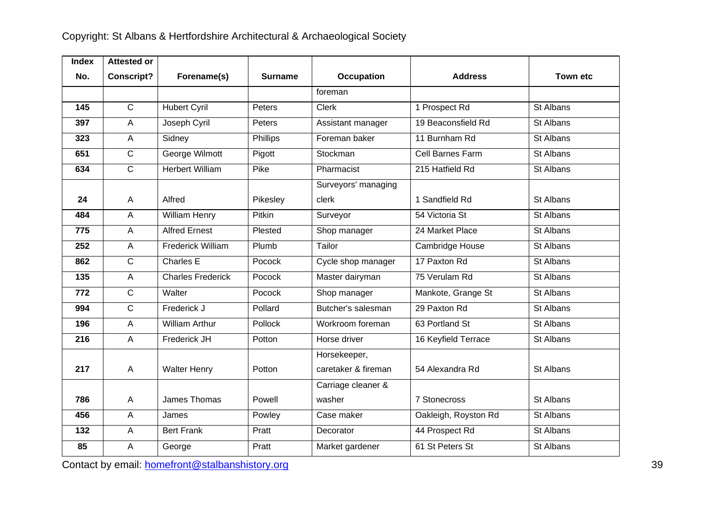| <b>Index</b> | <b>Attested or</b> |                          |                |                     |                      |                 |
|--------------|--------------------|--------------------------|----------------|---------------------|----------------------|-----------------|
| No.          | <b>Conscript?</b>  | Forename(s)              | <b>Surname</b> | <b>Occupation</b>   | <b>Address</b>       | <b>Town etc</b> |
|              |                    |                          |                | foreman             |                      |                 |
| 145          | $\overline{C}$     | <b>Hubert Cyril</b>      | Peters         | <b>Clerk</b>        | 1 Prospect Rd        | St Albans       |
| 397          | $\overline{A}$     | Joseph Cyril             | Peters         | Assistant manager   | 19 Beaconsfield Rd   | St Albans       |
| 323          | $\mathsf{A}$       | Sidney                   | Phillips       | Foreman baker       | 11 Burnham Rd        | St Albans       |
| 651          | $\overline{C}$     | George Wilmott           | Pigott         | Stockman            | Cell Barnes Farm     | St Albans       |
| 634          | $\overline{C}$     | <b>Herbert William</b>   | Pike           | Pharmacist          | 215 Hatfield Rd      | St Albans       |
|              |                    |                          |                | Surveyors' managing |                      |                 |
| 24           | $\mathsf{A}$       | Alfred                   | Pikesley       | clerk               | 1 Sandfield Rd       | St Albans       |
| 484          | $\overline{A}$     | <b>William Henry</b>     | Pitkin         | Surveyor            | 54 Victoria St       | St Albans       |
| 775          | $\overline{A}$     | <b>Alfred Ernest</b>     | Plested        | Shop manager        | 24 Market Place      | St Albans       |
| 252          | $\overline{A}$     | <b>Frederick William</b> | Plumb          | Tailor              | Cambridge House      | St Albans       |
| 862          | $\mathsf{C}$       | Charles E                | Pocock         | Cycle shop manager  | 17 Paxton Rd         | St Albans       |
| 135          | $\overline{A}$     | <b>Charles Frederick</b> | Pocock         | Master dairyman     | 75 Verulam Rd        | St Albans       |
| 772          | $\mathsf{C}$       | Walter                   | Pocock         | Shop manager        | Mankote, Grange St   | St Albans       |
| 994          | $\overline{C}$     | Frederick J              | Pollard        | Butcher's salesman  | 29 Paxton Rd         | St Albans       |
| 196          | $\overline{A}$     | <b>William Arthur</b>    | Pollock        | Workroom foreman    | 63 Portland St       | St Albans       |
| 216          | A                  | Frederick JH             | Potton         | Horse driver        | 16 Keyfield Terrace  | St Albans       |
|              |                    |                          |                | Horsekeeper,        |                      |                 |
| 217          | $\mathsf{A}$       | <b>Walter Henry</b>      | Potton         | caretaker & fireman | 54 Alexandra Rd      | St Albans       |
|              |                    |                          |                | Carriage cleaner &  |                      |                 |
| 786          | $\overline{A}$     | James Thomas             | Powell         | washer              | 7 Stonecross         | St Albans       |
| 456          | $\overline{A}$     | James                    | Powley         | Case maker          | Oakleigh, Royston Rd | St Albans       |
| 132          | $\mathsf A$        | <b>Bert Frank</b>        | Pratt          | Decorator           | 44 Prospect Rd       | St Albans       |
| 85           | A                  | George                   | Pratt          | Market gardener     | 61 St Peters St      | St Albans       |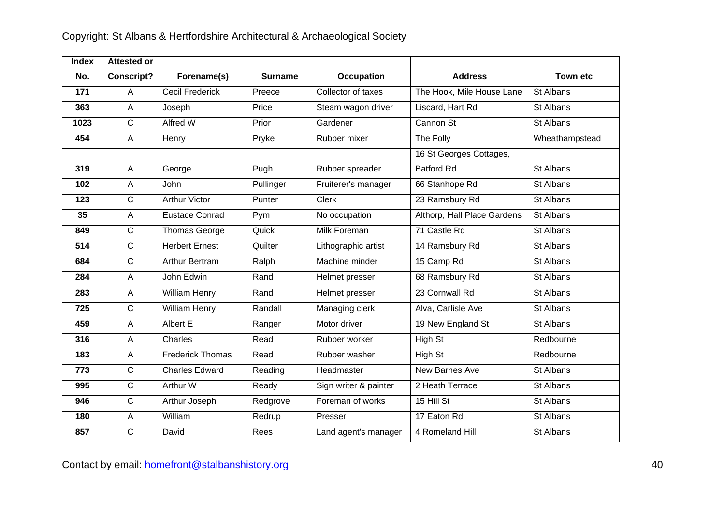| <b>Index</b> | <b>Attested or</b> |                         |                |                       |                             |                 |
|--------------|--------------------|-------------------------|----------------|-----------------------|-----------------------------|-----------------|
| No.          | <b>Conscript?</b>  | Forename(s)             | <b>Surname</b> | Occupation            | <b>Address</b>              | <b>Town etc</b> |
| 171          | A                  | <b>Cecil Frederick</b>  | Preece         | Collector of taxes    | The Hook, Mile House Lane   | St Albans       |
| 363          | $\mathsf{A}$       | Joseph                  | Price          | Steam wagon driver    | Liscard, Hart Rd            | St Albans       |
| 1023         | $\mathsf{C}$       | Alfred W                | Prior          | Gardener              | Cannon St                   | St Albans       |
| 454          | $\mathsf{A}$       | Henry                   | Pryke          | Rubber mixer          | The Folly                   | Wheathampstead  |
|              |                    |                         |                |                       | 16 St Georges Cottages,     |                 |
| 319          | A                  | George                  | Pugh           | Rubber spreader       | <b>Batford Rd</b>           | St Albans       |
| 102          | $\overline{A}$     | John                    | Pullinger      | Fruiterer's manager   | 66 Stanhope Rd              | St Albans       |
| 123          | $\mathsf{C}$       | <b>Arthur Victor</b>    | Punter         | Clerk                 | 23 Ramsbury Rd              | St Albans       |
| 35           | $\overline{A}$     | <b>Eustace Conrad</b>   | Pym            | No occupation         | Althorp, Hall Place Gardens | St Albans       |
| 849          | $\mathsf{C}$       | Thomas George           | Quick          | Milk Foreman          | 71 Castle Rd                | St Albans       |
| 514          | $\overline{C}$     | <b>Herbert Ernest</b>   | Quilter        | Lithographic artist   | 14 Ramsbury Rd              | St Albans       |
| 684          | $\overline{C}$     | Arthur Bertram          | Ralph          | Machine minder        | 15 Camp Rd                  | St Albans       |
| 284          | $\overline{A}$     | John Edwin              | Rand           | Helmet presser        | 68 Ramsbury Rd              | St Albans       |
| 283          | $\mathsf{A}$       | William Henry           | Rand           | Helmet presser        | 23 Cornwall Rd              | St Albans       |
| 725          | $\mathsf{C}$       | William Henry           | Randall        | Managing clerk        | Alva, Carlisle Ave          | St Albans       |
| 459          | $\mathsf{A}$       | Albert E                | Ranger         | Motor driver          | 19 New England St           | St Albans       |
| 316          | $\overline{A}$     | Charles                 | Read           | Rubber worker         | High St                     | Redbourne       |
| 183          | $\overline{A}$     | <b>Frederick Thomas</b> | Read           | Rubber washer         | High St                     | Redbourne       |
| 773          | $\mathsf{C}$       | <b>Charles Edward</b>   | Reading        | Headmaster            | New Barnes Ave              | St Albans       |
| 995          | $\overline{C}$     | Arthur W                | Ready          | Sign writer & painter | 2 Heath Terrace             | St Albans       |
| 946          | $\overline{C}$     | Arthur Joseph           | Redgrove       | Foreman of works      | 15 Hill St                  | St Albans       |
| 180          | $\mathsf{A}$       | William                 | Redrup         | Presser               | 17 Eaton Rd                 | St Albans       |
| 857          | $\mathsf{C}$       | David                   | Rees           | Land agent's manager  | 4 Romeland Hill             | St Albans       |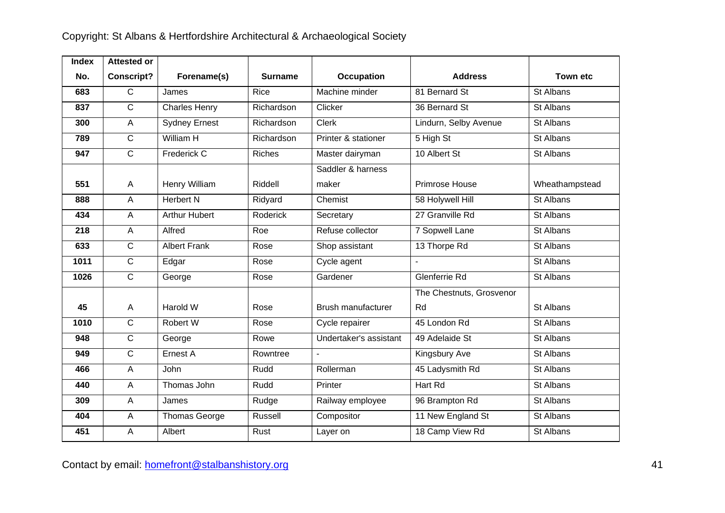| <b>Index</b> | <b>Attested or</b> |                      |                |                        |                          |                 |
|--------------|--------------------|----------------------|----------------|------------------------|--------------------------|-----------------|
| No.          | <b>Conscript?</b>  | Forename(s)          | <b>Surname</b> | <b>Occupation</b>      | <b>Address</b>           | <b>Town etc</b> |
| 683          | $\overline{C}$     | James                | Rice           | Machine minder         | 81 Bernard St            | St Albans       |
| 837          | $\overline{C}$     | <b>Charles Henry</b> | Richardson     | Clicker                | 36 Bernard St            | St Albans       |
| 300          | $\overline{A}$     | <b>Sydney Ernest</b> | Richardson     | <b>Clerk</b>           | Lindurn, Selby Avenue    | St Albans       |
| 789          | $\overline{C}$     | William H            | Richardson     | Printer & stationer    | 5 High St                | St Albans       |
| 947          | $\mathsf{C}$       | Frederick C          | <b>Riches</b>  | Master dairyman        | 10 Albert St             | St Albans       |
|              |                    |                      |                | Saddler & harness      |                          |                 |
| 551          | $\overline{A}$     | Henry William        | Riddell        | maker                  | Primrose House           | Wheathampstead  |
| 888          | $\overline{A}$     | <b>Herbert N</b>     | Ridyard        | Chemist                | 58 Holywell Hill         | St Albans       |
| 434          | $\overline{A}$     | <b>Arthur Hubert</b> | Roderick       | Secretary              | 27 Granville Rd          | St Albans       |
| 218          | $\overline{A}$     | Alfred               | Roe            | Refuse collector       | <b>7 Sopwell Lane</b>    | St Albans       |
| 633          | $\mathsf{C}$       | <b>Albert Frank</b>  | Rose           | Shop assistant         | 13 Thorpe Rd             | St Albans       |
| 1011         | $\overline{C}$     | Edgar                | Rose           | Cycle agent            | $\overline{a}$           | St Albans       |
| 1026         | $\overline{C}$     | George               | Rose           | Gardener               | Glenferrie Rd            | St Albans       |
|              |                    |                      |                |                        | The Chestnuts, Grosvenor |                 |
| 45           | $\overline{A}$     | Harold W             | Rose           | Brush manufacturer     | Rd                       | St Albans       |
| 1010         | $\overline{C}$     | Robert W             | Rose           | Cycle repairer         | 45 London Rd             | St Albans       |
| 948          | $\overline{C}$     | George               | Rowe           | Undertaker's assistant | 49 Adelaide St           | St Albans       |
| 949          | $\overline{C}$     | Ernest A             | Rowntree       |                        | Kingsbury Ave            | St Albans       |
| 466          | $\overline{A}$     | <b>John</b>          | Rudd           | Rollerman              | 45 Ladysmith Rd          | St Albans       |
| 440          | $\overline{A}$     | Thomas John          | Rudd           | Printer                | Hart Rd                  | St Albans       |
| 309          | $\overline{A}$     | James                | Rudge          | Railway employee       | 96 Brampton Rd           | St Albans       |
| 404          | $\overline{A}$     | <b>Thomas George</b> | Russell        | Compositor             | 11 New England St        | St Albans       |
| 451          | A                  | Albert               | Rust           | Layer on               | 18 Camp View Rd          | St Albans       |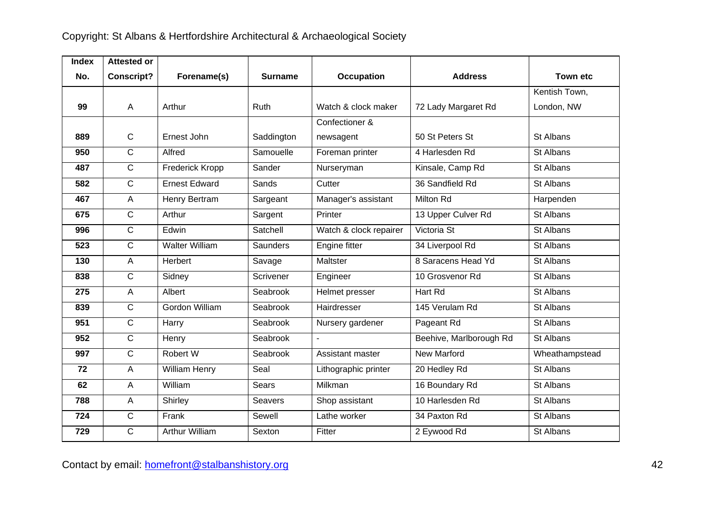| <b>Index</b> | <b>Attested or</b> |                       |                |                        |                         |                |
|--------------|--------------------|-----------------------|----------------|------------------------|-------------------------|----------------|
| No.          | <b>Conscript?</b>  | Forename(s)           | <b>Surname</b> | Occupation             | <b>Address</b>          | Town etc       |
|              |                    |                       |                |                        |                         | Kentish Town,  |
| 99           | A                  | Arthur                | Ruth           | Watch & clock maker    | 72 Lady Margaret Rd     | London, NW     |
|              |                    |                       |                | Confectioner &         |                         |                |
| 889          | $\mathsf{C}$       | Ernest John           | Saddington     | newsagent              | 50 St Peters St         | St Albans      |
| 950          | $\mathsf{C}$       | Alfred                | Samouelle      | Foreman printer        | 4 Harlesden Rd          | St Albans      |
| 487          | $\mathsf{C}$       | Frederick Kropp       | Sander         | Nurseryman             | Kinsale, Camp Rd        | St Albans      |
| 582          | $\mathsf{C}$       | <b>Ernest Edward</b>  | Sands          | Cutter                 | 36 Sandfield Rd         | St Albans      |
| 467          | A                  | Henry Bertram         | Sargeant       | Manager's assistant    | Milton Rd               | Harpenden      |
| 675          | $\mathsf{C}$       | Arthur                | Sargent        | Printer                | 13 Upper Culver Rd      | St Albans      |
| 996          | $\mathsf{C}$       | Edwin                 | Satchell       | Watch & clock repairer | Victoria St             | St Albans      |
| 523          | $\mathsf{C}$       | <b>Walter William</b> | Saunders       | Engine fitter          | 34 Liverpool Rd         | St Albans      |
| 130          | $\overline{A}$     | Herbert               | Savage         | <b>Maltster</b>        | 8 Saracens Head Yd      | St Albans      |
| 838          | $\mathsf{C}$       | Sidney                | Scrivener      | Engineer               | 10 Grosvenor Rd         | St Albans      |
| 275          | $\overline{A}$     | Albert                | Seabrook       | Helmet presser         | Hart Rd                 | St Albans      |
| 839          | $\mathsf{C}$       | Gordon William        | Seabrook       | Hairdresser            | 145 Verulam Rd          | St Albans      |
| 951          | $\mathsf{C}$       | Harry                 | Seabrook       | Nursery gardener       | Pageant Rd              | St Albans      |
| 952          | $\mathsf{C}$       | Henry                 | Seabrook       |                        | Beehive, Marlborough Rd | St Albans      |
| 997          | $\overline{C}$     | Robert W              | Seabrook       | Assistant master       | <b>New Marford</b>      | Wheathampstead |
| 72           | $\overline{A}$     | William Henry         | Seal           | Lithographic printer   | 20 Hedley Rd            | St Albans      |
| 62           | $\overline{A}$     | William               | <b>Sears</b>   | Milkman                | 16 Boundary Rd          | St Albans      |
| 788          | $\overline{A}$     | Shirley               | <b>Seavers</b> | Shop assistant         | 10 Harlesden Rd         | St Albans      |
| 724          | $\mathsf{C}$       | Frank                 | Sewell         | Lathe worker           | 34 Paxton Rd            | St Albans      |
| 729          | C                  | Arthur William        | Sexton         | Fitter                 | 2 Eywood Rd             | St Albans      |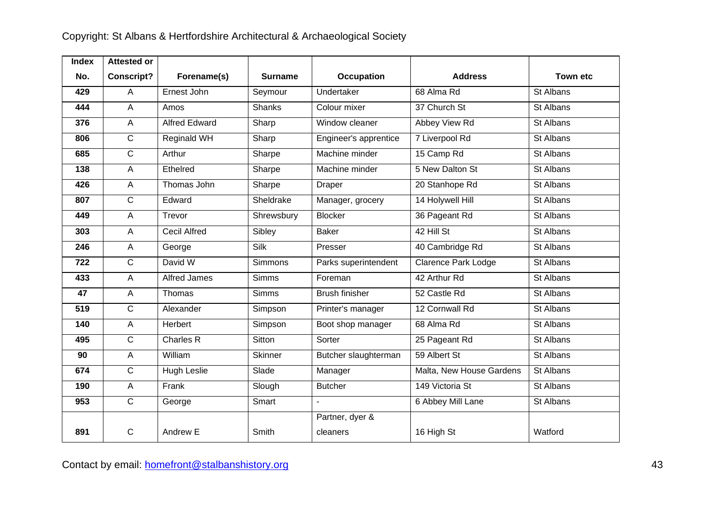| <b>Index</b> | <b>Attested or</b> |                      |                |                       |                            |                 |
|--------------|--------------------|----------------------|----------------|-----------------------|----------------------------|-----------------|
| No.          | <b>Conscript?</b>  | Forename(s)          | <b>Surname</b> | <b>Occupation</b>     | <b>Address</b>             | <b>Town etc</b> |
| 429          | A                  | Ernest John          | Seymour        | Undertaker            | 68 Alma Rd                 | St Albans       |
| 444          | $\overline{A}$     | Amos                 | <b>Shanks</b>  | Colour mixer          | 37 Church St               | St Albans       |
| 376          | $\mathsf A$        | <b>Alfred Edward</b> | Sharp          | Window cleaner        | Abbey View Rd              | St Albans       |
| 806          | $\mathsf{C}$       | Reginald WH          | Sharp          | Engineer's apprentice | 7 Liverpool Rd             | St Albans       |
| 685          | $\overline{C}$     | Arthur               | Sharpe         | Machine minder        | 15 Camp Rd                 | St Albans       |
| 138          | $\mathsf A$        | Ethelred             | Sharpe         | Machine minder        | 5 New Dalton St            | St Albans       |
| 426          | A                  | Thomas John          | Sharpe         | <b>Draper</b>         | 20 Stanhope Rd             | St Albans       |
| 807          | $\overline{C}$     | Edward               | Sheldrake      | Manager, grocery      | 14 Holywell Hill           | St Albans       |
| 449          | $\mathsf A$        | Trevor               | Shrewsbury     | <b>Blocker</b>        | 36 Pageant Rd              | St Albans       |
| 303          | $\mathsf A$        | <b>Cecil Alfred</b>  | Sibley         | <b>Baker</b>          | 42 Hill St                 | St Albans       |
| 246          | $\mathsf A$        | George               | Silk           | Presser               | 40 Cambridge Rd            | St Albans       |
| 722          | $\overline{C}$     | David W              | <b>Simmons</b> | Parks superintendent  | <b>Clarence Park Lodge</b> | St Albans       |
| 433          | A                  | Alfred James         | <b>Simms</b>   | Foreman               | 42 Arthur Rd               | St Albans       |
| 47           | A                  | Thomas               | <b>Simms</b>   | <b>Brush finisher</b> | 52 Castle Rd               | St Albans       |
| 519          | $\mathsf{C}$       | Alexander            | Simpson        | Printer's manager     | 12 Cornwall Rd             | St Albans       |
| 140          | $\overline{A}$     | Herbert              | Simpson        | Boot shop manager     | 68 Alma Rd                 | St Albans       |
| 495          | $\overline{C}$     | Charles R            | Sitton         | Sorter                | 25 Pageant Rd              | St Albans       |
| 90           | $\mathsf A$        | William              | <b>Skinner</b> | Butcher slaughterman  | 59 Albert St               | St Albans       |
| 674          | $\overline{C}$     | Hugh Leslie          | Slade          | Manager               | Malta, New House Gardens   | St Albans       |
| 190          | A                  | Frank                | Slough         | <b>Butcher</b>        | 149 Victoria St            | St Albans       |
| 953          | $\mathsf{C}$       | George               | Smart          |                       | 6 Abbey Mill Lane          | St Albans       |
|              |                    |                      |                | Partner, dyer &       |                            |                 |
| 891          | $\mathsf{C}$       | Andrew E             | Smith          | cleaners              | 16 High St                 | Watford         |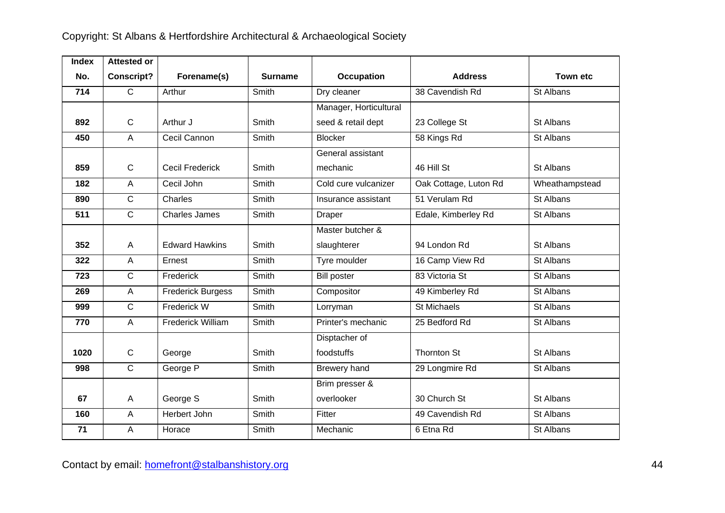| <b>Index</b> | <b>Attested or</b> |                          |                |                        |                       |                  |
|--------------|--------------------|--------------------------|----------------|------------------------|-----------------------|------------------|
| No.          | <b>Conscript?</b>  | Forename(s)              | <b>Surname</b> | <b>Occupation</b>      | <b>Address</b>        | <b>Town etc</b>  |
| 714          | $\overline{C}$     | Arthur                   | Smith          | Dry cleaner            | 38 Cavendish Rd       | St Albans        |
|              |                    |                          |                | Manager, Horticultural |                       |                  |
| 892          | $\mathbf C$        | Arthur J                 | Smith          | seed & retail dept     | 23 College St         | St Albans        |
| 450          | $\overline{A}$     | Cecil Cannon             | Smith          | <b>Blocker</b>         | 58 Kings Rd           | St Albans        |
|              |                    |                          |                | General assistant      |                       |                  |
| 859          | $\mathsf{C}$       | <b>Cecil Frederick</b>   | Smith          | mechanic               | 46 Hill St            | St Albans        |
| 182          | $\overline{A}$     | Cecil John               | Smith          | Cold cure vulcanizer   | Oak Cottage, Luton Rd | Wheathampstead   |
| 890          | $\mathsf{C}$       | Charles                  | Smith          | Insurance assistant    | 51 Verulam Rd         | St Albans        |
| 511          | $\overline{C}$     | <b>Charles James</b>     | Smith          | Draper                 | Edale, Kimberley Rd   | St Albans        |
|              |                    |                          |                | Master butcher &       |                       |                  |
| 352          | $\overline{A}$     | <b>Edward Hawkins</b>    | Smith          | slaughterer            | 94 London Rd          | <b>St Albans</b> |
| 322          | $\overline{A}$     | Ernest                   | Smith          | Tyre moulder           | 16 Camp View Rd       | St Albans        |
| 723          | $\overline{C}$     | Frederick                | Smith          | <b>Bill poster</b>     | 83 Victoria St        | St Albans        |
| 269          | $\overline{A}$     | <b>Frederick Burgess</b> | Smith          | Compositor             | 49 Kimberley Rd       | St Albans        |
| 999          | $\overline{C}$     | Frederick W              | Smith          | Lorryman               | <b>St Michaels</b>    | St Albans        |
| 770          | $\overline{A}$     | <b>Frederick William</b> | Smith          | Printer's mechanic     | 25 Bedford Rd         | St Albans        |
|              |                    |                          |                | Disptacher of          |                       |                  |
| 1020         | $\mathsf{C}$       | George                   | Smith          | foodstuffs             | <b>Thornton St</b>    | St Albans        |
| 998          | $\overline{C}$     | George P                 | Smith          | Brewery hand           | 29 Longmire Rd        | St Albans        |
|              |                    |                          |                | Brim presser &         |                       |                  |
| 67           | $\overline{A}$     | George S                 | Smith          | overlooker             | 30 Church St          | St Albans        |
| 160          | $\overline{A}$     | Herbert John             | Smith          | Fitter                 | 49 Cavendish Rd       | St Albans        |
| 71           | A                  | Horace                   | Smith          | Mechanic               | 6 Etna Rd             | St Albans        |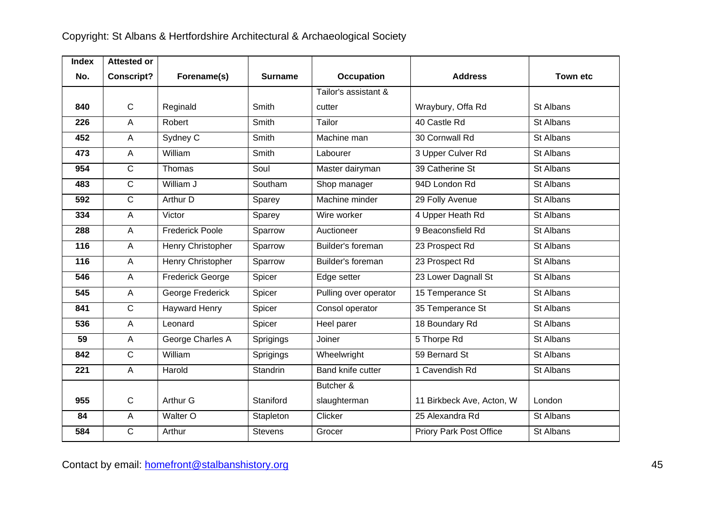| <b>Index</b> | <b>Attested or</b> |                         |                |                       |                           |                 |
|--------------|--------------------|-------------------------|----------------|-----------------------|---------------------------|-----------------|
| No.          | <b>Conscript?</b>  | Forename(s)             | <b>Surname</b> | <b>Occupation</b>     | <b>Address</b>            | <b>Town etc</b> |
|              |                    |                         |                | Tailor's assistant &  |                           |                 |
| 840          | $\mathbf C$        | Reginald                | <b>Smith</b>   | cutter                | Wraybury, Offa Rd         | St Albans       |
| 226          | $\overline{A}$     | Robert                  | Smith          | Tailor                | 40 Castle Rd              | St Albans       |
| 452          | $\overline{A}$     | Sydney C                | Smith          | Machine man           | 30 Cornwall Rd            | St Albans       |
| 473          | $\overline{A}$     | William                 | Smith          | Labourer              | 3 Upper Culver Rd         | St Albans       |
| 954          | $\mathsf{C}$       | Thomas                  | Soul           | Master dairyman       | 39 Catherine St           | St Albans       |
| 483          | $\mathsf{C}$       | William J               | Southam        | Shop manager          | 94D London Rd             | St Albans       |
| 592          | $\overline{C}$     | Arthur D                | Sparey         | Machine minder        | 29 Folly Avenue           | St Albans       |
| 334          | $\overline{A}$     | Victor                  | Sparey         | Wire worker           | 4 Upper Heath Rd          | St Albans       |
| 288          | $\overline{A}$     | <b>Frederick Poole</b>  | Sparrow        | Auctioneer            | 9 Beaconsfield Rd         | St Albans       |
| 116          | $\overline{A}$     | Henry Christopher       | Sparrow        | Builder's foreman     | 23 Prospect Rd            | St Albans       |
| 116          | $\mathsf{A}$       | Henry Christopher       | Sparrow        | Builder's foreman     | 23 Prospect Rd            | St Albans       |
| 546          | $\overline{A}$     | <b>Frederick George</b> | Spicer         | Edge setter           | 23 Lower Dagnall St       | St Albans       |
| 545          | $\mathsf{A}$       | George Frederick        | Spicer         | Pulling over operator | 15 Temperance St          | St Albans       |
| 841          | $\mathsf{C}$       | <b>Hayward Henry</b>    | Spicer         | Consol operator       | 35 Temperance St          | St Albans       |
| 536          | $\overline{A}$     | Leonard                 | Spicer         | Heel parer            | 18 Boundary Rd            | St Albans       |
| 59           | $\overline{A}$     | George Charles A        | Sprigings      | Joiner                | 5 Thorpe Rd               | St Albans       |
| 842          | $\mathsf{C}$       | William                 | Sprigings      | Wheelwright           | 59 Bernard St             | St Albans       |
| 221          | $\overline{A}$     | Harold                  | Standrin       | Band knife cutter     | 1 Cavendish Rd            | St Albans       |
|              |                    |                         |                | Butcher &             |                           |                 |
| 955          | $\mathbf C$        | Arthur G                | Staniford      | slaughterman          | 11 Birkbeck Ave, Acton, W | London          |
| 84           | $\overline{A}$     | Walter O                | Stapleton      | Clicker               | 25 Alexandra Rd           | St Albans       |
| 584          | C                  | Arthur                  | <b>Stevens</b> | Grocer                | Priory Park Post Office   | St Albans       |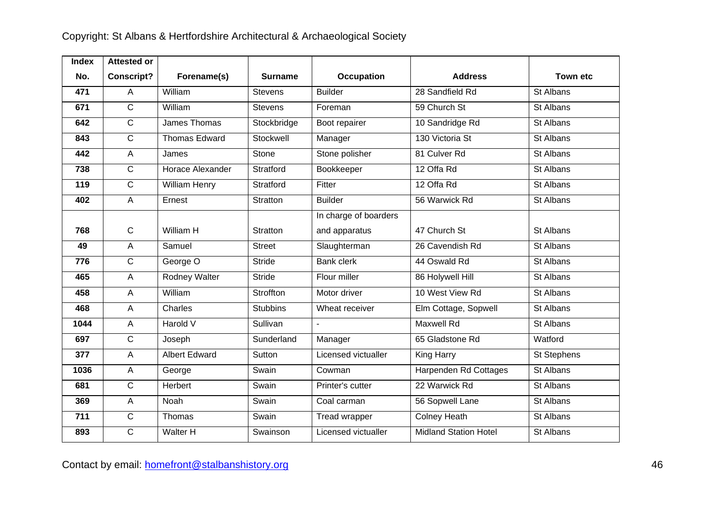| <b>Index</b> | <b>Attested or</b> |                      |                 |                       |                              |                 |
|--------------|--------------------|----------------------|-----------------|-----------------------|------------------------------|-----------------|
| No.          | <b>Conscript?</b>  | Forename(s)          | <b>Surname</b>  | <b>Occupation</b>     | <b>Address</b>               | <b>Town etc</b> |
| 471          | A                  | William              | <b>Stevens</b>  | <b>Builder</b>        | 28 Sandfield Rd              | St Albans       |
| 671          | $\overline{C}$     | William              | <b>Stevens</b>  | Foreman               | 59 Church St                 | St Albans       |
| 642          | $\overline{C}$     | James Thomas         | Stockbridge     | Boot repairer         | 10 Sandridge Rd              | St Albans       |
| 843          | $\overline{C}$     | <b>Thomas Edward</b> | Stockwell       | Manager               | 130 Victoria St              | St Albans       |
| 442          | A                  | James                | Stone           | Stone polisher        | 81 Culver Rd                 | St Albans       |
| 738          | $\overline{C}$     | Horace Alexander     | Stratford       | Bookkeeper            | 12 Offa Rd                   | St Albans       |
| 119          | $\overline{C}$     | William Henry        | Stratford       | Fitter                | 12 Offa Rd                   | St Albans       |
| 402          | $\overline{A}$     | Ernest               | Stratton        | <b>Builder</b>        | 56 Warwick Rd                | St Albans       |
|              |                    |                      |                 | In charge of boarders |                              |                 |
| 768          | $\mathsf{C}$       | William H            | Stratton        | and apparatus         | 47 Church St                 | St Albans       |
| 49           | $\overline{A}$     | Samuel               | <b>Street</b>   | Slaughterman          | 26 Cavendish Rd              | St Albans       |
| 776          | $\overline{C}$     | George O             | <b>Stride</b>   | <b>Bank clerk</b>     | 44 Oswald Rd                 | St Albans       |
| 465          | $\overline{A}$     | Rodney Walter        | <b>Stride</b>   | Flour miller          | 86 Holywell Hill             | St Albans       |
| 458          | $\overline{A}$     | William              | Stroffton       | Motor driver          | 10 West View Rd              | St Albans       |
| 468          | A                  | Charles              | <b>Stubbins</b> | Wheat receiver        | Elm Cottage, Sopwell         | St Albans       |
| 1044         | $\overline{A}$     | Harold V             | Sullivan        |                       | <b>Maxwell Rd</b>            | St Albans       |
| 697          | $\overline{C}$     | Joseph               | Sunderland      | Manager               | 65 Gladstone Rd              | Watford         |
| 377          | A                  | <b>Albert Edward</b> | Sutton          | Licensed victualler   | King Harry                   | St Stephens     |
| 1036         | A                  | George               | Swain           | Cowman                | Harpenden Rd Cottages        | St Albans       |
| 681          | $\overline{C}$     | Herbert              | Swain           | Printer's cutter      | 22 Warwick Rd                | St Albans       |
| 369          | $\mathsf{A}$       | Noah                 | Swain           | Coal carman           | 56 Sopwell Lane              | St Albans       |
| 711          | $\mathsf{C}$       | Thomas               | Swain           | Tread wrapper         | <b>Colney Heath</b>          | St Albans       |
| 893          | $\mathsf{C}$       | Walter H             | Swainson        | Licensed victualler   | <b>Midland Station Hotel</b> | St Albans       |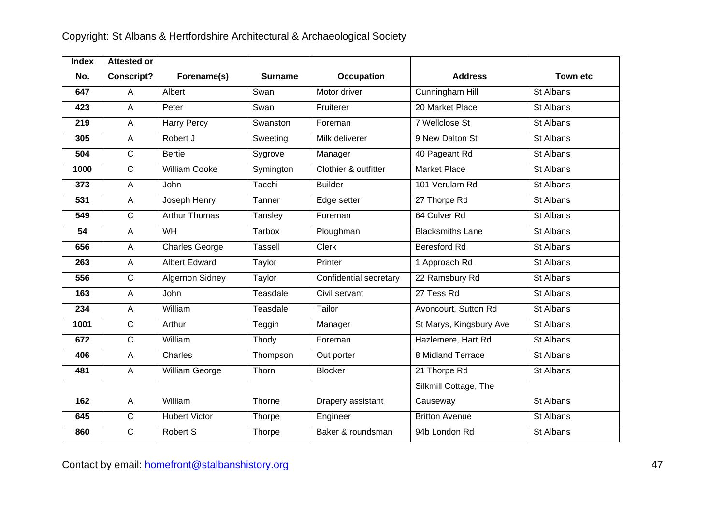| <b>Index</b> | <b>Attested or</b> |                       |                |                        |                         |                 |
|--------------|--------------------|-----------------------|----------------|------------------------|-------------------------|-----------------|
| No.          | <b>Conscript?</b>  | Forename(s)           | <b>Surname</b> | <b>Occupation</b>      | <b>Address</b>          | <b>Town etc</b> |
| 647          | A                  | Albert                | Swan           | Motor driver           | Cunningham Hill         | St Albans       |
| 423          | $\overline{A}$     | Peter                 | Swan           | Fruiterer              | 20 Market Place         | St Albans       |
| 219          | $\overline{A}$     | <b>Harry Percy</b>    | Swanston       | Foreman                | <b>7 Wellclose St</b>   | St Albans       |
| 305          | $\overline{A}$     | Robert J              | Sweeting       | Milk deliverer         | 9 New Dalton St         | St Albans       |
| 504          | $\overline{C}$     | <b>Bertie</b>         | Sygrove        | Manager                | 40 Pageant Rd           | St Albans       |
| 1000         | $\overline{C}$     | <b>William Cooke</b>  | Symington      | Clothier & outfitter   | <b>Market Place</b>     | St Albans       |
| 373          | $\overline{A}$     | John                  | Tacchi         | <b>Builder</b>         | 101 Verulam Rd          | St Albans       |
| 531          | $\mathsf A$        | Joseph Henry          | Tanner         | Edge setter            | 27 Thorpe Rd            | St Albans       |
| 549          | $\mathsf{C}$       | <b>Arthur Thomas</b>  | Tansley        | Foreman                | 64 Culver Rd            | St Albans       |
| 54           | $\overline{A}$     | WH                    | Tarbox         | Ploughman              | <b>Blacksmiths Lane</b> | St Albans       |
| 656          | $\mathsf A$        | <b>Charles George</b> | <b>Tassell</b> | <b>Clerk</b>           | <b>Beresford Rd</b>     | St Albans       |
| 263          | $\mathsf A$        | <b>Albert Edward</b>  | Taylor         | Printer                | 1 Approach Rd           | St Albans       |
| 556          | $\overline{C}$     | Algernon Sidney       | Taylor         | Confidential secretary | 22 Ramsbury Rd          | St Albans       |
| 163          | $\mathsf A$        | John                  | Teasdale       | Civil servant          | 27 Tess Rd              | St Albans       |
| 234          | A                  | William               | Teasdale       | Tailor                 | Avoncourt, Sutton Rd    | St Albans       |
| 1001         | $\mathsf{C}$       | Arthur                | Teggin         | Manager                | St Marys, Kingsbury Ave | St Albans       |
| 672          | $\overline{C}$     | William               | Thody          | Foreman                | Hazlemere, Hart Rd      | St Albans       |
| 406          | $\mathsf A$        | Charles               | Thompson       | Out porter             | 8 Midland Terrace       | St Albans       |
| 481          | $\overline{A}$     | William George        | Thorn          | <b>Blocker</b>         | 21 Thorpe Rd            | St Albans       |
|              |                    |                       |                |                        | Silkmill Cottage, The   |                 |
| 162          | $\overline{A}$     | William               | Thorne         | Drapery assistant      | Causeway                | St Albans       |
| 645          | $\mathbf C$        | <b>Hubert Victor</b>  | Thorpe         | Engineer               | <b>Britton Avenue</b>   | St Albans       |
| 860          | $\overline{C}$     | Robert S              | Thorpe         | Baker & roundsman      | 94b London Rd           | St Albans       |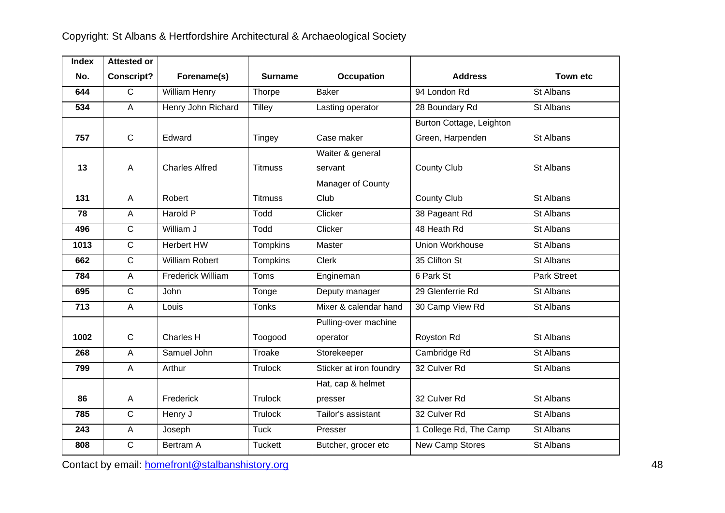| <b>Index</b> | <b>Attested or</b> |                       |                 |                          |                          |                 |
|--------------|--------------------|-----------------------|-----------------|--------------------------|--------------------------|-----------------|
| No.          | <b>Conscript?</b>  | Forename(s)           | <b>Surname</b>  | <b>Occupation</b>        | <b>Address</b>           | <b>Town etc</b> |
| 644          | $\overline{C}$     | <b>William Henry</b>  | Thorpe          | <b>Baker</b>             | 94 London Rd             | St Albans       |
| 534          | $\overline{A}$     | Henry John Richard    | <b>Tilley</b>   | Lasting operator         | 28 Boundary Rd           | St Albans       |
|              |                    |                       |                 |                          | Burton Cottage, Leighton |                 |
| 757          | $\mathbf C$        | Edward                | <b>Tingey</b>   | Case maker               | Green, Harpenden         | St Albans       |
|              |                    |                       |                 | Waiter & general         |                          |                 |
| 13           | $\overline{A}$     | <b>Charles Alfred</b> | <b>Titmuss</b>  | servant                  | <b>County Club</b>       | St Albans       |
|              |                    |                       |                 | <b>Manager of County</b> |                          |                 |
| 131          | A                  | Robert                | <b>Titmuss</b>  | Club                     | <b>County Club</b>       | St Albans       |
| 78           | $\overline{A}$     | Harold P              | Todd            | Clicker                  | 38 Pageant Rd            | St Albans       |
| 496          | $\overline{C}$     | William J             | Todd            | Clicker                  | 48 Heath Rd              | St Albans       |
| 1013         | $\mathsf{C}$       | Herbert HW            | Tompkins        | Master                   | Union Workhouse          | St Albans       |
| 662          | $\mathsf{C}$       | <b>William Robert</b> | <b>Tompkins</b> | <b>Clerk</b>             | 35 Clifton St            | St Albans       |
| 784          | $\overline{A}$     | Frederick William     | Toms            | Engineman                | 6 Park St                | Park Street     |
| 695          | $\overline{C}$     | John                  | Tonge           | Deputy manager           | 29 Glenferrie Rd         | St Albans       |
| 713          | $\overline{A}$     | Louis                 | <b>Tonks</b>    | Mixer & calendar hand    | 30 Camp View Rd          | St Albans       |
|              |                    |                       |                 | Pulling-over machine     |                          |                 |
| 1002         | $\mathsf C$        | Charles H             | Toogood         | operator                 | Royston Rd               | St Albans       |
| 268          | $\overline{A}$     | Samuel John           | Troake          | Storekeeper              | Cambridge Rd             | St Albans       |
| 799          | A                  | Arthur                | <b>Trulock</b>  | Sticker at iron foundry  | 32 Culver Rd             | St Albans       |
|              |                    |                       |                 | Hat, cap & helmet        |                          |                 |
| 86           | $\mathsf A$        | Frederick             | <b>Trulock</b>  | presser                  | 32 Culver Rd             | St Albans       |
| 785          | $\overline{C}$     | Henry J               | <b>Trulock</b>  | Tailor's assistant       | 32 Culver Rd             | St Albans       |
| 243          | A                  | Joseph                | <b>Tuck</b>     | Presser                  | 1 College Rd, The Camp   | St Albans       |
| 808          | $\mathsf{C}$       | Bertram A             | <b>Tuckett</b>  | Butcher, grocer etc      | New Camp Stores          | St Albans       |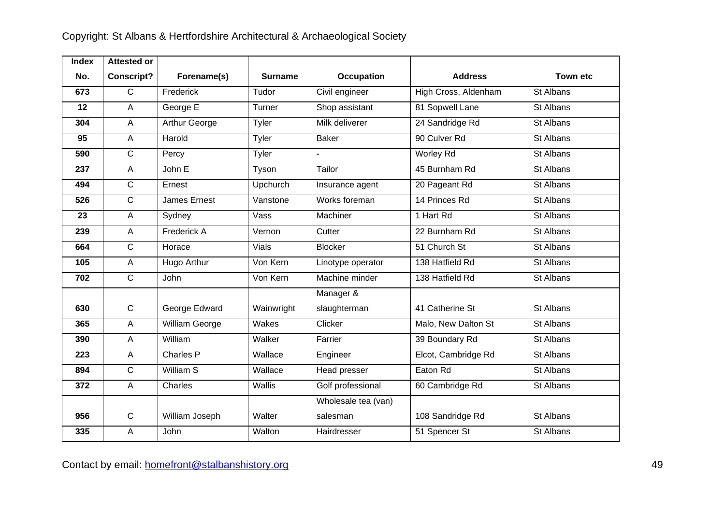| <b>Index</b> | <b>Attested or</b> |                      |                |                     |                      |                 |
|--------------|--------------------|----------------------|----------------|---------------------|----------------------|-----------------|
| No.          | <b>Conscript?</b>  | Forename(s)          | <b>Surname</b> | <b>Occupation</b>   | <b>Address</b>       | <b>Town etc</b> |
| 673          | $\overline{C}$     | Frederick            | Tudor          | Civil engineer      | High Cross, Aldenham | St Albans       |
| 12           | $\overline{A}$     | George E             | Turner         | Shop assistant      | 81 Sopwell Lane      | St Albans       |
| 304          | $\overline{A}$     | <b>Arthur George</b> | Tyler          | Milk deliverer      | 24 Sandridge Rd      | St Albans       |
| 95           | $\overline{A}$     | Harold               | Tyler          | <b>Baker</b>        | 90 Culver Rd         | St Albans       |
| 590          | $\overline{C}$     | Percy                | Tyler          |                     | <b>Worley Rd</b>     | St Albans       |
| 237          | $\overline{A}$     | John E               | Tyson          | Tailor              | 45 Burnham Rd        | St Albans       |
| 494          | $\overline{C}$     | Ernest               | Upchurch       | Insurance agent     | 20 Pageant Rd        | St Albans       |
| 526          | $\overline{C}$     | <b>James Ernest</b>  | Vanstone       | Works foreman       | 14 Princes Rd        | St Albans       |
| 23           | $\overline{A}$     | Sydney               | Vass           | Machiner            | 1 Hart Rd            | St Albans       |
| 239          | $\overline{A}$     | Frederick A          | Vernon         | Cutter              | 22 Burnham Rd        | St Albans       |
| 664          | $\overline{C}$     | Horace               | Vials          | <b>Blocker</b>      | 51 Church St         | St Albans       |
| 105          | $\overline{A}$     | Hugo Arthur          | Von Kern       | Linotype operator   | 138 Hatfield Rd      | St Albans       |
| 702          | $\mathsf{C}$       | John                 | Von Kern       | Machine minder      | 138 Hatfield Rd      | St Albans       |
|              |                    |                      |                | Manager &           |                      |                 |
| 630          | $\mathsf{C}$       | George Edward        | Wainwright     | slaughterman        | 41 Catherine St      | St Albans       |
| 365          | $\mathsf{A}$       | William George       | Wakes          | Clicker             | Malo, New Dalton St  | St Albans       |
| 390          | $\overline{A}$     | William              | Walker         | Farrier             | 39 Boundary Rd       | St Albans       |
| 223          | $\mathsf{A}$       | Charles P            | Wallace        | Engineer            | Elcot, Cambridge Rd  | St Albans       |
| 894          | $\overline{C}$     | William S            | Wallace        | Head presser        | Eaton Rd             | St Albans       |
| 372          | $\overline{A}$     | Charles              | Wallis         | Golf professional   | 60 Cambridge Rd      | St Albans       |
|              |                    |                      |                | Wholesale tea (van) |                      |                 |
| 956          | $\mathbf C$        | William Joseph       | Walter         | salesman            | 108 Sandridge Rd     | St Albans       |
| 335          | A                  | John                 | Walton         | Hairdresser         | 51 Spencer St        | St Albans       |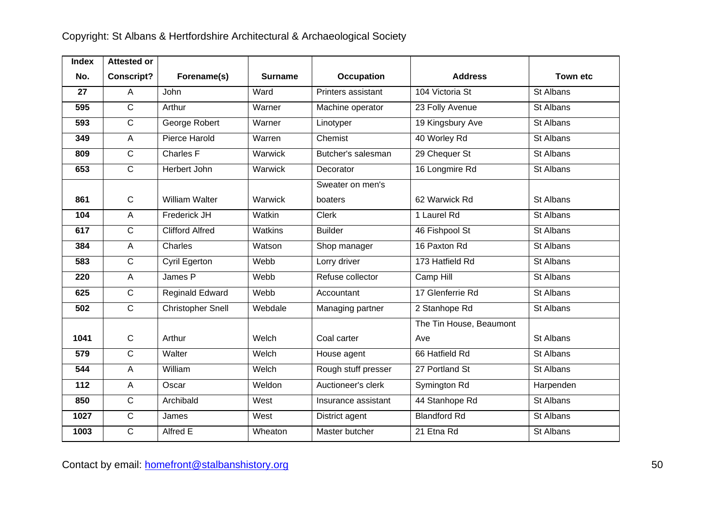| <b>Index</b> | <b>Attested or</b> |                          |                |                     |                         |                 |
|--------------|--------------------|--------------------------|----------------|---------------------|-------------------------|-----------------|
| No.          | <b>Conscript?</b>  | Forename(s)              | <b>Surname</b> | <b>Occupation</b>   | <b>Address</b>          | <b>Town etc</b> |
| 27           | $\overline{A}$     | <b>John</b>              | Ward           | Printers assistant  | 104 Victoria St         | St Albans       |
| 595          | $\overline{C}$     | Arthur                   | Warner         | Machine operator    | 23 Folly Avenue         | St Albans       |
| 593          | $\overline{C}$     | George Robert            | Warner         | Linotyper           | 19 Kingsbury Ave        | St Albans       |
| 349          | $\overline{A}$     | Pierce Harold            | Warren         | Chemist             | 40 Worley Rd            | St Albans       |
| 809          | $\overline{C}$     | Charles F                | Warwick        | Butcher's salesman  | 29 Chequer St           | St Albans       |
| 653          | $\overline{C}$     | Herbert John             | Warwick        | Decorator           | 16 Longmire Rd          | St Albans       |
|              |                    |                          |                | Sweater on men's    |                         |                 |
| 861          | $\mathbf C$        | <b>William Walter</b>    | Warwick        | boaters             | 62 Warwick Rd           | St Albans       |
| 104          | $\overline{A}$     | Frederick JH             | Watkin         | <b>Clerk</b>        | 1 Laurel Rd             | St Albans       |
| 617          | $\overline{C}$     | <b>Clifford Alfred</b>   | Watkins        | <b>Builder</b>      | 46 Fishpool St          | St Albans       |
| 384          | $\overline{A}$     | Charles                  | Watson         | Shop manager        | 16 Paxton Rd            | St Albans       |
| 583          | $\overline{C}$     | Cyril Egerton            | Webb           | Lorry driver        | 173 Hatfield Rd         | St Albans       |
| 220          | $\overline{A}$     | James P                  | Webb           | Refuse collector    | Camp Hill               | St Albans       |
| 625          | $\overline{C}$     | Reginald Edward          | Webb           | Accountant          | 17 Glenferrie Rd        | St Albans       |
| 502          | $\overline{C}$     | <b>Christopher Snell</b> | Webdale        | Managing partner    | 2 Stanhope Rd           | St Albans       |
|              |                    |                          |                |                     | The Tin House, Beaumont |                 |
| 1041         | $\mathsf{C}$       | Arthur                   | Welch          | Coal carter         | Ave                     | St Albans       |
| 579          | $\overline{C}$     | Walter                   | Welch          | House agent         | 66 Hatfield Rd          | St Albans       |
| 544          | $\overline{A}$     | William                  | Welch          | Rough stuff presser | 27 Portland St          | St Albans       |
| 112          | $\overline{A}$     | Oscar                    | Weldon         | Auctioneer's clerk  | Symington Rd            | Harpenden       |
| 850          | $\overline{C}$     | Archibald                | West           | Insurance assistant | 44 Stanhope Rd          | St Albans       |
| 1027         | $\overline{C}$     | James                    | West           | District agent      | <b>Blandford Rd</b>     | St Albans       |
| 1003         | $\overline{C}$     | Alfred E                 | Wheaton        | Master butcher      | 21 Etna Rd              | St Albans       |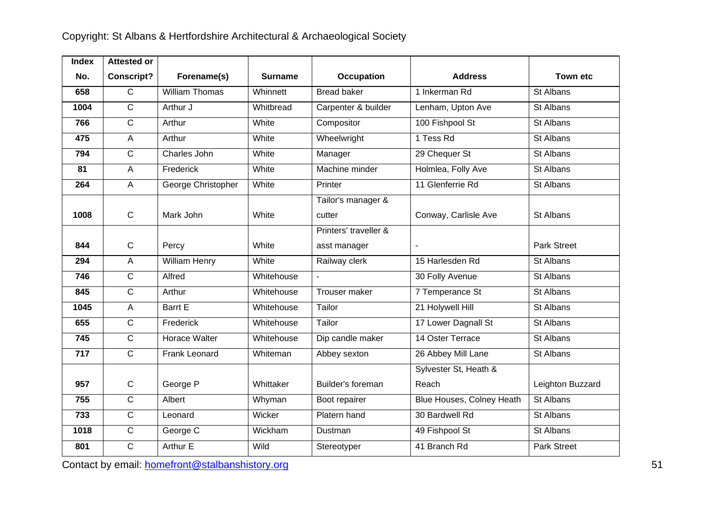| <b>Index</b> | <b>Attested or</b> |                       |                |                       |                           |                    |
|--------------|--------------------|-----------------------|----------------|-----------------------|---------------------------|--------------------|
| No.          | <b>Conscript?</b>  | Forename(s)           | <b>Surname</b> | <b>Occupation</b>     | <b>Address</b>            | Town etc           |
| 658          | $\mathsf{C}$       | <b>William Thomas</b> | Whinnett       | <b>Bread baker</b>    | 1 Inkerman Rd             | St Albans          |
| 1004         | $\overline{C}$     | Arthur J              | Whitbread      | Carpenter & builder   | Lenham, Upton Ave         | St Albans          |
| 766          | $\overline{C}$     | Arthur                | White          | Compositor            | 100 Fishpool St           | St Albans          |
| 475          | $\overline{A}$     | Arthur                | White          | Wheelwright           | 1 Tess Rd                 | St Albans          |
| 794          | $\overline{C}$     | Charles John          | White          | Manager               | 29 Chequer St             | St Albans          |
| 81           | $\overline{A}$     | Frederick             | White          | Machine minder        | Holmlea, Folly Ave        | St Albans          |
| 264          | $\overline{A}$     | George Christopher    | White          | Printer               | 11 Glenferrie Rd          | St Albans          |
|              |                    |                       |                | Tailor's manager &    |                           |                    |
| 1008         | $\mathsf{C}$       | Mark John             | White          | cutter                | Conway, Carlisle Ave      | St Albans          |
|              |                    |                       |                | Printers' traveller & |                           |                    |
| 844          | $\mathbf C$        | Percy                 | White          | asst manager          |                           | <b>Park Street</b> |
| 294          | $\overline{A}$     | William Henry         | White          | Railway clerk         | 15 Harlesden Rd           | St Albans          |
| 746          | $\overline{C}$     | Alfred                | Whitehouse     |                       | 30 Folly Avenue           | St Albans          |
| 845          | $\overline{C}$     | Arthur                | Whitehouse     | Trouser maker         | 7 Temperance St           | St Albans          |
| 1045         | $\overline{A}$     | <b>Barrt E</b>        | Whitehouse     | Tailor                | 21 Holywell Hill          | St Albans          |
| 655          | $\overline{C}$     | Frederick             | Whitehouse     | Tailor                | 17 Lower Dagnall St       | St Albans          |
| 745          | $\overline{C}$     | Horace Walter         | Whitehouse     | Dip candle maker      | 14 Oster Terrace          | St Albans          |
| 717          | $\overline{C}$     | Frank Leonard         | Whiteman       | Abbey sexton          | 26 Abbey Mill Lane        | St Albans          |
|              |                    |                       |                |                       | Sylvester St, Heath &     |                    |
| 957          | $\mathbf C$        | George P              | Whittaker      | Builder's foreman     | Reach                     | Leighton Buzzard   |
| 755          | $\overline{C}$     | Albert                | Whyman         | Boot repairer         | Blue Houses, Colney Heath | St Albans          |
| 733          | $\overline{C}$     | Leonard               | Wicker         | Platern hand          | 30 Bardwell Rd            | St Albans          |
| 1018         | $\mathbf C$        | George C              | Wickham        | Dustman               | 49 Fishpool St            | St Albans          |
| 801          | $\overline{C}$     | Arthur E              | Wild           | Stereotyper           | 41 Branch Rd              | <b>Park Street</b> |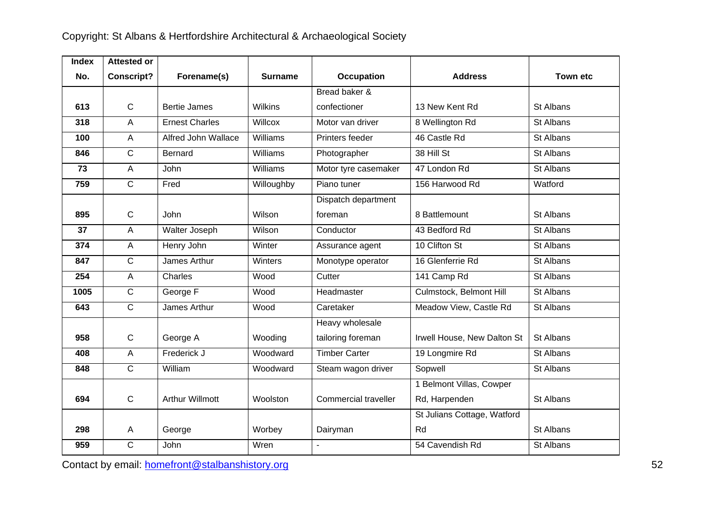| <b>Index</b> | <b>Attested or</b> |                        |                 |                      |                             |                 |
|--------------|--------------------|------------------------|-----------------|----------------------|-----------------------------|-----------------|
| No.          | <b>Conscript?</b>  | Forename(s)            | Surname         | <b>Occupation</b>    | <b>Address</b>              | <b>Town etc</b> |
|              |                    |                        |                 | Bread baker &        |                             |                 |
| 613          | $\mathsf{C}$       | <b>Bertie James</b>    | <b>Wilkins</b>  | confectioner         | 13 New Kent Rd              | St Albans       |
| 318          | $\overline{A}$     | <b>Ernest Charles</b>  | Willcox         | Motor van driver     | 8 Wellington Rd             | St Albans       |
| 100          | $\mathsf{A}$       | Alfred John Wallace    | Williams        | Printers feeder      | 46 Castle Rd                | St Albans       |
| 846          | $\mathsf C$        | <b>Bernard</b>         | Williams        | Photographer         | 38 Hill St                  | St Albans       |
| 73           | A                  | <b>John</b>            | <b>Williams</b> | Motor tyre casemaker | 47 London Rd                | St Albans       |
| 759          | $\overline{C}$     | Fred                   | Willoughby      | Piano tuner          | 156 Harwood Rd              | Watford         |
|              |                    |                        |                 | Dispatch department  |                             |                 |
| 895          | $\mathsf{C}$       | <b>John</b>            | Wilson          | foreman              | 8 Battlemount               | St Albans       |
| 37           | $\overline{A}$     | Walter Joseph          | Wilson          | Conductor            | 43 Bedford Rd               | St Albans       |
| 374          | $\mathsf{A}$       | Henry John             | Winter          | Assurance agent      | 10 Clifton St               | St Albans       |
| 847          | $\mathsf{C}$       | James Arthur           | Winters         | Monotype operator    | 16 Glenferrie Rd            | St Albans       |
| 254          | $\overline{A}$     | Charles                | Wood            | Cutter               | 141 Camp Rd                 | St Albans       |
| 1005         | $\overline{C}$     | George F               | Wood            | Headmaster           | Culmstock, Belmont Hill     | St Albans       |
| 643          | $\mathsf{C}$       | James Arthur           | Wood            | Caretaker            | Meadow View, Castle Rd      | St Albans       |
|              |                    |                        |                 | Heavy wholesale      |                             |                 |
| 958          | $\mathbf C$        | George A               | Wooding         | tailoring foreman    | Irwell House, New Dalton St | St Albans       |
| 408          | A                  | Frederick J            | Woodward        | <b>Timber Carter</b> | 19 Longmire Rd              | St Albans       |
| 848          | $\overline{C}$     | William                | Woodward        | Steam wagon driver   | Sopwell                     | St Albans       |
|              |                    |                        |                 |                      | 1 Belmont Villas, Cowper    |                 |
| 694          | $\mathsf{C}$       | <b>Arthur Willmott</b> | Woolston        | Commercial traveller | Rd, Harpenden               | St Albans       |
|              |                    |                        |                 |                      | St Julians Cottage, Watford |                 |
| 298          | $\mathsf{A}$       | George                 | Worbey          | Dairyman             | Rd                          | St Albans       |
| 959          | $\mathsf{C}$       | John                   | Wren            | $\overline{a}$       | 54 Cavendish Rd             | St Albans       |